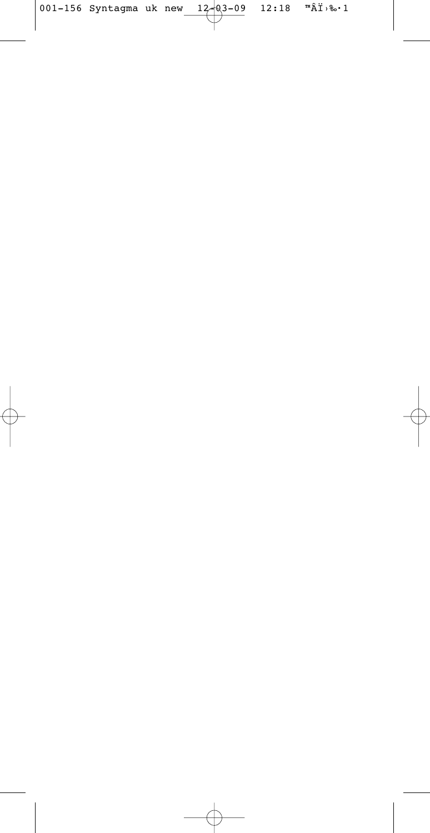001-156 Syntagma uk new 12-03-09 12:18  $\stackrel{\text{m}\hat{A} \text{ i}}{\rightarrow}$ ...

 $\phi$ 

€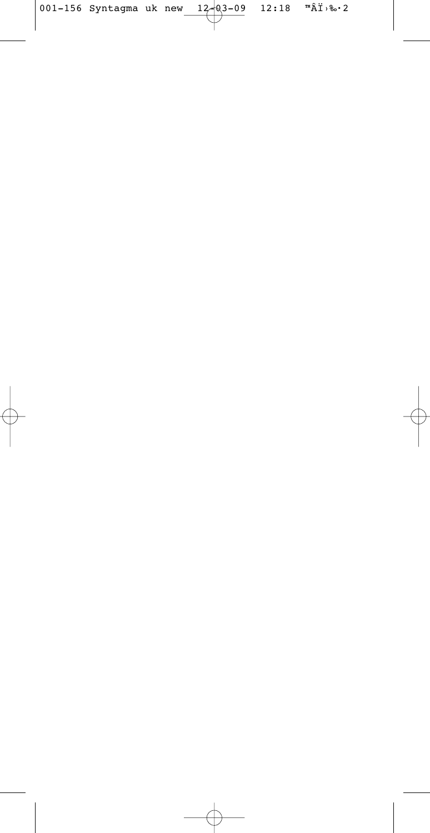001-156 Syntagma uk new 12-03-09 12:18  $\pi$ ÂÏ, %.2

 $\phi$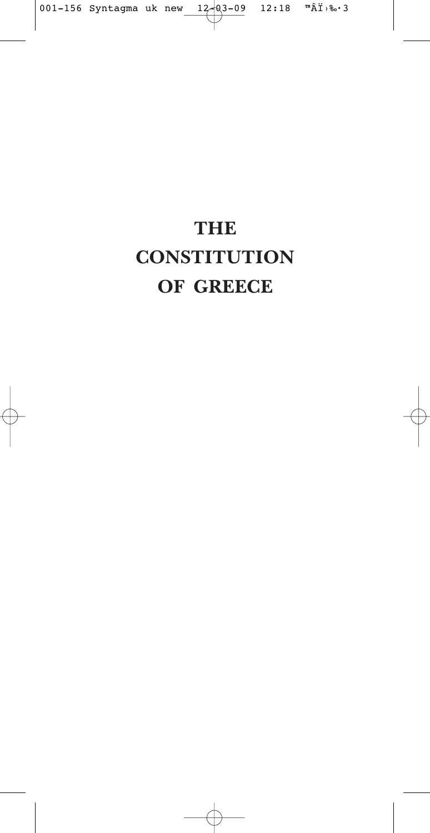## **THE CONSTITUTION** OF GREECE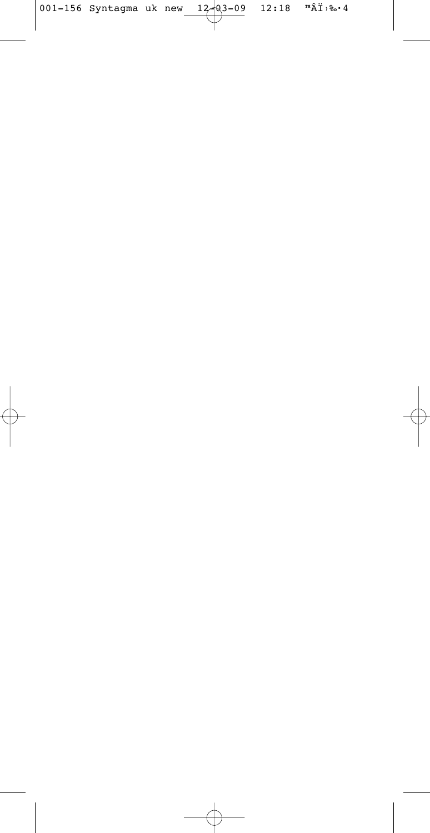001-156 Syntagma uk new 12-03-09 12:18  $\pi$ ÂÏ, %.4

 $\overline{\varphi}$ 

 $\mathbb{G}$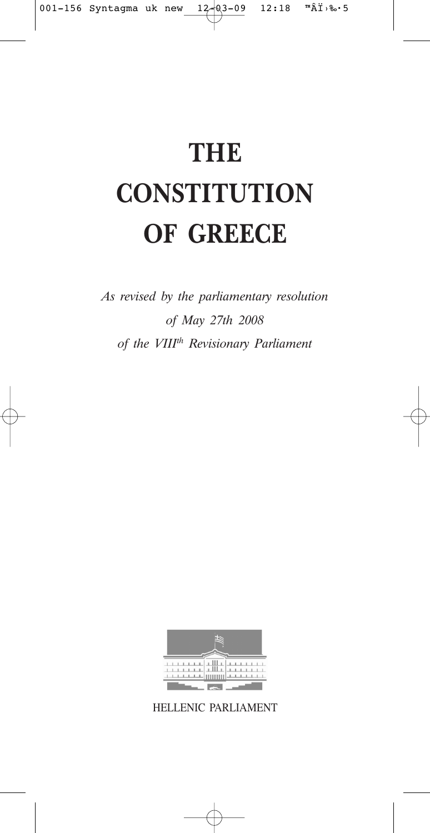# THE **CONSTITUTION OF GREECE**

As revised by the parliamentary resolution of May 27th 2008 of the VIII<sup>th</sup> Revisionary Parliament



HELLENIC PARLIAMENT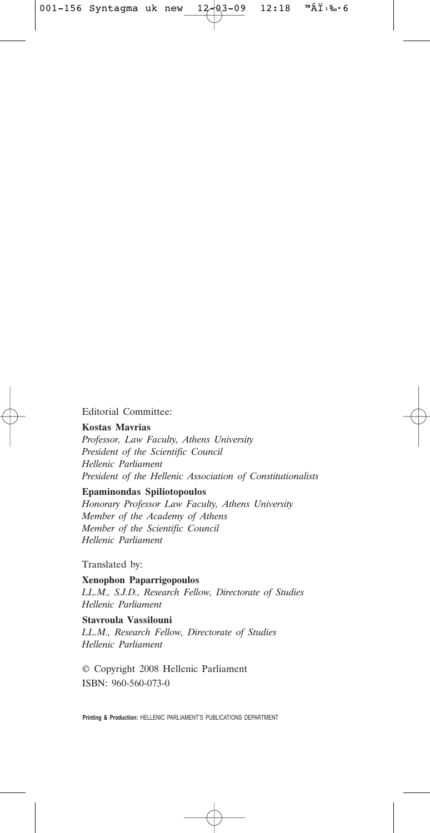Editorial Committee:

#### **Kostas Mavrias**

*Professor, Law Faculty, Athens University President of the Scientific Council Hellenic Parliament President of the Hellenic Association of Constitutionalists*

#### **Epaminondas Spiliotopoulos**

*Honorary Professor Law Faculty, Athens University Member of the Academy of Athens Member of the Scientific Council Hellenic Parliament*

Translated by:

**Xenophon Paparrigopoulos** *LL.M., S.J.D., Research Fellow, Directorate of Studies Hellenic Parliament*

**Stavroula Vassilouni** *LL.M., Research Fellow, Directorate of Studies Hellenic Parliament*

© Copyright 2008 Hellenic Parliament ISBN: 960-560-073-0

**Printing & Production:** HELLENIC PARLIAMENT'S PUBLICATIONS DEPARTMENT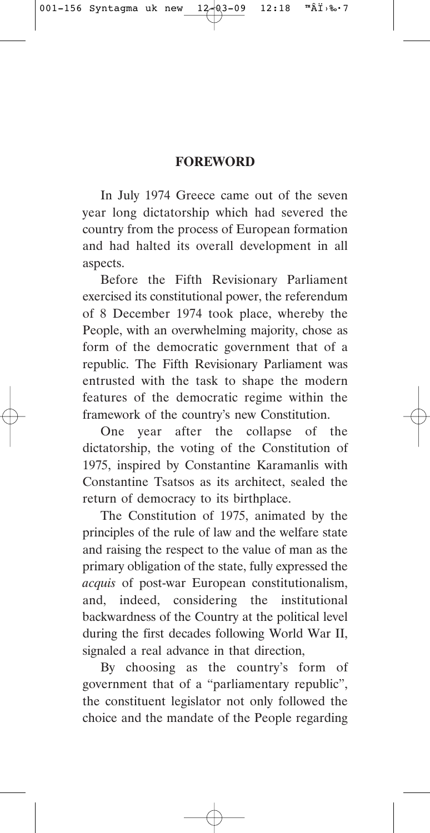001-156 Syntagma uk new 12-03-09 12:18

#### **FOREWORD**

In July 1974 Greece came out of the seven year long dictatorship which had severed the country from the process of European formation and had halted its overall development in all aspects.

Before the Fifth Revisionary Parliament exercised its constitutional power, the referendum of 8 December 1974 took place, whereby the People, with an overwhelming majority, chose as form of the democratic government that of a republic. The Fifth Revisionary Parliament was entrusted with the task to shape the modern features of the democratic regime within the framework of the country's new Constitution.

One year after the collapse of the dictatorship, the voting of the Constitution of 1975, inspired by Constantine Karamanlis with Constantine Tsatsos as its architect, sealed the return of democracy to its birthplace.

The Constitution of 1975, animated by the principles of the rule of law and the welfare state and raising the respect to the value of man as the primary obligation of the state, fully expressed the *acquis* of post-war European constitutionalism, and, indeed, considering the institutional backwardness of the Country at the political level during the first decades following World War II, signaled a real advance in that direction,

By choosing as the country's form of government that of a "parliamentary republic", the constituent legislator not only followed the choice and the mandate of the People regarding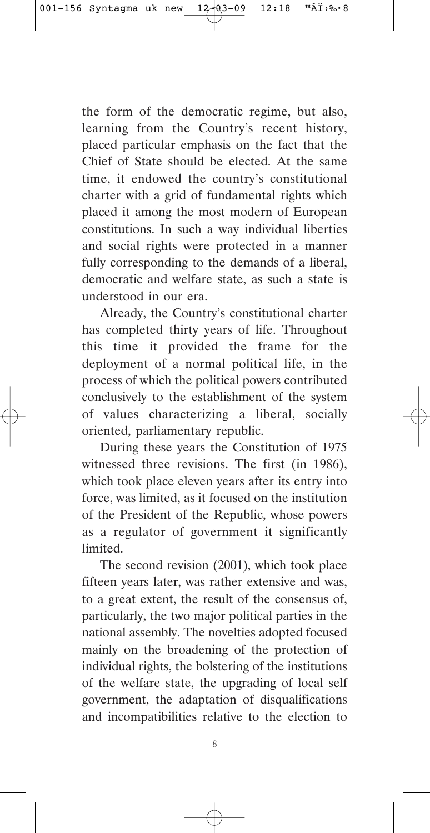the form of the democratic regime, but also, learning from the Country's recent history, placed particular emphasis on the fact that the Chief of State should be elected. At the same time, it endowed the country's constitutional charter with a grid of fundamental rights which placed it among the most modern of European constitutions. In such a way individual liberties and social rights were protected in a manner fully corresponding to the demands of a liberal, democratic and welfare state, as such a state is understood in our era.

Already, the Country's constitutional charter has completed thirty years of life. Throughout this time it provided the frame for the deployment of a normal political life, in the process of which the political powers contributed conclusively to the establishment of the system of values characterizing a liberal, socially oriented, parliamentary republic.

During these years the Constitution of 1975 witnessed three revisions. The first (in 1986), which took place eleven years after its entry into force, was limited, as it focused on the institution of the President of the Republic, whose powers as a regulator of government it significantly limited.

The second revision (2001), which took place fifteen years later, was rather extensive and was, to a great extent, the result of the consensus of, particularly, the two major political parties in the national assembly. The novelties adopted focused mainly on the broadening of the protection of individual rights, the bolstering of the institutions of the welfare state, the upgrading of local self government, the adaptation of disqualifications and incompatibilities relative to the election to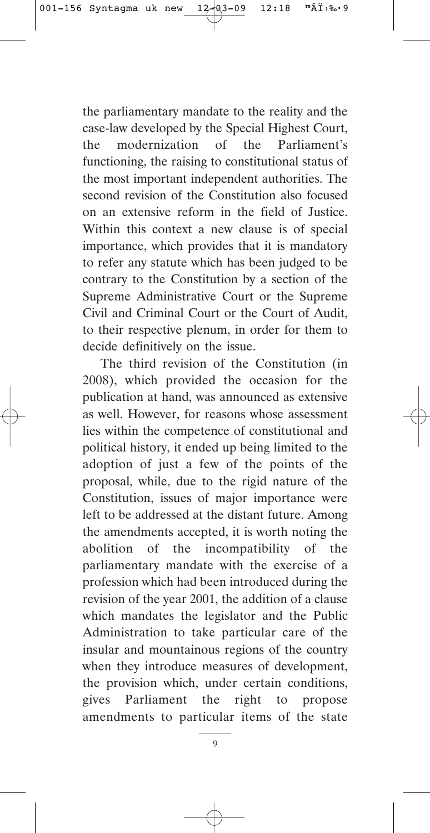the parliamentary mandate to the reality and the case-law developed by the Special Highest Court, the modernization of the Parliament's functioning, the raising to constitutional status of the most important independent authorities. The second revision of the Constitution also focused on an extensive reform in the field of Justice. Within this context a new clause is of special importance, which provides that it is mandatory to refer any statute which has been judged to be contrary to the Constitution by a section of the Supreme Administrative Court or the Supreme Civil and Criminal Court or the Court of Audit, to their respective plenum, in order for them to decide definitively on the issue.

The third revision of the Constitution (in 2008), which provided the occasion for the publication at hand, was announced as extensive as well. However, for reasons whose assessment lies within the competence of constitutional and political history, it ended up being limited to the adoption of just a few of the points of the proposal, while, due to the rigid nature of the Constitution, issues of major importance were left to be addressed at the distant future. Among the amendments accepted, it is worth noting the abolition of the incompatibility of the parliamentary mandate with the exercise of a profession which had been introduced during the revision of the year 2001, the addition of a clause which mandates the legislator and the Public Administration to take particular care of the insular and mountainous regions of the country when they introduce measures of development, the provision which, under certain conditions, gives Parliament the right to propose amendments to particular items of the state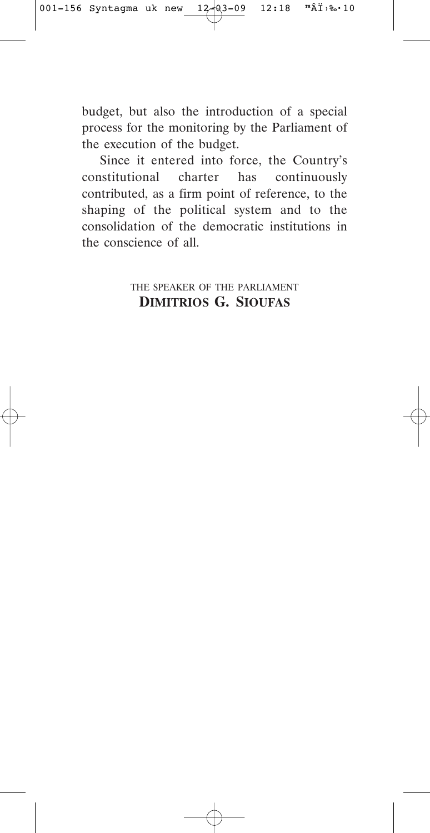budget, but also the introduction of a special process for the monitoring by the Parliament of the execution of the budget.

Since it entered into force, the Country's constitutional charter has continuously contributed, as a firm point of reference, to the shaping of the political system and to the consolidation of the democratic institutions in the conscience of all.

> ΤΗΕ SPEAKER OF THE PARLIAMENT **DIMITRIOS G. SIOUFAS**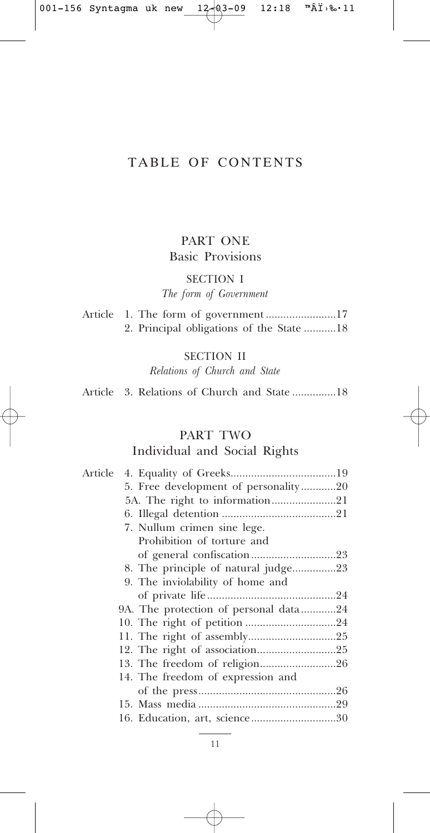001-156 Syntagma uk new 12-03-09 12:18 ™ÂÏ›‰·11

## TABLE OF CONTENTS

## PART ONE Basic Provisions

#### SECTION I

#### *The form of Government*

#### SECTION II

*Relations of Church and State*

Article 3. Relations of Church and State ...............18

## PART TWO

## Individual and Social Rights

| Article |                                       |  |
|---------|---------------------------------------|--|
|         | 5. Free development of personality20  |  |
|         | 5A. The right to information21        |  |
|         |                                       |  |
|         | 7. Nullum crimen sine lege.           |  |
|         | Prohibition of torture and            |  |
|         |                                       |  |
|         | 8. The principle of natural judge23   |  |
|         | 9. The inviolability of home and      |  |
|         |                                       |  |
|         | 9A. The protection of personal data24 |  |
|         |                                       |  |
|         |                                       |  |
|         |                                       |  |
|         | 13. The freedom of religion26         |  |
|         | 14. The freedom of expression and     |  |
|         |                                       |  |
|         |                                       |  |
|         | 16. Education, art, science30         |  |
|         |                                       |  |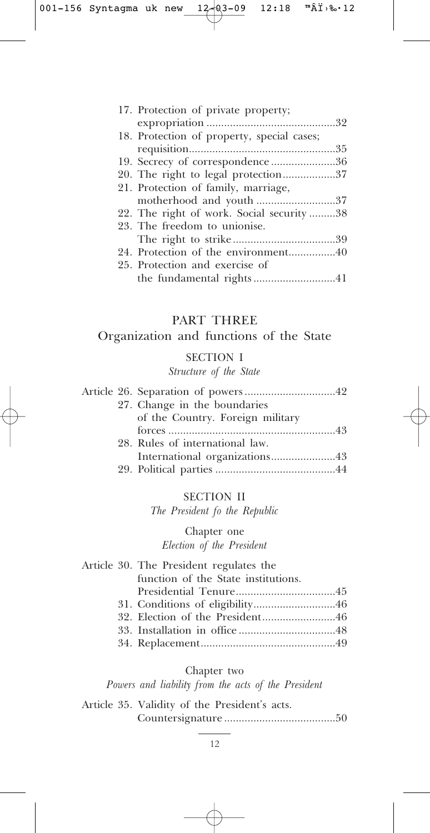| 17. Protection of private property;        |                         |
|--------------------------------------------|-------------------------|
|                                            |                         |
| 18. Protection of property, special cases; |                         |
|                                            |                         |
|                                            |                         |
| 20. The right to legal protection37        |                         |
| 21. Protection of family, marriage,        |                         |
|                                            |                         |
| 22. The right of work. Social security38   |                         |
| 23. The freedom to unionise.               |                         |
|                                            |                         |
| 24. Protection of the environment40        |                         |
| 25. Protection and exercise of             |                         |
|                                            |                         |
|                                            | motherhood and youth 37 |

## PART THREE Organization and functions of the State

#### SECTION I

*Structure of the State*

|  | 27. Change in the boundaries     |
|--|----------------------------------|
|  | of the Country. Foreign military |
|  |                                  |
|  | 28. Rules of international law.  |
|  |                                  |
|  |                                  |
|  |                                  |

#### SECTION II

*The President fo the Republic*

#### Chapter one *Election of the President*

|  | Article 30. The President regulates the |  |
|--|-----------------------------------------|--|
|  | function of the State institutions.     |  |
|  |                                         |  |
|  |                                         |  |
|  |                                         |  |
|  |                                         |  |
|  |                                         |  |
|  |                                         |  |

#### Chapter two

*Powers and liability from the acts of the President*

#### Article 35. Validity of the President's acts. Countersignature ......................................50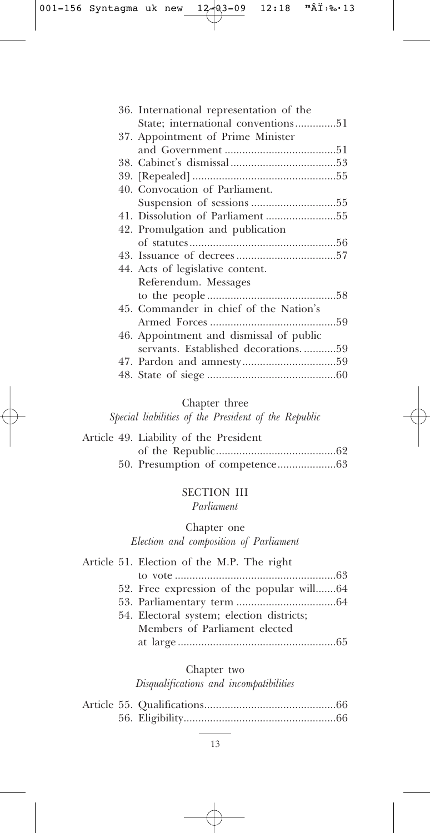| 36. International representation of the |
|-----------------------------------------|
| State; international conventions51      |
| 37. Appointment of Prime Minister       |
|                                         |
|                                         |
|                                         |
| 40. Convocation of Parliament.          |
|                                         |
| 41. Dissolution of Parliament 55        |
| 42. Promulgation and publication        |
|                                         |
|                                         |
| 44. Acts of legislative content.        |
| Referendum. Messages                    |
|                                         |
| 45. Commander in chief of the Nation's  |
|                                         |
| 46. Appointment and dismissal of public |
| servants. Established decorations59     |
|                                         |
|                                         |
|                                         |

#### Chapter three

*Special liabilities of the President of the Republic*

|  | Article 49. Liability of the President |  |
|--|----------------------------------------|--|
|  |                                        |  |
|  |                                        |  |

## SECTION III

#### *Parliament*

### Chapter one *Election and composition of Parliament*

|  | Article 51. Election of the M.P. The right |  |
|--|--------------------------------------------|--|
|  |                                            |  |
|  | 52. Free expression of the popular will64  |  |
|  |                                            |  |
|  | 54. Electoral system; election districts;  |  |
|  | Members of Parliament elected              |  |
|  |                                            |  |

#### Chapter two

*Disqualifications and incompatibilities*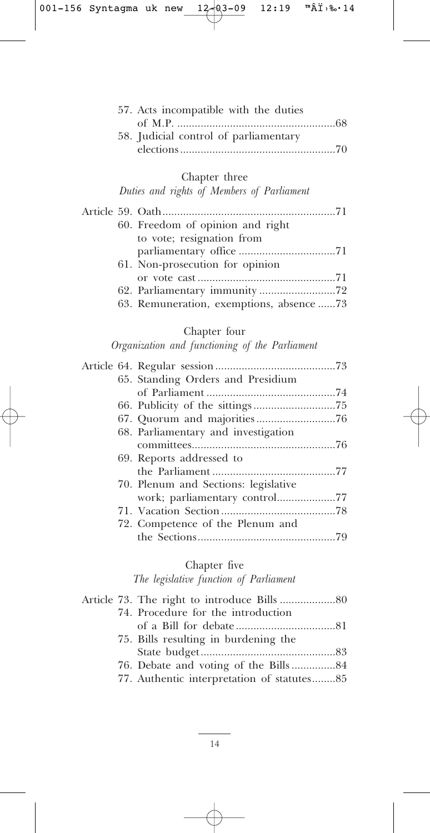001-156 Syntagma uk new 12-03-09 12:19 ™ÂÏ›‰·14

| 57. Acts incompatible with the duties |  |
|---------------------------------------|--|
|                                       |  |
| 58. Judicial control of parliamentary |  |
|                                       |  |

#### Chapter three

## *Duties and rights of Members of Parliament*

|  | 60. Freedom of opinion and right         |  |
|--|------------------------------------------|--|
|  | to vote; resignation from                |  |
|  |                                          |  |
|  | 61. Non-prosecution for opinion          |  |
|  |                                          |  |
|  |                                          |  |
|  | 63. Remuneration, exemptions, absence 73 |  |
|  |                                          |  |

#### Chapter four

*Organization and functioning of the Parliament*

|  | 65. Standing Orders and Presidium    |  |
|--|--------------------------------------|--|
|  |                                      |  |
|  |                                      |  |
|  |                                      |  |
|  | 68. Parliamentary and investigation  |  |
|  |                                      |  |
|  | 69. Reports addressed to             |  |
|  |                                      |  |
|  | 70. Plenum and Sections: legislative |  |
|  | work; parliamentary control77        |  |
|  |                                      |  |
|  | 72. Competence of the Plenum and     |  |
|  |                                      |  |
|  |                                      |  |

## Chapter five

*The legislative function of Parliament*

|  | Article 73. The right to introduce Bills80 |  |
|--|--------------------------------------------|--|
|  | 74. Procedure for the introduction         |  |
|  |                                            |  |
|  | 75. Bills resulting in burdening the       |  |
|  |                                            |  |
|  |                                            |  |
|  | 77. Authentic interpretation of statutes85 |  |
|  |                                            |  |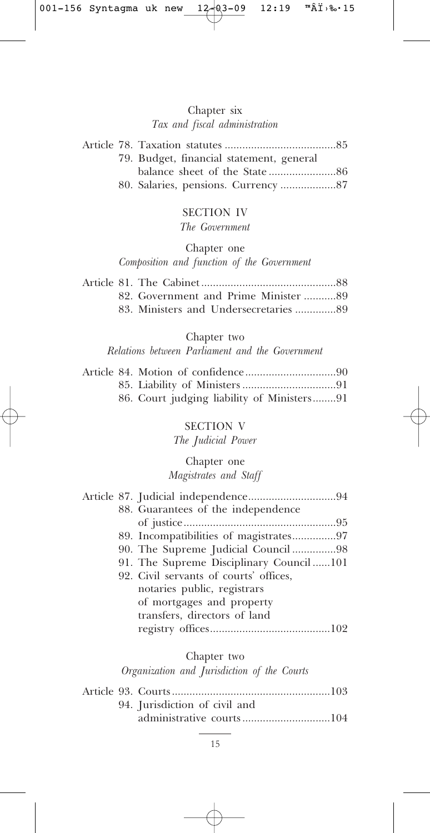001-156 Syntagma uk new 12-03-09 12:19 ™ÂÏ›‰·15

#### Chapter six *Tax and fiscal administration*

|  | 79. Budget, financial statement, general |  |
|--|------------------------------------------|--|
|  |                                          |  |
|  | 80. Salaries, pensions. Currency 87      |  |

#### SECTION IV

#### *The Government*

#### Chapter one

*Composition and function of the Government*

|  | 82. Government and Prime Minister 89  |  |
|--|---------------------------------------|--|
|  | 83. Ministers and Undersecretaries 89 |  |

#### Chapter two

*Relations between Parliament and the Government*

|  | 86. Court judging liability of Ministers91 |  |
|--|--------------------------------------------|--|

#### SECTION V

*The Judicial Power*

#### Chapter one

*Magistrates and Staff*

| 88. Guarantees of the independence       |  |
|------------------------------------------|--|
|                                          |  |
|                                          |  |
|                                          |  |
| 90. The Supreme Judicial Council 98      |  |
| 91. The Supreme Disciplinary Council 101 |  |
| 92. Civil servants of courts' offices,   |  |
| notaries public, registrars              |  |
| of mortgages and property                |  |
| transfers, directors of land             |  |
|                                          |  |
|                                          |  |

#### Chapter two

*Organization and Jurisdiction of the Courts*

|  | 94. Jurisdiction of civil and |
|--|-------------------------------|
|  |                               |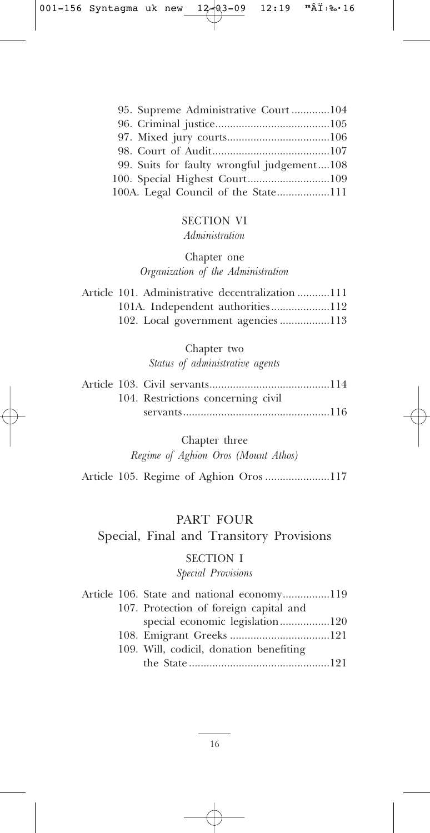| 95. Supreme Administrative Court104        |  |
|--------------------------------------------|--|
|                                            |  |
|                                            |  |
|                                            |  |
| 99. Suits for faulty wrongful judgement108 |  |
|                                            |  |
|                                            |  |

#### SECTION VI

*Administration*

#### Chapter one *Organization of the Administration*

|  | Article 101. Administrative decentralization 111 |  |
|--|--------------------------------------------------|--|
|  | 101A. Independent authorities112                 |  |
|  | 102. Local government agencies113                |  |

#### Chapter two *Status of administrative agents*

|  | 104. Restrictions concerning civil |  |
|--|------------------------------------|--|
|  |                                    |  |

Chapter three

*Regime of Aghion Oros (Mount Athos)*

Article 105. Regime of Aghion Oros ......................117

#### PART FOUR

## Special, Final and Transitory Provisions

#### SECTION I

#### *Special Provisions*

|  | Article 106. State and national economy119 |  |
|--|--------------------------------------------|--|
|  | 107. Protection of foreign capital and     |  |
|  | special economic legislation120            |  |
|  |                                            |  |
|  | 109. Will, codicil, donation benefiting    |  |
|  |                                            |  |
|  |                                            |  |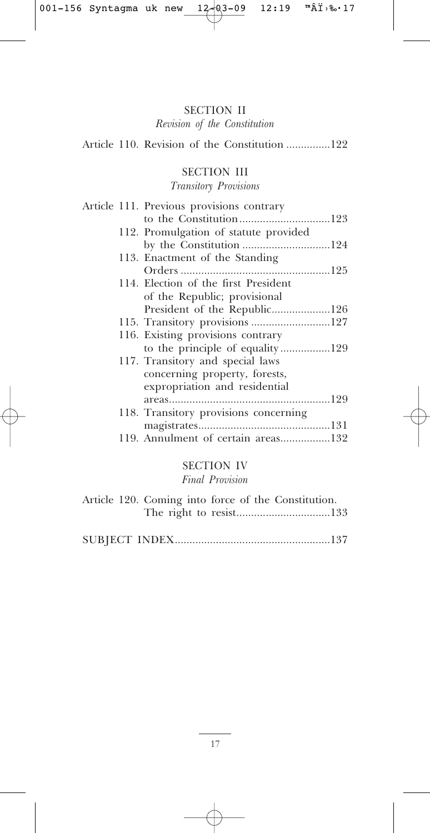001-156 Syntagma uk new 12-03-09 12:19 ™ÂÏ›‰·17

#### SECTION II *Revision of the Constitution*

Article 110. Revision of the Constitution ...............122

#### SECTION III

## *Transitory Provisions*

|  | Article 111. Previous provisions contrary |
|--|-------------------------------------------|
|  |                                           |
|  | 112. Promulgation of statute provided     |
|  | by the Constitution 124                   |
|  | 113. Enactment of the Standing            |
|  |                                           |
|  | 114. Election of the first President      |
|  | of the Republic; provisional              |
|  |                                           |
|  | 115. Transitory provisions 127            |
|  | 116. Existing provisions contrary         |
|  | to the principle of equality129           |
|  | 117. Transitory and special laws          |
|  | concerning property, forests,             |
|  | expropriation and residential             |
|  |                                           |
|  | 118. Transitory provisions concerning     |
|  |                                           |
|  | 119. Annulment of certain areas132        |
|  |                                           |

#### SECTION IV

*Final Provision*

|  |  |  | Article 120. Coming into force of the Constitution. |  |
|--|--|--|-----------------------------------------------------|--|
|  |  |  |                                                     |  |
|  |  |  |                                                     |  |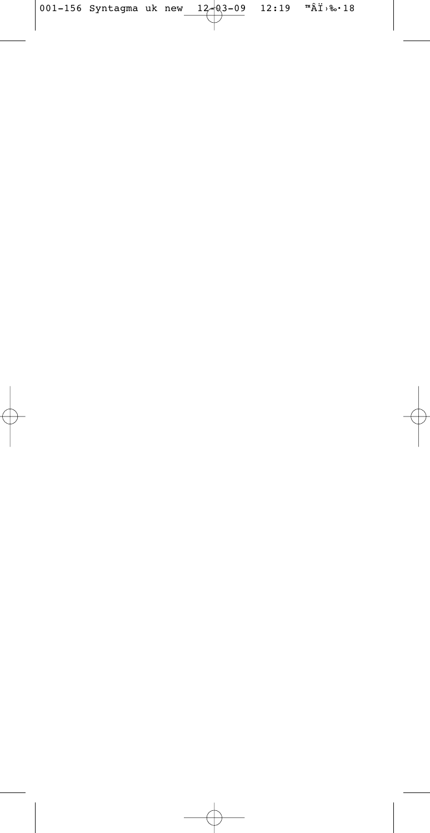001-156 Syntagma uk new 12-03-09 12:19  $\text{M}\hat{A}$  i, %.18

 $\phi$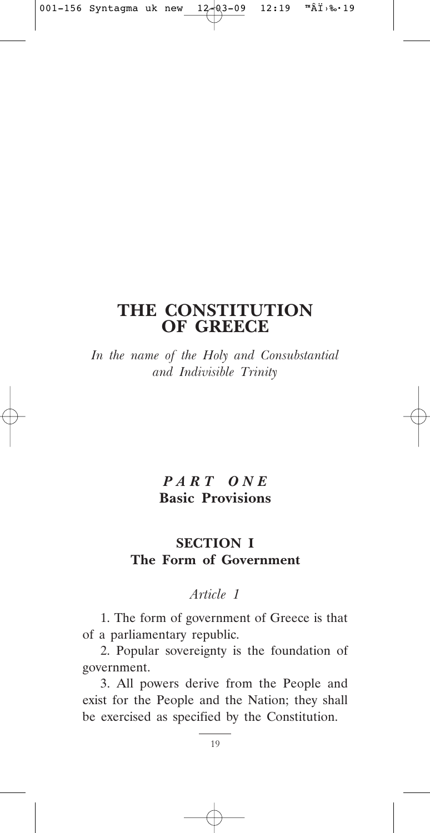## **THE CONSTITUTION OF GREECE**

*In the name of the Holy and Consubstantial and Indivisible Trinity*

## *PART ONE* **Basic Provisions**

## **SECTION I The Form of Government**

*Article 1*

1. The form of government of Greece is that of a parliamentary republic.

2. Popular sovereignty is the foundation of government.

3. All powers derive from the People and exist for the People and the Nation; they shall be exercised as specified by the Constitution.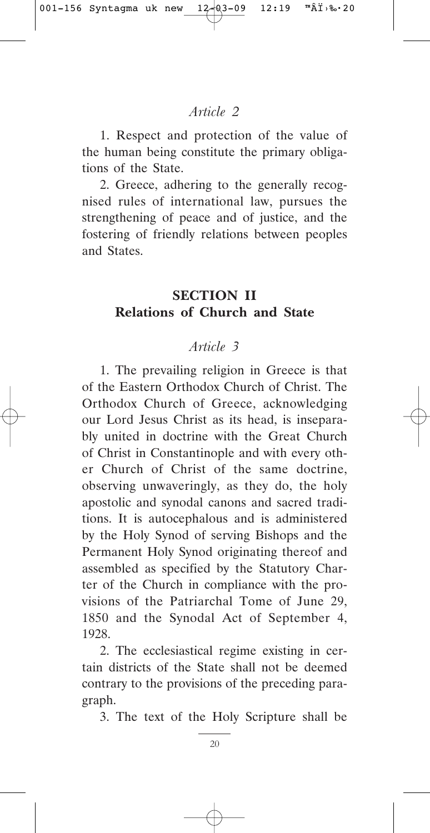#### *Article 2*

1. Respect and protection of the value of the human being constitute the primary obligations of the State.

2. Greece, adhering to the generally recognised rules of international law, pursues the strengthening of peace and of justice, and the fostering of friendly relations between peoples and States.

## **SECTION II Relations of Church and State**

#### *Article 3*

1. The prevailing religion in Greece is that of the Eastern Orthodox Church of Christ. The Orthodox Church of Greece, acknowledging our Lord Jesus Christ as its head, is inseparably united in doctrine with the Great Church of Christ in Constantinople and with every other Church of Christ of the same doctrine, observing unwaveringly, as they do, the holy apostolic and synodal canons and sacred traditions. It is autocephalous and is administered by the Holy Synod of serving Bishops and the Permanent Holy Synod originating thereof and assembled as specified by the Statutory Charter of the Church in compliance with the provisions of the Patriarchal Tome of June 29, 1850 and the Synodal Act of September 4, 1928.

2. The ecclesiastical regime existing in certain districts of the State shall not be deemed contrary to the provisions of the preceding paragraph.

3. The text of the Holy Scripture shall be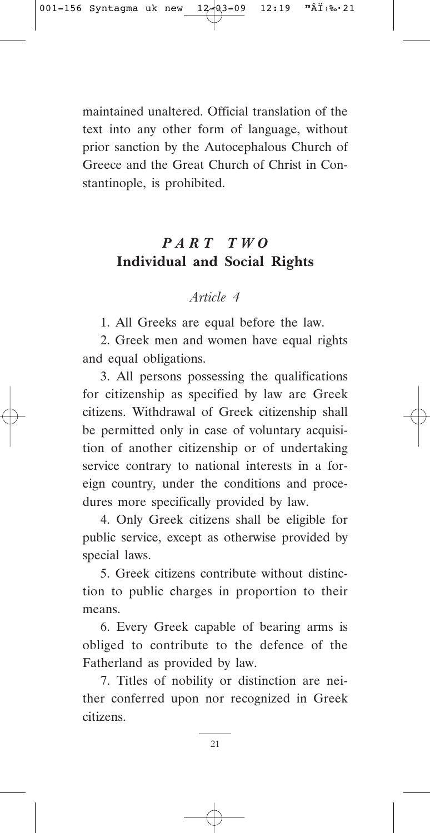maintained unaltered. Official translation of the text into any other form of language, without prior sanction by the Autocephalous Church of Greece and the Great Church of Christ in Constantinople, is prohibited.

## *PART TWO* **Individual and Social Rights**

*Article 4*

1. All Greeks are equal before the law.

2. Greek men and women have equal rights and equal obligations.

3. All persons possessing the qualifications for citizenship as specified by law are Greek citizens. Withdrawal of Greek citizenship shall be permitted only in case of voluntary acquisition of another citizenship or of undertaking service contrary to national interests in a foreign country, under the conditions and procedures more specifically provided by law.

4. Only Greek citizens shall be eligible for public service, except as otherwise provided by special laws.

5. Greek citizens contribute without distinction to public charges in proportion to their means.

6. Every Greek capable of bearing arms is obliged to contribute to the defence of the Fatherland as provided by law.

7. Titles of nobility or distinction are neither conferred upon nor recognized in Greek citizens.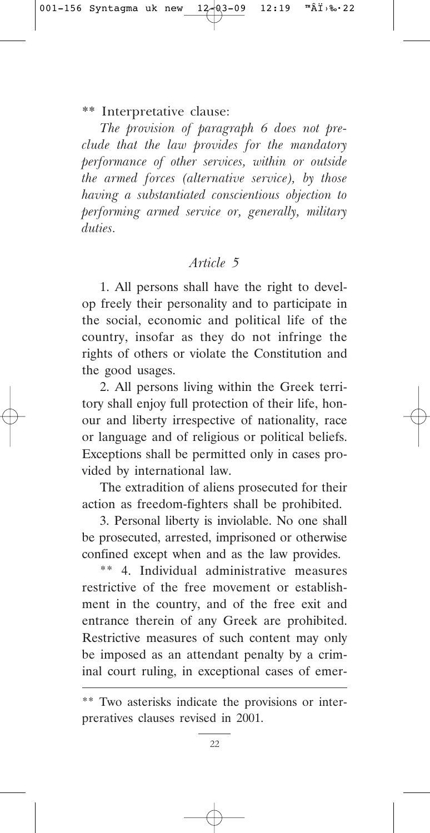\*\* Interpretative clause:

*The provision of paragraph 6 does not preclude that the law provides for the mandatory performance of other services, within or outside the armed forces (alternative service), by those having a substantiated conscientious objection to performing armed service or, generally, military duties.*

#### *Article 5*

1. All persons shall have the right to develop freely their personality and to participate in the social, economic and political life of the country, insofar as they do not infringe the rights of others or violate the Constitution and the good usages.

2. All persons living within the Greek territory shall enjoy full protection of their life, honour and liberty irrespective of nationality, race or language and of religious or political beliefs. Exceptions shall be permitted only in cases provided by international law.

The extradition of aliens prosecuted for their action as freedom-fighters shall be prohibited.

3. Personal liberty is inviolable. No one shall be prosecuted, arrested, imprisoned or otherwise confined except when and as the law provides.

\*\* 4. Individual administrative measures restrictive of the free movement or establishment in the country, and of the free exit and entrance therein of any Greek are prohibited. Restrictive measures of such content may only be imposed as an attendant penalty by a criminal court ruling, in exceptional cases of emer-

<sup>\*\*</sup> Two asterisks indicate the provisions or interpreratives clauses revised in 2001.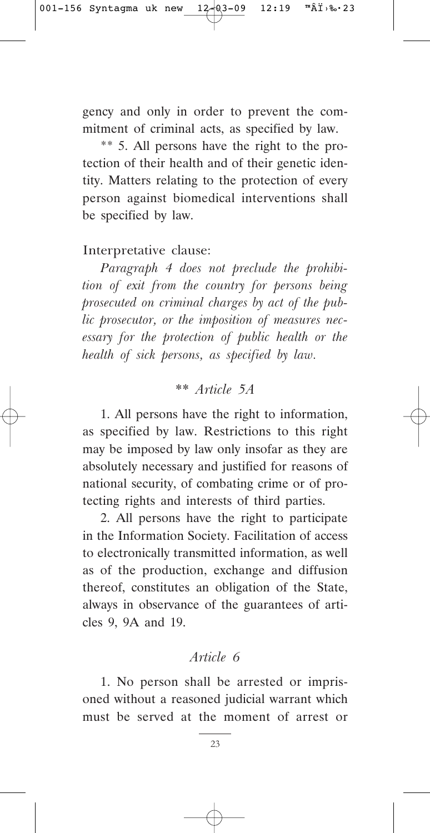gency and only in order to prevent the commitment of criminal acts, as specified by law.

\*\* 5. All persons have the right to the protection of their health and of their genetic identity. Matters relating to the protection of every person against biomedical interventions shall be specified by law.

#### Interpretative clause:

*Paragraph 4 does not preclude the prohibition of exit from the country for persons being prosecuted on criminal charges by act of the public prosecutor, or the imposition of measures necessary for the protection of public health or the health of sick persons, as specified by law.*

#### *\*\* Article 5A*

1. All persons have the right to information, as specified by law. Restrictions to this right may be imposed by law only insofar as they are absolutely necessary and justified for reasons of national security, of combating crime or of protecting rights and interests of third parties.

2. All persons have the right to participate in the Information Society. Facilitation of access to electronically transmitted information, as well as of the production, exchange and diffusion thereof, constitutes an obligation of the State, always in observance of the guarantees of articles 9, 9A and 19.

#### *Article 6*

1. No person shall be arrested or imprisoned without a reasoned judicial warrant which must be served at the moment of arrest or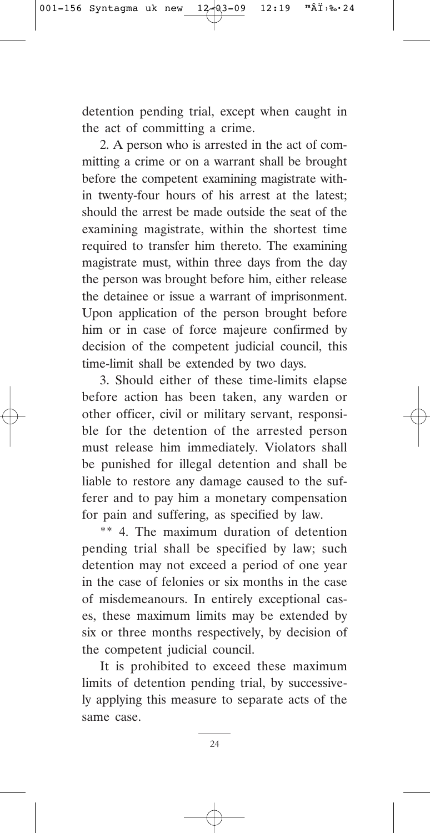detention pending trial, except when caught in the act of committing a crime.

2. A person who is arrested in the act of committing a crime or on a warrant shall be brought before the competent examining magistrate within twenty-four hours of his arrest at the latest; should the arrest be made outside the seat of the examining magistrate, within the shortest time required to transfer him thereto. The examining magistrate must, within three days from the day the person was brought before him, either release the detainee or issue a warrant of imprisonment. Upon application of the person brought before him or in case of force majeure confirmed by decision of the competent judicial council, this time-limit shall be extended by two days.

3. Should either of these time-limits elapse before action has been taken, any warden or other officer, civil or military servant, responsible for the detention of the arrested person must release him immediately. Violators shall be punished for illegal detention and shall be liable to restore any damage caused to the sufferer and to pay him a monetary compensation for pain and suffering, as specified by law.

\*\* 4. The maximum duration of detention pending trial shall be specified by law; such detention may not exceed a period of one year in the case of felonies or six months in the case of misdemeanours. In entirely exceptional cases, these maximum limits may be extended by six or three months respectively, by decision of the competent judicial council.

It is prohibited to exceed these maximum limits of detention pending trial, by successively applying this measure to separate acts of the same case.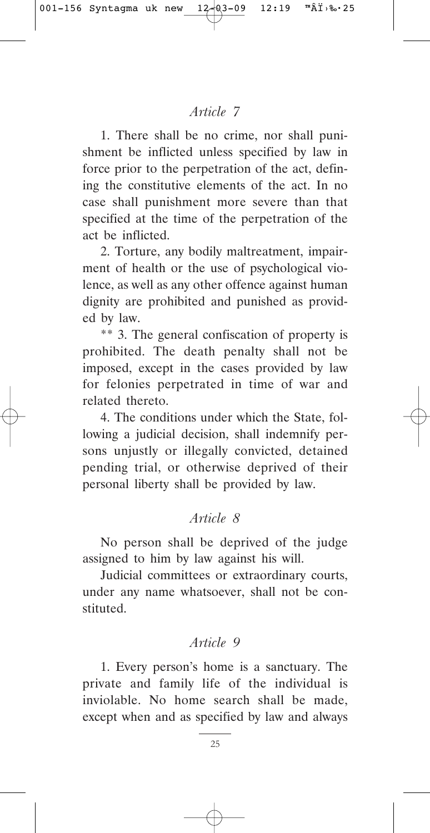#### *Article 7*

1. There shall be no crime, nor shall punishment be inflicted unless specified by law in force prior to the perpetration of the act, defining the constitutive elements of the act. In no case shall punishment more severe than that specified at the time of the perpetration of the act be inflicted.

2. Torture, any bodily maltreatment, impairment of health or the use of psychological violence, as well as any other offence against human dignity are prohibited and punished as provided by law.

\*\* 3. The general confiscation of property is prohibited. The death penalty shall not be imposed, except in the cases provided by law for felonies perpetrated in time of war and related thereto.

4. The conditions under which the State, following a judicial decision, shall indemnify persons unjustly or illegally convicted, detained pending trial, or otherwise deprived of their personal liberty shall be provided by law.

## *Article 8*

No person shall be deprived of the judge assigned to him by law against his will.

Judicial committees or extraordinary courts, under any name whatsoever, shall not be constituted.

## *Article 9*

1. Every person's home is a sanctuary. The private and family life of the individual is inviolable. No home search shall be made, except when and as specified by law and always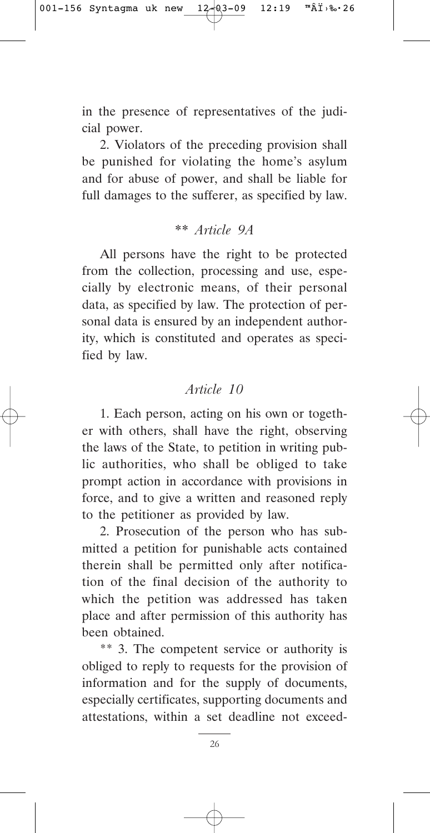in the presence of representatives of the judicial power.

2. Violators of the preceding provision shall be punished for violating the home's asylum and for abuse of power, and shall be liable for full damages to the sufferer, as specified by law.

## *\*\* Article 9A*

All persons have the right to be protected from the collection, processing and use, especially by electronic means, of their personal data, as specified by law. The protection of personal data is ensured by an independent authority, which is constituted and operates as specified by law.

## *Article 10*

1. Each person, acting on his own or together with others, shall have the right, observing the laws of the State, to petition in writing public authorities, who shall be obliged to take prompt action in accordance with provisions in force, and to give a written and reasoned reply to the petitioner as provided by law.

2. Prosecution of the person who has submitted a petition for punishable acts contained therein shall be permitted only after notification of the final decision of the authority to which the petition was addressed has taken place and after permission of this authority has been obtained.

\*\* 3. The competent service or authority is obliged to reply to requests for the provision of information and for the supply of documents, especially certificates, supporting documents and attestations, within a set deadline not exceed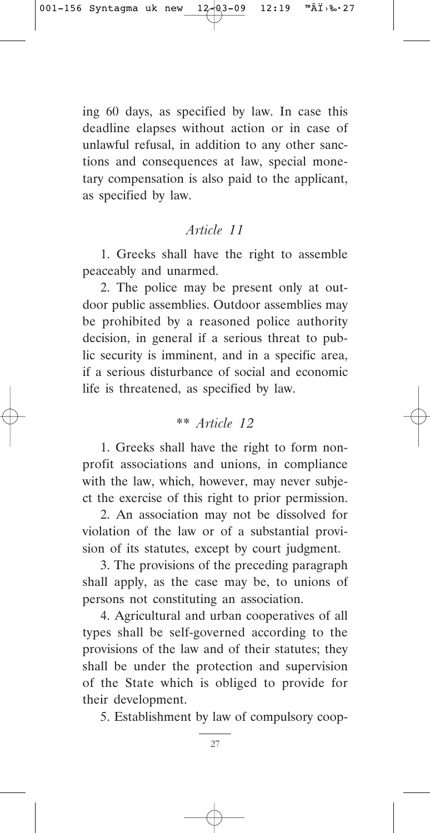ing 60 days, as specified by law. In case this deadline elapses without action or in case of unlawful refusal, in addition to any other sanctions and consequences at law, special monetary compensation is also paid to the applicant, as specified by law.

## *Article 11*

1. Greeks shall have the right to assemble peaceably and unarmed.

2. The police may be present only at outdoor public assemblies. Outdoor assemblies may be prohibited by a reasoned police authority decision, in general if a serious threat to public security is imminent, and in a specific area, if a serious disturbance of social and economic life is threatened, as specified by law.

### *\*\* Article 12*

1. Greeks shall have the right to form nonprofit associations and unions, in compliance with the law, which, however, may never subject the exercise of this right to prior permission.

2. An association may not be dissolved for violation of the law or of a substantial provision of its statutes, except by court judgment.

3. The provisions of the preceding paragraph shall apply, as the case may be, to unions of persons not constituting an association.

4. Agricultural and urban cooperatives of all types shall be self-governed according to the provisions of the law and of their statutes; they shall be under the protection and supervision of the State which is obliged to provide for their development.

5. Establishment by law of compulsory coop-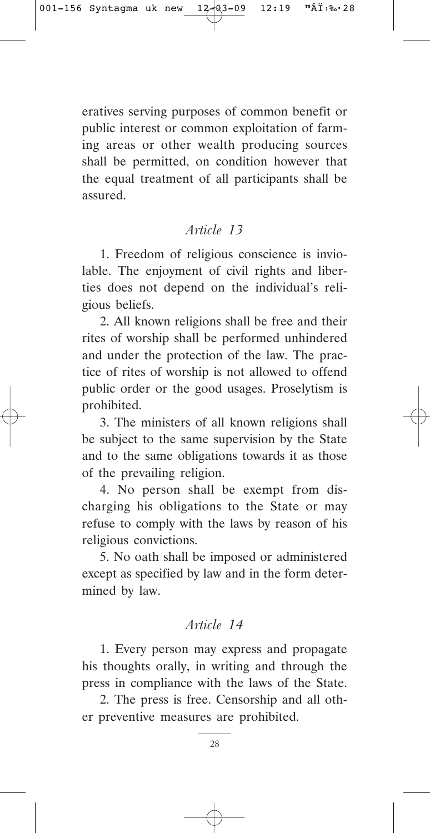eratives serving purposes of common benefit or public interest or common exploitation of farming areas or other wealth producing sources shall be permitted, on condition however that the equal treatment of all participants shall be assured.

## *Article 13*

1. Freedom of religious conscience is inviolable. The enjoyment of civil rights and liberties does not depend on the individual's religious beliefs.

2. All known religions shall be free and their rites of worship shall be performed unhindered and under the protection of the law. The practice of rites of worship is not allowed to offend public order or the good usages. Proselytism is prohibited.

3. The ministers of all known religions shall be subject to the same supervision by the State and to the same obligations towards it as those of the prevailing religion.

4. No person shall be exempt from discharging his obligations to the State or may refuse to comply with the laws by reason of his religious convictions.

5. No oath shall be imposed or administered except as specified by law and in the form determined by law.

#### *Article 14*

1. Every person may express and propagate his thoughts orally, in writing and through the press in compliance with the laws of the State.

2. The press is free. Censorship and all other preventive measures are prohibited.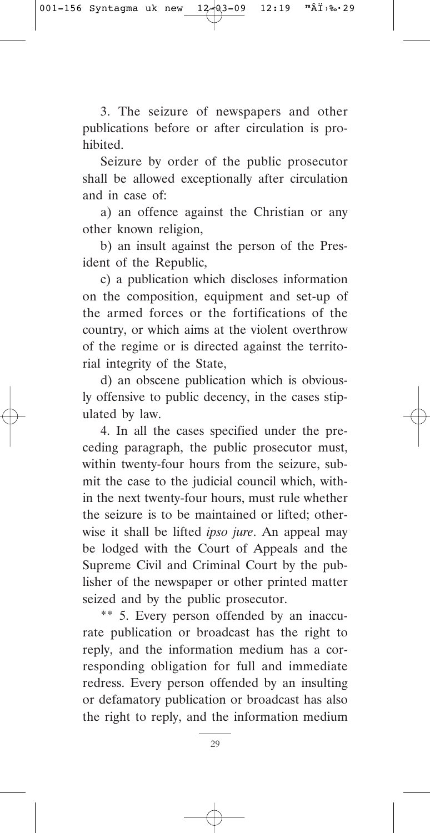001-156 Syntagma uk new 12-03-09 12:19

3. The seizure of newspapers and other publications before or after circulation is prohibited.

Seizure by order of the public prosecutor shall be allowed exceptionally after circulation and in case of:

a) an offence against the Christian or any other known religion,

b) an insult against the person of the President of the Republic,

c) a publication which discloses information on the composition, equipment and set-up of the armed forces or the fortifications of the country, or which aims at the violent overthrow of the regime or is directed against the territorial integrity of the State,

d) an obscene publication which is obviously offensive to public decency, in the cases stipulated by law.

4. In all the cases specified under the preceding paragraph, the public prosecutor must, within twenty-four hours from the seizure, submit the case to the judicial council which, within the next twenty-four hours, must rule whether the seizure is to be maintained or lifted; otherwise it shall be lifted *ipso jure*. An appeal may be lodged with the Court of Appeals and the Supreme Civil and Criminal Court by the publisher of the newspaper or other printed matter seized and by the public prosecutor.

\*\* 5. Every person offended by an inaccurate publication or broadcast has the right to reply, and the information medium has a corresponding obligation for full and immediate redress. Every person offended by an insulting or defamatory publication or broadcast has also the right to reply, and the information medium

29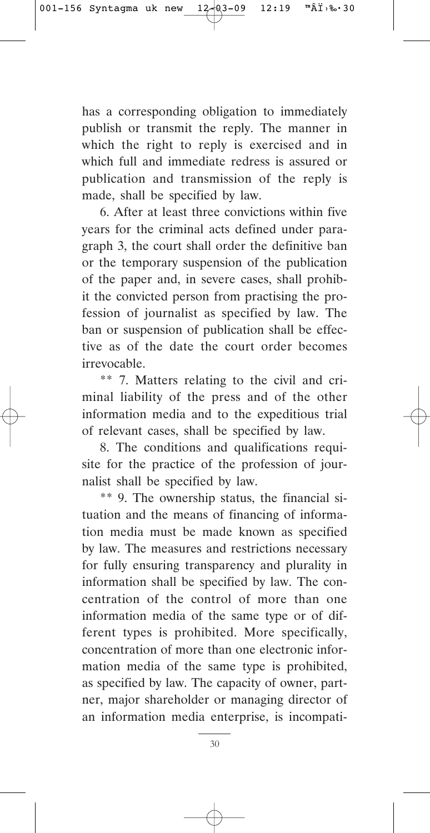has a corresponding obligation to immediately publish or transmit the reply. The manner in which the right to reply is exercised and in which full and immediate redress is assured or publication and transmission of the reply is made, shall be specified by law.

6. After at least three convictions within five years for the criminal acts defined under paragraph 3, the court shall order the definitive ban or the temporary suspension of the publication of the paper and, in severe cases, shall prohibit the convicted person from practising the profession of journalist as specified by law. The ban or suspension of publication shall be effective as of the date the court order becomes irrevocable.

\*\* 7. Matters relating to the civil and criminal liability of the press and of the other information media and to the expeditious trial of relevant cases, shall be specified by law.

8. The conditions and qualifications requisite for the practice of the profession of journalist shall be specified by law.

\*\* 9. The ownership status, the financial situation and the means of financing of information media must be made known as specified by law. The measures and restrictions necessary for fully ensuring transparency and plurality in information shall be specified by law. The concentration of the control of more than one information media of the same type or of different types is prohibited. More specifically, concentration of more than one electronic information media of the same type is prohibited, as specified by law. The capacity of owner, partner, major shareholder or managing director of an information media enterprise, is incompati-

30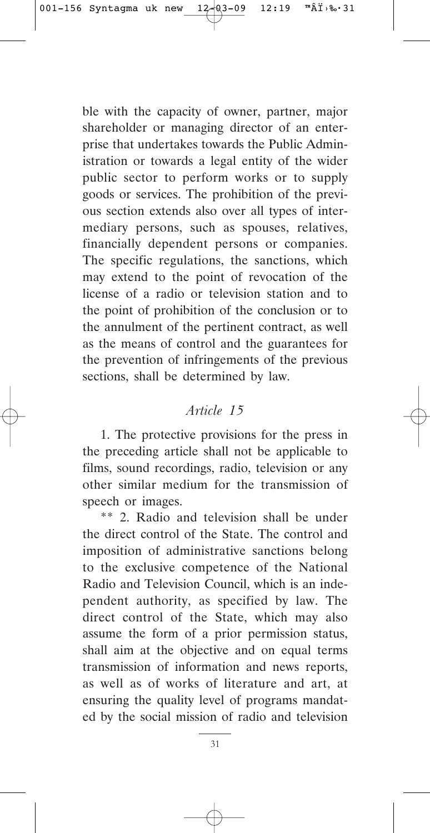ble with the capacity of owner, partner, major shareholder or managing director of an enterprise that undertakes towards the Public Administration or towards a legal entity of the wider public sector to perform works or to supply goods or services. The prohibition of the previous section extends also over all types of intermediary persons, such as spouses, relatives, financially dependent persons or companies. The specific regulations, the sanctions, which may extend to the point of revocation of the license of a radio or television station and to the point of prohibition of the conclusion or to the annulment of the pertinent contract, as well as the means of control and the guarantees for the prevention of infringements of the previous sections, shall be determined by law.

## *Article 15*

1. The protective provisions for the press in the preceding article shall not be applicable to films, sound recordings, radio, television or any other similar medium for the transmission of speech or images.

\*\* 2. Radio and television shall be under the direct control of the State. The control and imposition of administrative sanctions belong to the exclusive competence of the National Radio and Television Council, which is an independent authority, as specified by law. The direct control of the State, which may also assume the form of a prior permission status, shall aim at the objective and on equal terms transmission of information and news reports, as well as of works of literature and art, at ensuring the quality level of programs mandated by the social mission of radio and television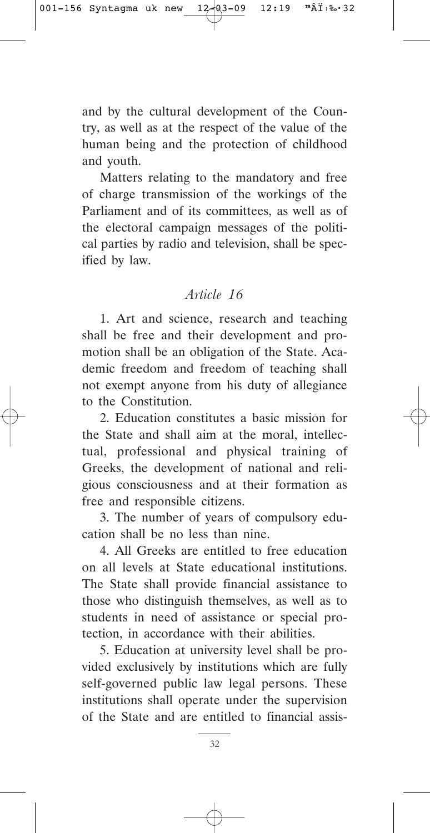and by the cultural development of the Country, as well as at the respect of the value of the human being and the protection of childhood and youth.

Matters relating to the mandatory and free of charge transmission of the workings of the Parliament and of its committees, as well as of the electoral campaign messages of the political parties by radio and television, shall be specified by law.

## *Article 16*

1. Art and science, research and teaching shall be free and their development and promotion shall be an obligation of the State. Academic freedom and freedom of teaching shall not exempt anyone from his duty of allegiance to the Constitution.

2. Education constitutes a basic mission for the State and shall aim at the moral, intellectual, professional and physical training of Greeks, the development of national and religious consciousness and at their formation as free and responsible citizens.

3. The number of years of compulsory education shall be no less than nine.

4. All Greeks are entitled to free education on all levels at State educational institutions. The State shall provide financial assistance to those who distinguish themselves, as well as to students in need of assistance or special protection, in accordance with their abilities.

5. Education at university level shall be provided exclusively by institutions which are fully self-governed public law legal persons. These institutions shall operate under the supervision of the State and are entitled to financial assis-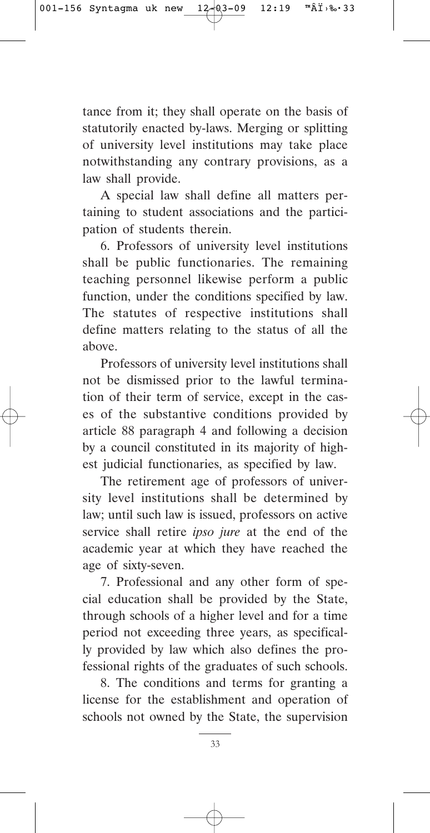tance from it; they shall operate on the basis of statutorily enacted by-laws. Merging or splitting of university level institutions may take place notwithstanding any contrary provisions, as a law shall provide.

A special law shall define all matters pertaining to student associations and the participation of students therein.

6. Professors of university level institutions shall be public functionaries. The remaining teaching personnel likewise perform a public function, under the conditions specified by law. The statutes of respective institutions shall define matters relating to the status of all the above.

Professors of university level institutions shall not be dismissed prior to the lawful termination of their term of service, except in the cases of the substantive conditions provided by article 88 paragraph 4 and following a decision by a council constituted in its majority of highest judicial functionaries, as specified by law.

The retirement age of professors of university level institutions shall be determined by law; until such law is issued, professors on active service shall retire *ipso jure* at the end of the academic year at which they have reached the age of sixty-seven.

7. Professional and any other form of special education shall be provided by the State, through schools of a higher level and for a time period not exceeding three years, as specifically provided by law which also defines the professional rights of the graduates of such schools.

8. The conditions and terms for granting a license for the establishment and operation of schools not owned by the State, the supervision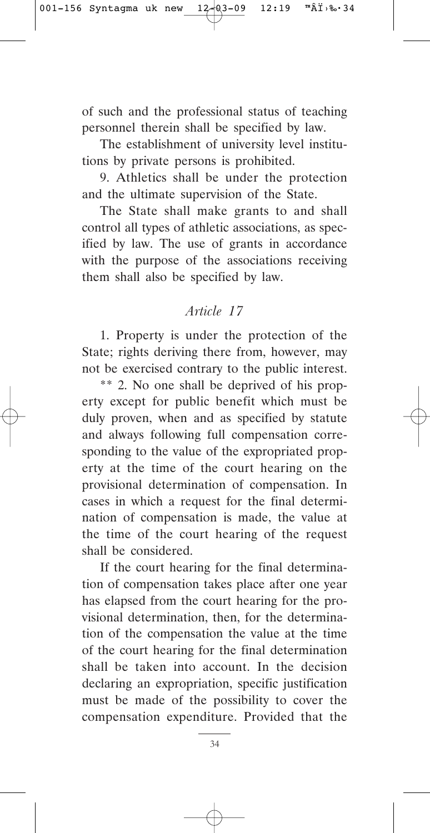of such and the professional status of teaching personnel therein shall be specified by law.

The establishment of university level institutions by private persons is prohibited.

9. Athletics shall be under the protection and the ultimate supervision of the State.

The State shall make grants to and shall control all types of athletic associations, as specified by law. The use of grants in accordance with the purpose of the associations receiving them shall also be specified by law.

## *Article 17*

1. Property is under the protection of the State; rights deriving there from, however, may not be exercised contrary to the public interest.

\*\* 2. No one shall be deprived of his property except for public benefit which must be duly proven, when and as specified by statute and always following full compensation corresponding to the value of the expropriated property at the time of the court hearing on the provisional determination of compensation. In cases in which a request for the final determination of compensation is made, the value at the time of the court hearing of the request shall be considered.

If the court hearing for the final determination of compensation takes place after one year has elapsed from the court hearing for the provisional determination, then, for the determination of the compensation the value at the time of the court hearing for the final determination shall be taken into account. In the decision declaring an expropriation, specific justification must be made of the possibility to cover the compensation expenditure. Provided that the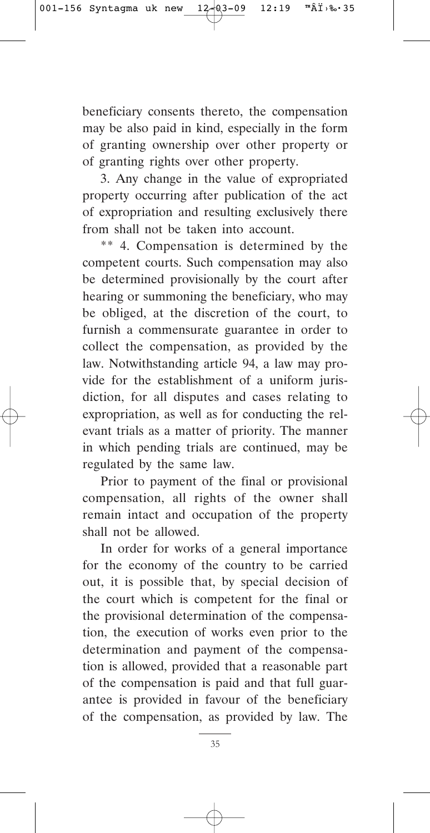beneficiary consents thereto, the compensation may be also paid in kind, especially in the form of granting ownership over other property or of granting rights over other property.

3. Any change in the value of expropriated property occurring after publication of the act of expropriation and resulting exclusively there from shall not be taken into account.

\*\* 4. Compensation is determined by the competent courts. Such compensation may also be determined provisionally by the court after hearing or summoning the beneficiary, who may be obliged, at the discretion of the court, to furnish a commensurate guarantee in order to collect the compensation, as provided by the law. Notwithstanding article 94, a law may provide for the establishment of a uniform jurisdiction, for all disputes and cases relating to expropriation, as well as for conducting the relevant trials as a matter of priority. The manner in which pending trials are continued, may be regulated by the same law.

Prior to payment of the final or provisional compensation, all rights of the owner shall remain intact and occupation of the property shall not be allowed.

In order for works of a general importance for the economy of the country to be carried out, it is possible that, by special decision of the court which is competent for the final or the provisional determination of the compensation, the execution of works even prior to the determination and payment of the compensation is allowed, provided that a reasonable part of the compensation is paid and that full guarantee is provided in favour of the beneficiary of the compensation, as provided by law. The

35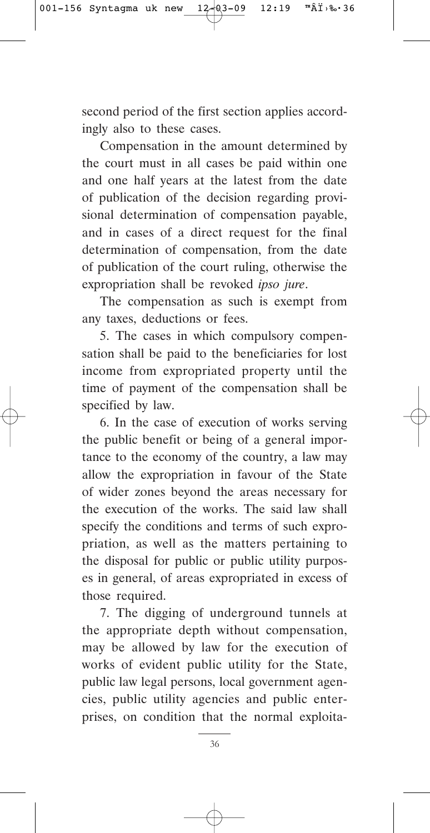second period of the first section applies accordingly also to these cases.

Compensation in the amount determined by the court must in all cases be paid within one and one half years at the latest from the date of publication of the decision regarding provisional determination of compensation payable, and in cases of a direct request for the final determination of compensation, from the date of publication of the court ruling, otherwise the expropriation shall be revoked *ipso jure*.

The compensation as such is exempt from any taxes, deductions or fees.

5. The cases in which compulsory compensation shall be paid to the beneficiaries for lost income from expropriated property until the time of payment of the compensation shall be specified by law.

6. In the case of execution of works serving the public benefit or being of a general importance to the economy of the country, a law may allow the expropriation in favour of the State of wider zones beyond the areas necessary for the execution of the works. The said law shall specify the conditions and terms of such expropriation, as well as the matters pertaining to the disposal for public or public utility purposes in general, of areas expropriated in excess of those required.

7. The digging of underground tunnels at the appropriate depth without compensation, may be allowed by law for the execution of works of evident public utility for the State, public law legal persons, local government agencies, public utility agencies and public enterprises, on condition that the normal exploita-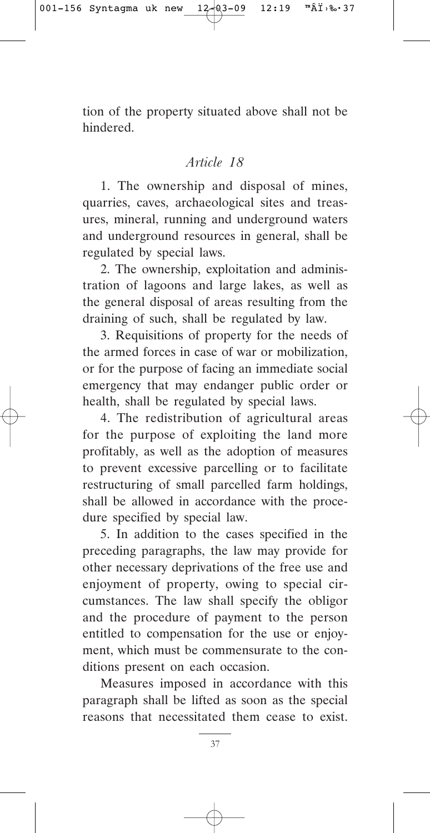001-156 Syntagma uk new 12-03-09 12:19

tion of the property situated above shall not be hindered.

## *Article 18*

1. The ownership and disposal of mines, quarries, caves, archaeological sites and treasures, mineral, running and underground waters and underground resources in general, shall be regulated by special laws.

2. The ownership, exploitation and administration of lagoons and large lakes, as well as the general disposal of areas resulting from the draining of such, shall be regulated by law.

3. Requisitions of property for the needs of the armed forces in case of war or mobilization, or for the purpose of facing an immediate social emergency that may endanger public order or health, shall be regulated by special laws.

4. The redistribution of agricultural areas for the purpose of exploiting the land more profitably, as well as the adoption of measures to prevent excessive parcelling or to facilitate restructuring of small parcelled farm holdings, shall be allowed in accordance with the procedure specified by special law.

5. In addition to the cases specified in the preceding paragraphs, the law may provide for other necessary deprivations of the free use and enjoyment of property, owing to special circumstances. The law shall specify the obligor and the procedure of payment to the person entitled to compensation for the use or enjoyment, which must be commensurate to the conditions present on each occasion.

Measures imposed in accordance with this paragraph shall be lifted as soon as the special reasons that necessitated them cease to exist.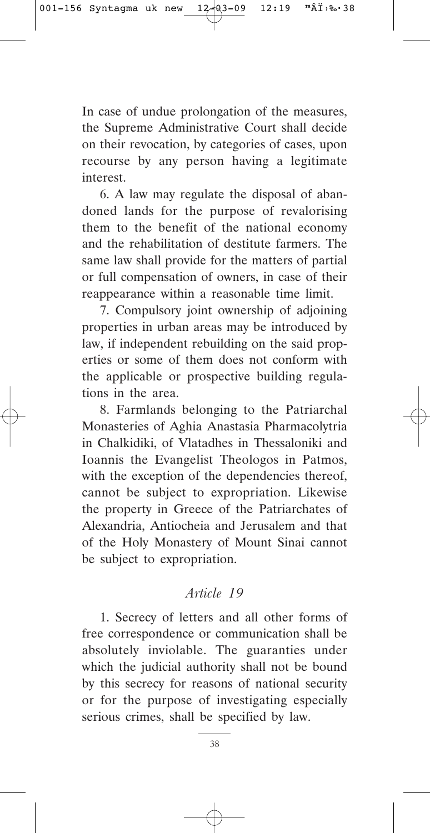In case of undue prolongation of the measures, the Supreme Administrative Court shall decide on their revocation, by categories of cases, upon recourse by any person having a legitimate interest.

6. A law may regulate the disposal of abandoned lands for the purpose of revalorising them to the benefit of the national economy and the rehabilitation of destitute farmers. The same law shall provide for the matters of partial or full compensation of owners, in case of their reappearance within a reasonable time limit.

7. Compulsory joint ownership of adjoining properties in urban areas may be introduced by law, if independent rebuilding on the said properties or some of them does not conform with the applicable or prospective building regulations in the area.

8. Farmlands belonging to the Patriarchal Monasteries of Aghia Anastasia Pharmacolytria in Chalkidiki, of Vlatadhes in Thessaloniki and Ioannis the Evangelist Theologos in Patmos, with the exception of the dependencies thereof, cannot be subject to expropriation. Likewise the property in Greece of the Patriarchates of Alexandria, Antiocheia and Jerusalem and that of the Holy Monastery of Mount Sinai cannot be subject to expropriation.

## *Article 19*

1. Secrecy of letters and all other forms of free correspondence or communication shall be absolutely inviolable. The guaranties under which the judicial authority shall not be bound by this secrecy for reasons of national security or for the purpose of investigating especially serious crimes, shall be specified by law.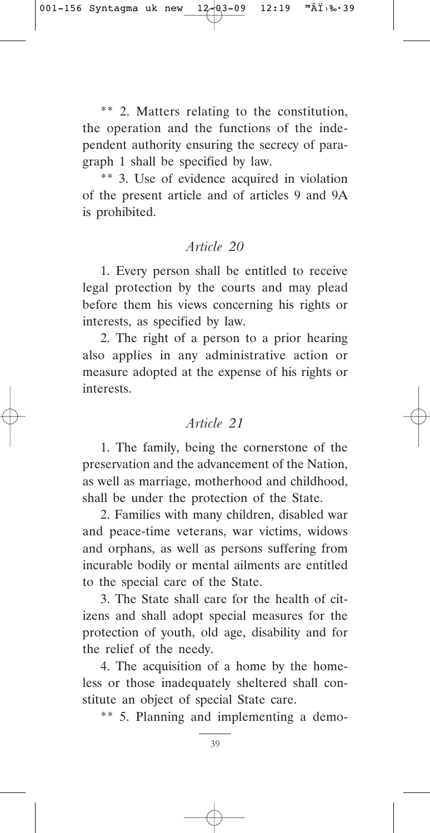001-156 Syntagma uk new 12-03-09 12:19

\*\* 2. Matters relating to the constitution, the operation and the functions of the independent authority ensuring the secrecy of paragraph 1 shall be specified by law.

\*\* 3. Use of evidence acquired in violation of the present article and of articles 9 and 9A is prohibited.

# *Article 20*

1. Every person shall be entitled to receive legal protection by the courts and may plead before them his views concerning his rights or interests, as specified by law.

2. The right of a person to a prior hearing also applies in any administrative action or measure adopted at the expense of his rights or interests.

### *Article 21*

1. The family, being the cornerstone of the preservation and the advancement of the Nation, as well as marriage, motherhood and childhood, shall be under the protection of the State.

2. Families with many children, disabled war and peace-time veterans, war victims, widows and orphans, as well as persons suffering from incurable bodily or mental ailments are entitled to the special care of the State.

3. The State shall care for the health of citizens and shall adopt special measures for the protection of youth, old age, disability and for the relief of the needy.

4. The acquisition of a home by the homeless or those inadequately sheltered shall constitute an object of special State care.

\*\* 5. Planning and implementing a demo-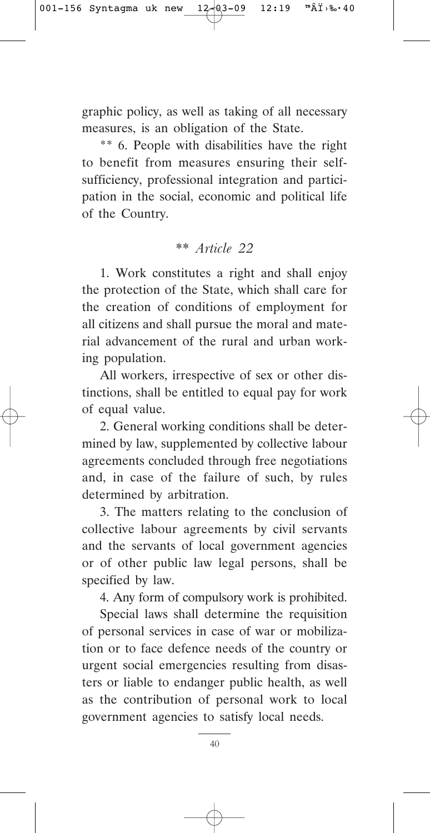graphic policy, as well as taking of all necessary measures, is an obligation of the State.

\*\* 6. People with disabilities have the right to benefit from measures ensuring their selfsufficiency, professional integration and participation in the social, economic and political life of the Country.

### *\*\* Article 22*

1. Work constitutes a right and shall enjoy the protection of the State, which shall care for the creation of conditions of employment for all citizens and shall pursue the moral and material advancement of the rural and urban working population.

All workers, irrespective of sex or other distinctions, shall be entitled to equal pay for work of equal value.

2. General working conditions shall be determined by law, supplemented by collective labour agreements concluded through free negotiations and, in case of the failure of such, by rules determined by arbitration.

3. The matters relating to the conclusion of collective labour agreements by civil servants and the servants of local government agencies or of other public law legal persons, shall be specified by law.

4. Any form of compulsory work is prohibited.

Special laws shall determine the requisition of personal services in case of war or mobilization or to face defence needs of the country or urgent social emergencies resulting from disasters or liable to endanger public health, as well as the contribution of personal work to local government agencies to satisfy local needs.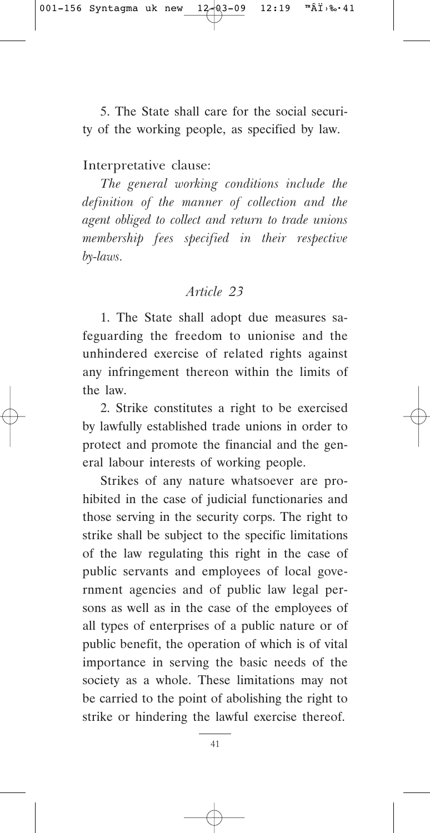Syntagma uk new  $12-03-09$  12:19

5. The State shall care for the social security of the working people, as specified by law.

### Interpretative clause:

*The general working conditions include the definition of the manner of collection and the agent obliged to collect and return to trade unions membership fees specified in their respective by-laws.*

# *Article 23*

1. The State shall adopt due measures safeguarding the freedom to unionise and the unhindered exercise of related rights against any infringement thereon within the limits of the law.

2. Strike constitutes a right to be exercised by lawfully established trade unions in order to protect and promote the financial and the general labour interests of working people.

Strikes of any nature whatsoever are prohibited in the case of judicial functionaries and those serving in the security corps. The right to strike shall be subject to the specific limitations of the law regulating this right in the case of public servants and employees of local government agencies and of public law legal persons as well as in the case of the employees of all types of enterprises of a public nature or of public benefit, the operation of which is of vital importance in serving the basic needs of the society as a whole. These limitations may not be carried to the point of abolishing the right to strike or hindering the lawful exercise thereof.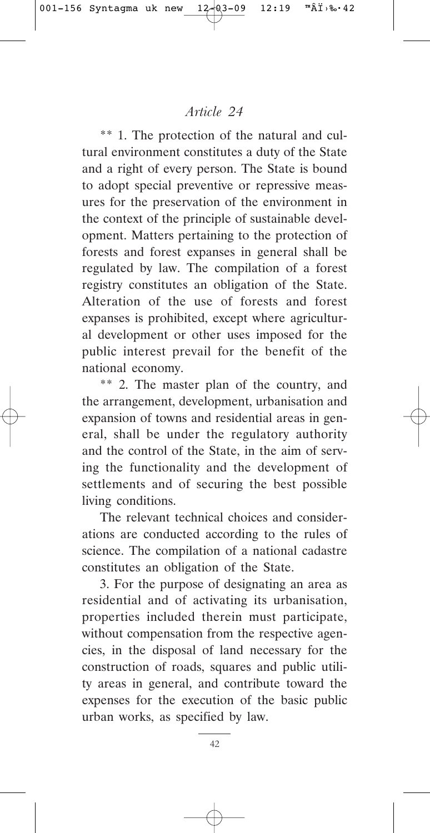### *Article 24*

\*\* 1. The protection of the natural and cultural environment constitutes a duty of the State and a right of every person. The State is bound to adopt special preventive or repressive measures for the preservation of the environment in the context of the principle of sustainable development. Matters pertaining to the protection of forests and forest expanses in general shall be regulated by law. The compilation of a forest registry constitutes an obligation of the State. Alteration of the use of forests and forest expanses is prohibited, except where agricultural development or other uses imposed for the public interest prevail for the benefit of the national economy.

\*\* 2. The master plan of the country, and the arrangement, development, urbanisation and expansion of towns and residential areas in general, shall be under the regulatory authority and the control of the State, in the aim of serving the functionality and the development of settlements and of securing the best possible living conditions.

The relevant technical choices and considerations are conducted according to the rules of science. The compilation of a national cadastre constitutes an obligation of the State.

3. For the purpose of designating an area as residential and of activating its urbanisation, properties included therein must participate, without compensation from the respective agencies, in the disposal of land necessary for the construction of roads, squares and public utility areas in general, and contribute toward the expenses for the execution of the basic public urban works, as specified by law.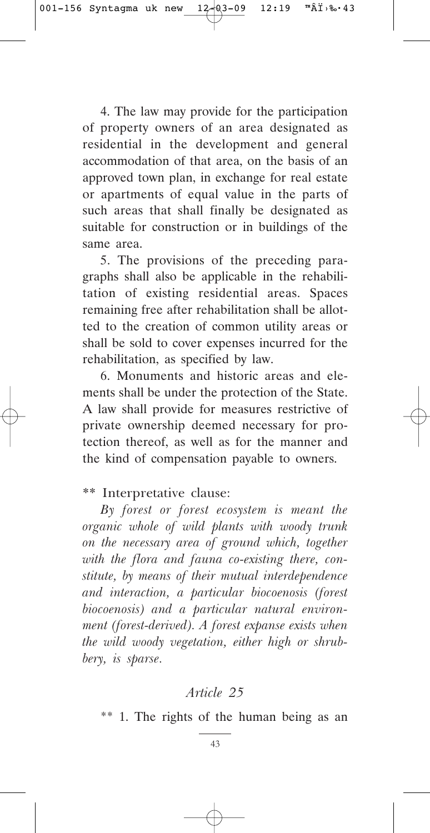001-156 Syntagma uk new 12-03-09 12:19

4. The law may provide for the participation of property owners of an area designated as residential in the development and general accommodation of that area, on the basis of an approved town plan, in exchange for real estate or apartments of equal value in the parts of such areas that shall finally be designated as suitable for construction or in buildings of the same area.

5. The provisions of the preceding paragraphs shall also be applicable in the rehabilitation of existing residential areas. Spaces remaining free after rehabilitation shall be allotted to the creation of common utility areas or shall be sold to cover expenses incurred for the rehabilitation, as specified by law.

6. Monuments and historic areas and elements shall be under the protection of the State. A law shall provide for measures restrictive of private ownership deemed necessary for protection thereof, as well as for the manner and the kind of compensation payable to owners.

### \*\* Interpretative clause:

*By forest or forest ecosystem is meant the organic whole of wild plants with woody trunk on the necessary area of ground which, together with the flora and fauna co-existing there, constitute, by means of their mutual interdependence and interaction, a particular biocoenosis (forest biocoenosis) and a particular natural environment (forest-derived). A forest expanse exists when the wild woody vegetation, either high or shrubbery, is sparse.* 

#### *Article 25*

1. The rights of the human being as an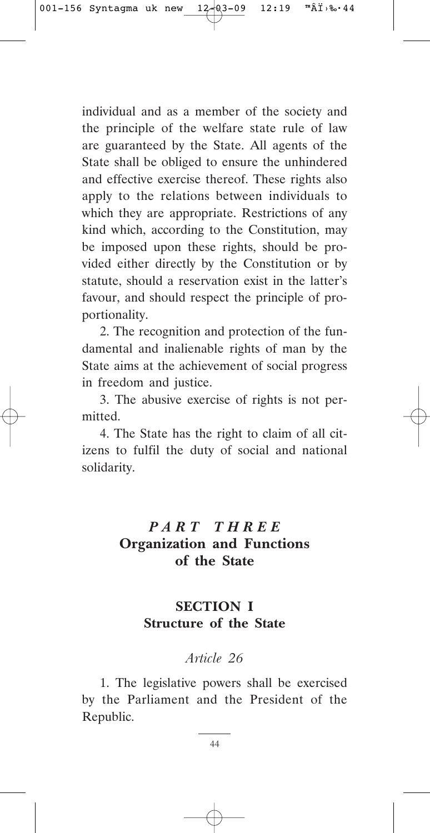individual and as a member of the society and the principle of the welfare state rule of law are guaranteed by the State. All agents of the State shall be obliged to ensure the unhindered and effective exercise thereof. These rights also apply to the relations between individuals to which they are appropriate. Restrictions of any kind which, according to the Constitution, may be imposed upon these rights, should be provided either directly by the Constitution or by statute, should a reservation exist in the latter's favour, and should respect the principle of proportionality.

2. The recognition and protection of the fundamental and inalienable rights of man by the State aims at the achievement of social progress in freedom and justice.

3. The abusive exercise of rights is not permitted.

4. The State has the right to claim of all citizens to fulfil the duty of social and national solidarity.

# *PART THREE* **Organization and Functions of the State**

# **SECTION I Structure of the State**

### *Article 26*

1. The legislative powers shall be exercised by the Parliament and the President of the Republic.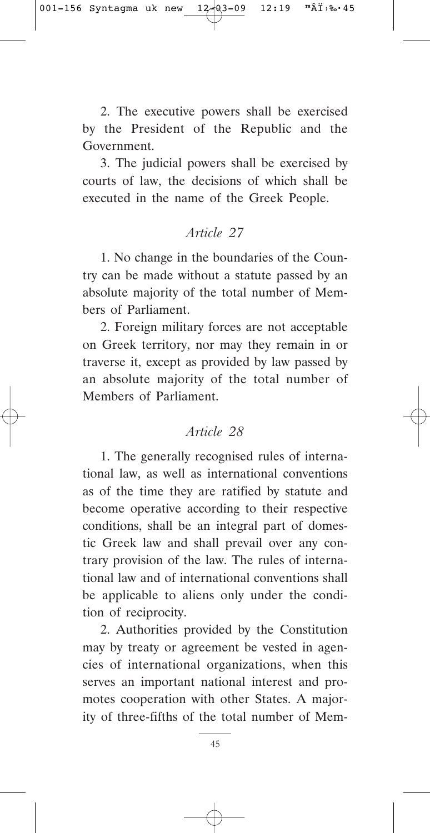Syntagma uk new  $12-03-09$  12:19

2. The executive powers shall be exercised by the President of the Republic and the Government.

3. The judicial powers shall be exercised by courts of law, the decisions of which shall be executed in the name of the Greek People.

# *Article 27*

1. No change in the boundaries of the Country can be made without a statute passed by an absolute majority of the total number of Members of Parliament.

2. Foreign military forces are not acceptable on Greek territory, nor may they remain in or traverse it, except as provided by law passed by an absolute majority of the total number of Members of Parliament.

# *Article 28*

1. The generally recognised rules of international law, as well as international conventions as of the time they are ratified by statute and become operative according to their respective conditions, shall be an integral part of domestic Greek law and shall prevail over any contrary provision of the law. The rules of international law and of international conventions shall be applicable to aliens only under the condition of reciprocity.

2. Authorities provided by the Constitution may by treaty or agreement be vested in agencies of international organizations, when this serves an important national interest and promotes cooperation with other States. A majority of three-fifths of the total number of Mem-

45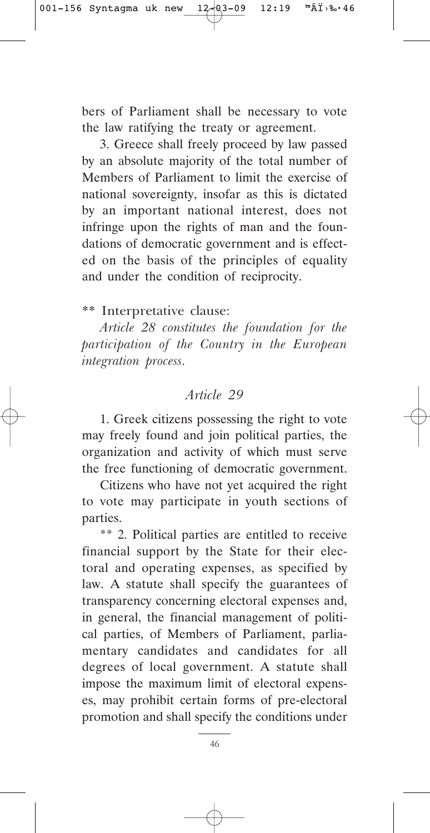bers of Parliament shall be necessary to vote the law ratifying the treaty or agreement.

3. Greece shall freely proceed by law passed by an absolute majority of the total number of Members of Parliament to limit the exercise of national sovereignty, insofar as this is dictated by an important national interest, does not infringe upon the rights of man and the foundations of democratic government and is effected on the basis of the principles of equality and under the condition of reciprocity.

### \*\* Interpretative clause:

*Article 28 constitutes the foundation for the participation of the Country in the European integration process.* 

# *Article 29*

1. Greek citizens possessing the right to vote may freely found and join political parties, the organization and activity of which must serve the free functioning of democratic government.

Citizens who have not yet acquired the right to vote may participate in youth sections of parties.

\*\* 2. Political parties are entitled to receive financial support by the State for their electoral and operating expenses, as specified by law. A statute shall specify the guarantees of transparency concerning electoral expenses and, in general, the financial management of political parties, of Members of Parliament, parliamentary candidates and candidates for all degrees of local government. A statute shall impose the maximum limit of electoral expenses, may prohibit certain forms of pre-electoral promotion and shall specify the conditions under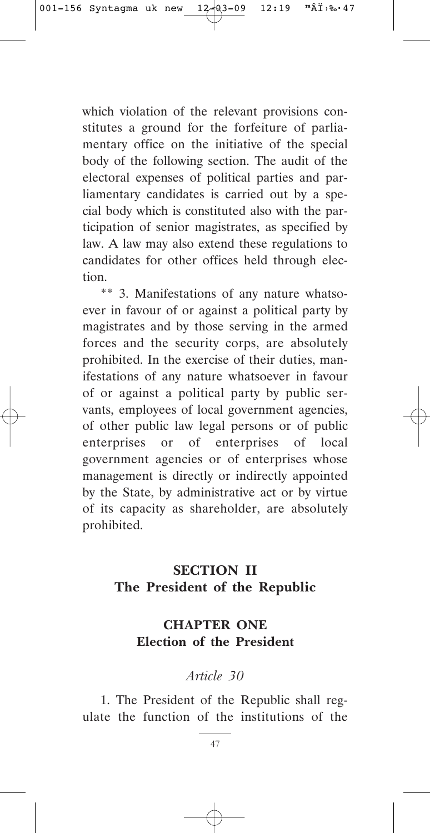which violation of the relevant provisions constitutes a ground for the forfeiture of parliamentary office on the initiative of the special body of the following section. The audit of the electoral expenses of political parties and parliamentary candidates is carried out by a special body which is constituted also with the participation of senior magistrates, as specified by law. A law may also extend these regulations to candidates for other offices held through election.

\*\* 3. Manifestations of any nature whatsoever in favour of or against a political party by magistrates and by those serving in the armed forces and the security corps, are absolutely prohibited. In the exercise of their duties, manifestations of any nature whatsoever in favour of or against a political party by public servants, employees of local government agencies, of other public law legal persons or of public enterprises or of enterprises of local government agencies or of enterprises whose management is directly or indirectly appointed by the State, by administrative act or by virtue of its capacity as shareholder, are absolutely prohibited.

## **SECTION II The President of the Republic**

# **CHAPTER ONE Election of the President**

### *Article 30*

1. The President of the Republic shall regulate the function of the institutions of the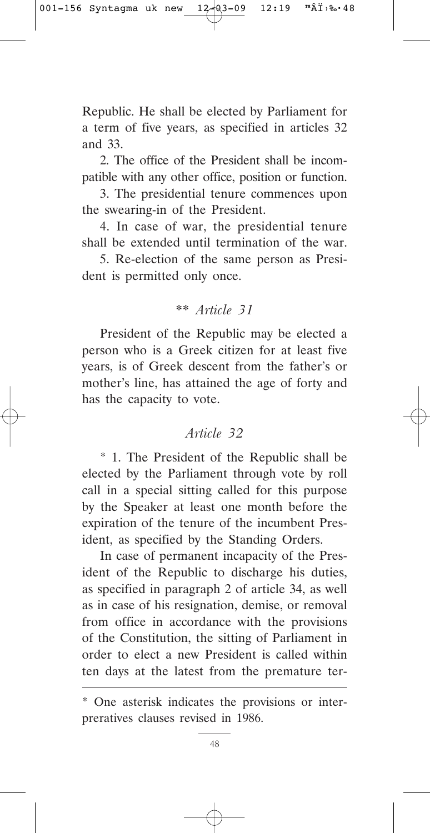001-156 Syntagma uk new 12-03-09 12:19

Republic. He shall be elected by Parliament for a term of five years, as specified in articles 32 and 33.

2. The office of the President shall be incompatible with any other office, position or function.

3. The presidential tenure commences upon the swearing-in of the President.

4. In case of war, the presidential tenure shall be extended until termination of the war.

5. Re-election of the same person as President is permitted only once.

## *\*\* Article 31*

President of the Republic may be elected a person who is a Greek citizen for at least five years, is of Greek descent from the father's or mother's line, has attained the age of forty and has the capacity to vote.

## *Article 32*

\* 1. The President of the Republic shall be elected by the Parliament through vote by roll call in a special sitting called for this purpose by the Speaker at least one month before the expiration of the tenure of the incumbent President, as specified by the Standing Orders.

In case of permanent incapacity of the President of the Republic to discharge his duties, as specified in paragraph 2 of article 34, as well as in case of his resignation, demise, or removal from office in accordance with the provisions of the Constitution, the sitting of Parliament in order to elect a new President is called within ten days at the latest from the premature ter-

<sup>\*</sup> One asterisk indicates the provisions or interpreratives clauses revised in 1986.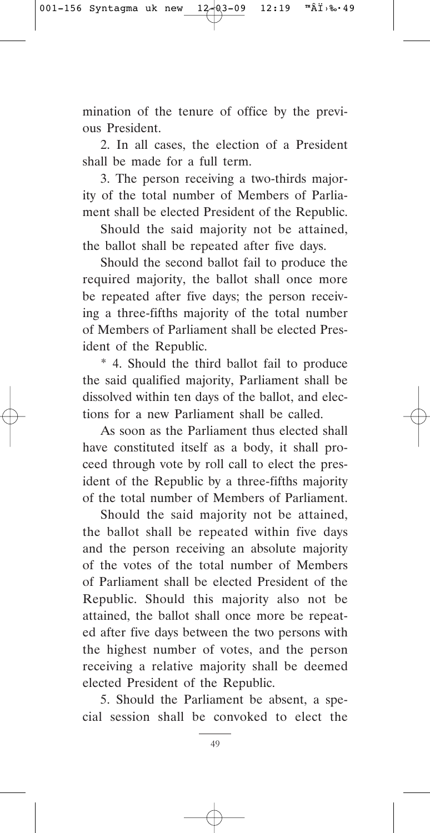mination of the tenure of office by the previous President.

2. In all cases, the election of a President shall be made for a full term.

3. The person receiving a two-thirds majority of the total number of Members of Parliament shall be elected President of the Republic.

Should the said majority not be attained, the ballot shall be repeated after five days.

Should the second ballot fail to produce the required majority, the ballot shall once more be repeated after five days; the person receiving a three-fifths majority of the total number of Members of Parliament shall be elected President of the Republic.

\* 4. Should the third ballot fail to produce the said qualified majority, Parliament shall be dissolved within ten days of the ballot, and elections for a new Parliament shall be called.

As soon as the Parliament thus elected shall have constituted itself as a body, it shall proceed through vote by roll call to elect the president of the Republic by a three-fifths majority of the total number of Members of Parliament.

Should the said majority not be attained, the ballot shall be repeated within five days and the person receiving an absolute majority of the votes of the total number of Members of Parliament shall be elected President of the Republic. Should this majority also not be attained, the ballot shall once more be repeated after five days between the two persons with the highest number of votes, and the person receiving a relative majority shall be deemed elected President of the Republic.

5. Should the Parliament be absent, a special session shall be convoked to elect the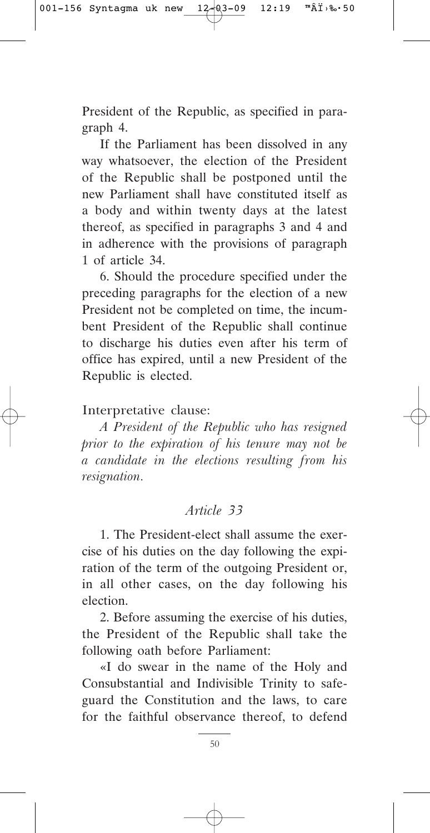President of the Republic, as specified in paragraph 4.

If the Parliament has been dissolved in any way whatsoever, the election of the President of the Republic shall be postponed until the new Parliament shall have constituted itself as a body and within twenty days at the latest thereof, as specified in paragraphs 3 and 4 and in adherence with the provisions of paragraph 1 of article 34.

6. Should the procedure specified under the preceding paragraphs for the election of a new President not be completed on time, the incumbent President of the Republic shall continue to discharge his duties even after his term of office has expired, until a new President of the Republic is elected.

#### Interpretative clause:

*A President of the Republic who has resigned prior to the expiration of his tenure may not be a candidate in the elections resulting from his resignation.*

# *Article 33*

1. The President-elect shall assume the exercise of his duties on the day following the expiration of the term of the outgoing President or, in all other cases, on the day following his election.

2. Before assuming the exercise of his duties, the President of the Republic shall take the following oath before Parliament:

«I do swear in the name of the Holy and Consubstantial and Indivisible Trinity to safeguard the Constitution and the laws, to care for the faithful observance thereof, to defend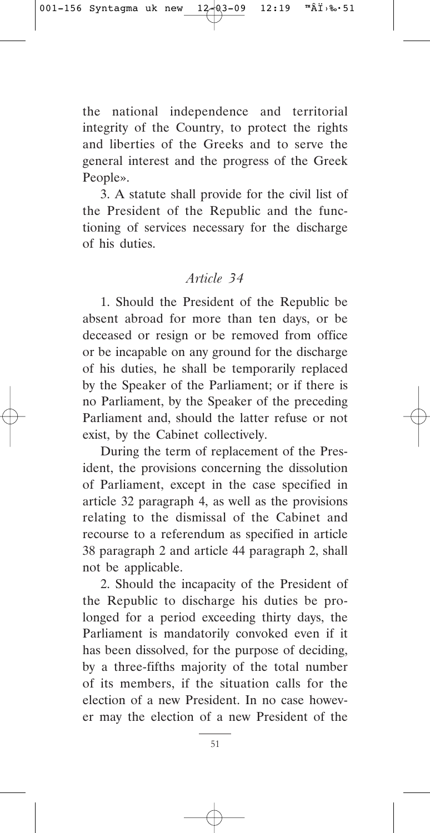the national independence and territorial integrity of the Country, to protect the rights and liberties of the Greeks and to serve the general interest and the progress of the Greek People».

3. A statute shall provide for the civil list of the President of the Republic and the functioning of services necessary for the discharge of his duties.

## *Article 34*

1. Should the President of the Republic be absent abroad for more than ten days, or be deceased or resign or be removed from office or be incapable on any ground for the discharge of his duties, he shall be temporarily replaced by the Speaker of the Parliament; or if there is no Parliament, by the Speaker of the preceding Parliament and, should the latter refuse or not exist, by the Cabinet collectively.

During the term of replacement of the President, the provisions concerning the dissolution of Parliament, except in the case specified in article 32 paragraph 4, as well as the provisions relating to the dismissal of the Cabinet and recourse to a referendum as specified in article 38 paragraph 2 and article 44 paragraph 2, shall not be applicable.

2. Should the incapacity of the President of the Republic to discharge his duties be prolonged for a period exceeding thirty days, the Parliament is mandatorily convoked even if it has been dissolved, for the purpose of deciding, by a three-fifths majority of the total number of its members, if the situation calls for the election of a new President. In no case however may the election of a new President of the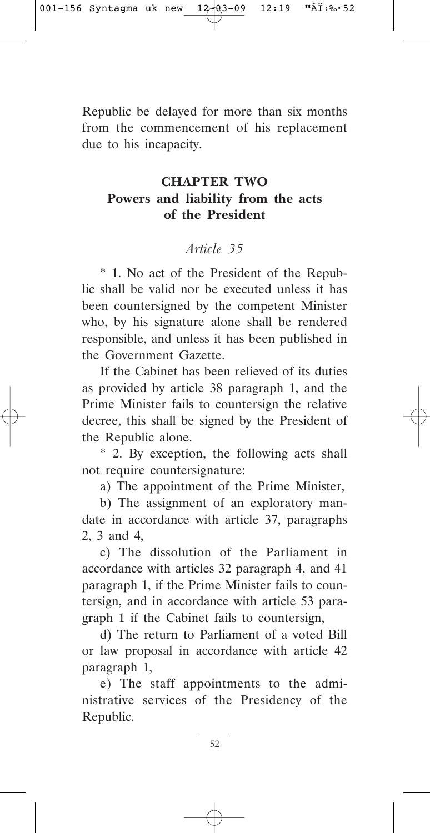001-156 Syntagma uk new 12-03-09 12:19

Republic be delayed for more than six months from the commencement of his replacement due to his incapacity.

# **CHAPTER TWO Powers and liability from the acts of the President**

### *Article 35*

\* 1. No act of the President of the Republic shall be valid nor be executed unless it has been countersigned by the competent Minister who, by his signature alone shall be rendered responsible, and unless it has been published in the Government Gazette.

If the Cabinet has been relieved of its duties as provided by article 38 paragraph 1, and the Prime Minister fails to countersign the relative decree, this shall be signed by the President of the Republic alone.

\* 2. By exception, the following acts shall not require countersignature:

a) The appointment of the Prime Minister,

b) The assignment of an exploratory mandate in accordance with article 37, paragraphs 2, 3 and 4,

c) The dissolution of the Parliament in accordance with articles 32 paragraph 4, and 41 paragraph 1, if the Prime Minister fails to countersign, and in accordance with article 53 paragraph 1 if the Cabinet fails to countersign,

d) The return to Parliament of a voted Bill or law proposal in accordance with article 42 paragraph 1,

e) The staff appointments to the administrative services of the Presidency of the Republic.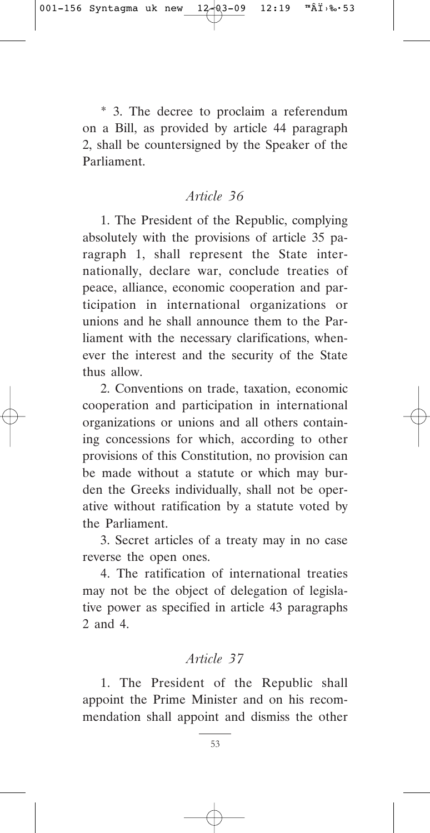\* 3. The decree to proclaim a referendum on a Bill, as provided by article 44 paragraph 2, shall be countersigned by the Speaker of the Parliament.

# *Article 36*

1. The President of the Republic, complying absolutely with the provisions of article 35 paragraph 1, shall represent the State internationally, declare war, conclude treaties of peace, alliance, economic cooperation and participation in international organizations or unions and he shall announce them to the Parliament with the necessary clarifications, whenever the interest and the security of the State thus allow.

2. Conventions on trade, taxation, economic cooperation and participation in international organizations or unions and all others containing concessions for which, according to other provisions of this Constitution, no provision can be made without a statute or which may burden the Greeks individually, shall not be operative without ratification by a statute voted by the Parliament.

3. Secret articles of a treaty may in no case reverse the open ones.

4. The ratification of international treaties may not be the object of delegation of legislative power as specified in article 43 paragraphs 2 and 4.

## *Article 37*

1. The President of the Republic shall appoint the Prime Minister and on his recommendation shall appoint and dismiss the other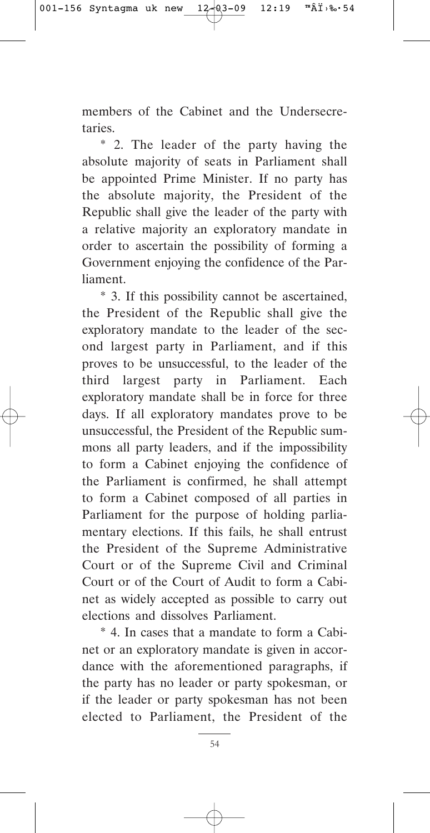members of the Cabinet and the Undersecretaries.

2. The leader of the party having the absolute majority of seats in Parliament shall be appointed Prime Minister. If no party has the absolute majority, the President of the Republic shall give the leader of the party with a relative majority an exploratory mandate in order to ascertain the possibility of forming a Government enjoying the confidence of the Parliament.

\* 3. If this possibility cannot be ascertained, the President of the Republic shall give the exploratory mandate to the leader of the second largest party in Parliament, and if this proves to be unsuccessful, to the leader of the third largest party in Parliament. Each exploratory mandate shall be in force for three days. If all exploratory mandates prove to be unsuccessful, the President of the Republic summons all party leaders, and if the impossibility to form a Cabinet enjoying the confidence of the Parliament is confirmed, he shall attempt to form a Cabinet composed of all parties in Parliament for the purpose of holding parliamentary elections. If this fails, he shall entrust the President of the Supreme Administrative Court or of the Supreme Civil and Criminal Court or of the Court of Audit to form a Cabinet as widely accepted as possible to carry out elections and dissolves Parliament.

\* 4. In cases that a mandate to form a Cabinet or an exploratory mandate is given in accordance with the aforementioned paragraphs, if the party has no leader or party spokesman, or if the leader or party spokesman has not been elected to Parliament, the President of the

54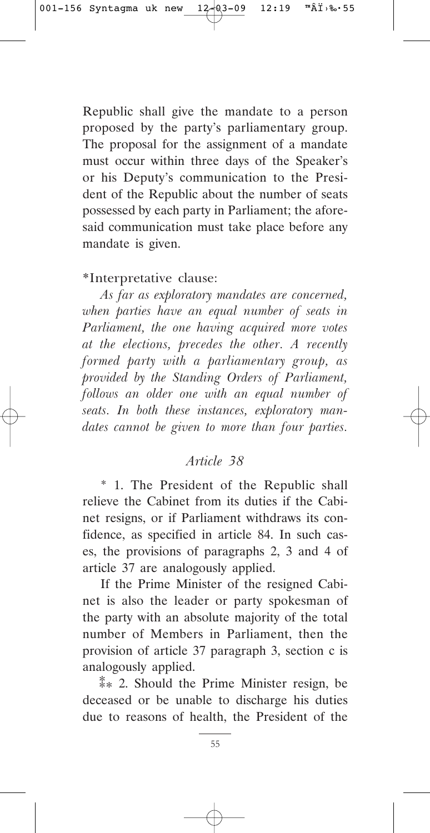Republic shall give the mandate to a person proposed by the party's parliamentary group. The proposal for the assignment of a mandate must occur within three days of the Speaker's or his Deputy's communication to the President of the Republic about the number of seats possessed by each party in Parliament; the aforesaid communication must take place before any mandate is given.

#### \*Interpretative clause:

*As far as exploratory mandates are concerned, when parties have an equal number of seats in Parliament, the one having acquired more votes at the elections, precedes the other. A recently formed party with a parliamentary group, as provided by the Standing Orders of Parliament, follows an older one with an equal number of seats. In both these instances, exploratory mandates cannot be given to more than four parties.*

# *Article 38*

\* 1. The President of the Republic shall relieve the Cabinet from its duties if the Cabinet resigns, or if Parliament withdraws its confidence, as specified in article 84. In such cases, the provisions of paragraphs 2, 3 and 4 of article 37 are analogously applied.

If the Prime Minister of the resigned Cabinet is also the leader or party spokesman of the party with an absolute majority of the total number of Members in Parliament, then the provision of article 37 paragraph 3, section c is analogously applied.

\*\* 2. Should the Prime Minister resign, be deceased or be unable to discharge his duties due to reasons of health, the President of the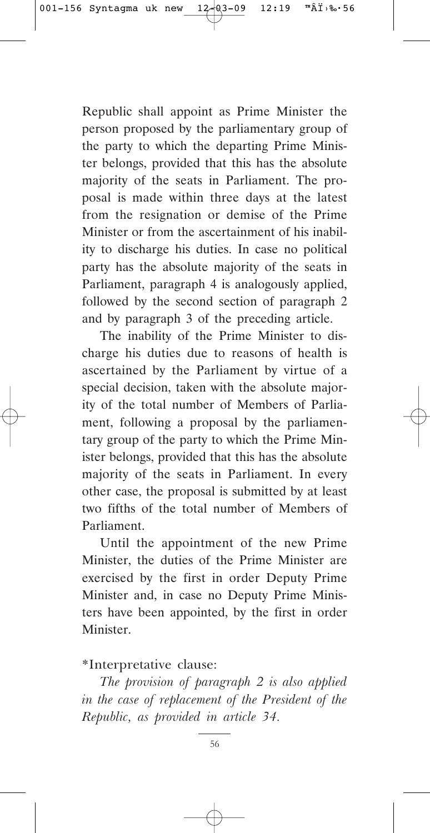Republic shall appoint as Prime Minister the person proposed by the parliamentary group of the party to which the departing Prime Minister belongs, provided that this has the absolute majority of the seats in Parliament. The proposal is made within three days at the latest from the resignation or demise of the Prime Minister or from the ascertainment of his inability to discharge his duties. In case no political party has the absolute majority of the seats in Parliament, paragraph 4 is analogously applied, followed by the second section of paragraph 2 and by paragraph 3 of the preceding article.

The inability of the Prime Minister to discharge his duties due to reasons of health is ascertained by the Parliament by virtue of a special decision, taken with the absolute majority of the total number of Members of Parliament, following a proposal by the parliamentary group of the party to which the Prime Minister belongs, provided that this has the absolute majority of the seats in Parliament. In every other case, the proposal is submitted by at least two fifths of the total number of Members of Parliament.

Until the appointment of the new Prime Minister, the duties of the Prime Minister are exercised by the first in order Deputy Prime Minister and, in case no Deputy Prime Ministers have been appointed, by the first in order Minister.

### \*Interpretative clause:

*The provision of paragraph 2 is also applied in the case of replacement of the President of the Republic, as provided in article 34.*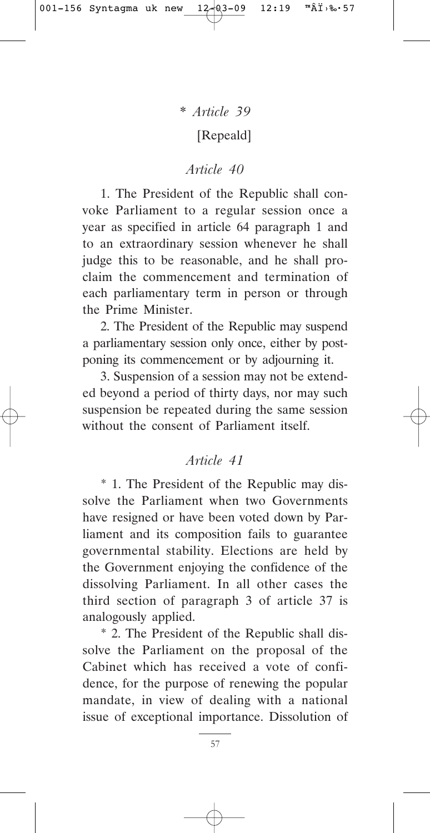001-156 Syntagma uk new 12-03-09 12:19

# *\* Article 39*

## [Repeald]

## *Article 40*

1. The President of the Republic shall convoke Parliament to a regular session once a year as specified in article 64 paragraph 1 and to an extraordinary session whenever he shall judge this to be reasonable, and he shall proclaim the commencement and termination of each parliamentary term in person or through the Prime Minister.

2. The President of the Republic may suspend a parliamentary session only once, either by postponing its commencement or by adjourning it.

3. Suspension of a session may not be extended beyond a period of thirty days, nor may such suspension be repeated during the same session without the consent of Parliament itself.

### *Article 41*

\* 1. The President of the Republic may dissolve the Parliament when two Governments have resigned or have been voted down by Parliament and its composition fails to guarantee governmental stability. Elections are held by the Government enjoying the confidence of the dissolving Parliament. In all other cases the third section of paragraph 3 of article 37 is analogously applied.

\* 2. The President of the Republic shall dissolve the Parliament on the proposal of the Cabinet which has received a vote of confidence, for the purpose of renewing the popular mandate, in view of dealing with a national issue of exceptional importance. Dissolution of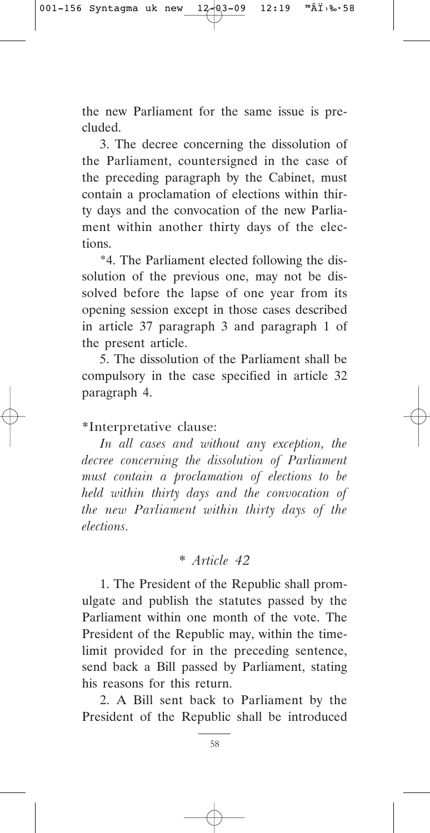the new Parliament for the same issue is precluded.

3. The decree concerning the dissolution of the Parliament, countersigned in the case of the preceding paragraph by the Cabinet, must contain a proclamation of elections within thirty days and the convocation of the new Parliament within another thirty days of the elections.

\*4. The Parliament elected following the dissolution of the previous one, may not be dissolved before the lapse of one year from its opening session except in those cases described in article 37 paragraph 3 and paragraph 1 of the present article.

5. The dissolution of the Parliament shall be compulsory in the case specified in article 32 paragraph 4.

#### \*Interpretative clause:

*In all cases and without any exception, the decree concerning the dissolution of Parliament must contain a proclamation of elections to be held within thirty days and the convocation of the new Parliament within thirty days of the elections.* 

### *\* Article 42*

1. The President of the Republic shall promulgate and publish the statutes passed by the Parliament within one month of the vote. The President of the Republic may, within the timelimit provided for in the preceding sentence, send back a Bill passed by Parliament, stating his reasons for this return.

2. A Bill sent back to Parliament by the President of the Republic shall be introduced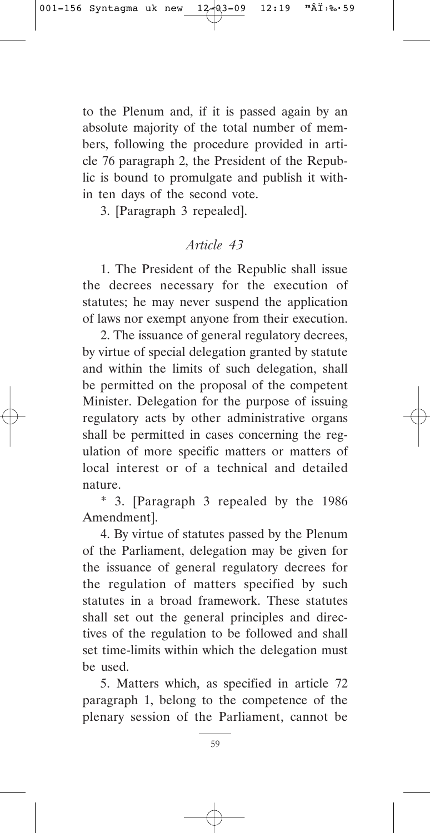to the Plenum and, if it is passed again by an absolute majority of the total number of members, following the procedure provided in article 76 paragraph 2, the President of the Republic is bound to promulgate and publish it within ten days of the second vote.

3. [Paragraph 3 repealed].

# *Article 43*

1. The President of the Republic shall issue the decrees necessary for the execution of statutes; he may never suspend the application of laws nor exempt anyone from their execution.

2. The issuance of general regulatory decrees, by virtue of special delegation granted by statute and within the limits of such delegation, shall be permitted on the proposal of the competent Minister. Delegation for the purpose of issuing regulatory acts by other administrative organs shall be permitted in cases concerning the regulation of more specific matters or matters of local interest or of a technical and detailed nature.

\* 3. [Paragraph 3 repealed by the 1986 Amendment].

4. By virtue of statutes passed by the Plenum of the Parliament, delegation may be given for the issuance of general regulatory decrees for the regulation of matters specified by such statutes in a broad framework. These statutes shall set out the general principles and directives of the regulation to be followed and shall set time-limits within which the delegation must be used.

5. Matters which, as specified in article 72 paragraph 1, belong to the competence of the plenary session of the Parliament, cannot be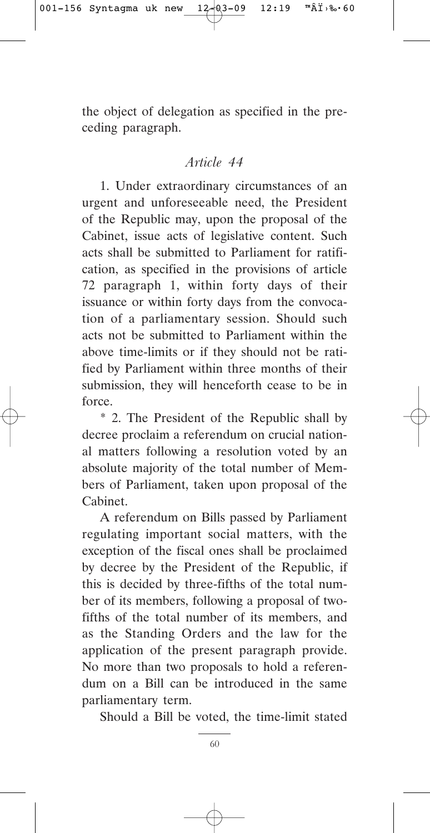the object of delegation as specified in the preceding paragraph.

## *Article 44*

1. Under extraordinary circumstances of an urgent and unforeseeable need, the President of the Republic may, upon the proposal of the Cabinet, issue acts of legislative content. Such acts shall be submitted to Parliament for ratification, as specified in the provisions of article 72 paragraph 1, within forty days of their issuance or within forty days from the convocation of a parliamentary session. Should such acts not be submitted to Parliament within the above time-limits or if they should not be ratified by Parliament within three months of their submission, they will henceforth cease to be in force.

\* 2. The President of the Republic shall by decree proclaim a referendum on crucial national matters following a resolution voted by an absolute majority of the total number of Members of Parliament, taken upon proposal of the Cabinet.

A referendum on Bills passed by Parliament regulating important social matters, with the exception of the fiscal ones shall be proclaimed by decree by the President of the Republic, if this is decided by three-fifths of the total number of its members, following a proposal of twofifths of the total number of its members, and as the Standing Orders and the law for the application of the present paragraph provide. No more than two proposals to hold a referendum on a Bill can be introduced in the same parliamentary term.

Should a Bill be voted, the time-limit stated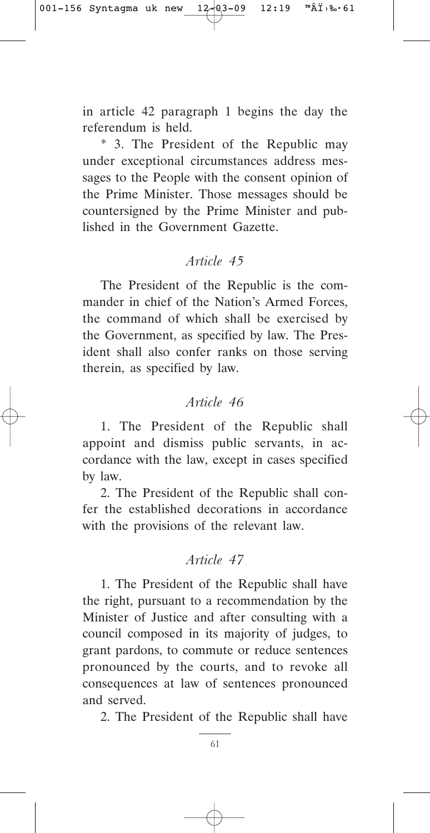in article 42 paragraph 1 begins the day the referendum is held.

\* 3. The President of the Republic may under exceptional circumstances address messages to the People with the consent opinion of the Prime Minister. Those messages should be countersigned by the Prime Minister and published in the Government Gazette.

## *Article 45*

The President of the Republic is the commander in chief of the Nation's Armed Forces, the command of which shall be exercised by the Government, as specified by law. The President shall also confer ranks on those serving therein, as specified by law.

## *Article 46*

1. The President of the Republic shall appoint and dismiss public servants, in accordance with the law, except in cases specified by law.

2. The President of the Republic shall confer the established decorations in accordance with the provisions of the relevant law.

## *Article 47*

1. The President of the Republic shall have the right, pursuant to a recommendation by the Minister of Justice and after consulting with a council composed in its majority of judges, to grant pardons, to commute or reduce sentences pronounced by the courts, and to revoke all consequences at law of sentences pronounced and served.

2. The President of the Republic shall have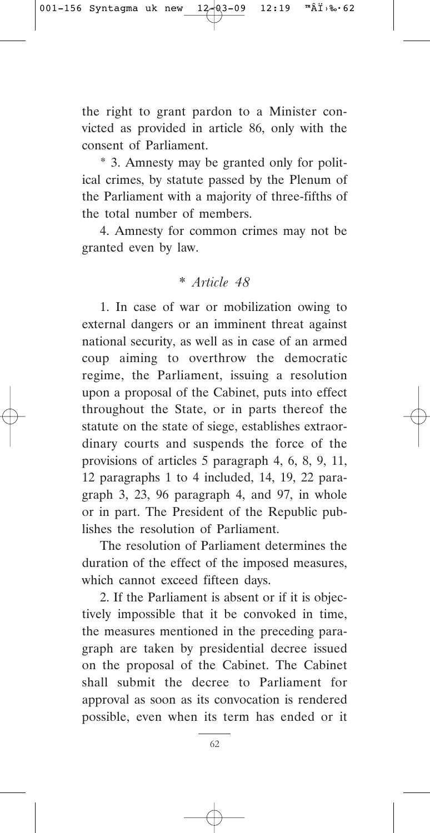the right to grant pardon to a Minister convicted as provided in article 86, only with the consent of Parliament.

\* 3. Amnesty may be granted only for political crimes, by statute passed by the Plenum of the Parliament with a majority of three-fifths of the total number of members.

4. Amnesty for common crimes may not be granted even by law.

## *\* Article 48*

1. In case of war or mobilization owing to external dangers or an imminent threat against national security, as well as in case of an armed coup aiming to overthrow the democratic regime, the Parliament, issuing a resolution upon a proposal of the Cabinet, puts into effect throughout the State, or in parts thereof the statute on the state of siege, establishes extraordinary courts and suspends the force of the provisions of articles 5 paragraph 4, 6, 8, 9, 11, 12 paragraphs 1 to 4 included, 14, 19, 22 paragraph 3, 23, 96 paragraph 4, and 97, in whole or in part. The President of the Republic publishes the resolution of Parliament.

The resolution of Parliament determines the duration of the effect of the imposed measures, which cannot exceed fifteen days.

2. If the Parliament is absent or if it is objectively impossible that it be convoked in time, the measures mentioned in the preceding paragraph are taken by presidential decree issued on the proposal of the Cabinet. The Cabinet shall submit the decree to Parliament for approval as soon as its convocation is rendered possible, even when its term has ended or it

62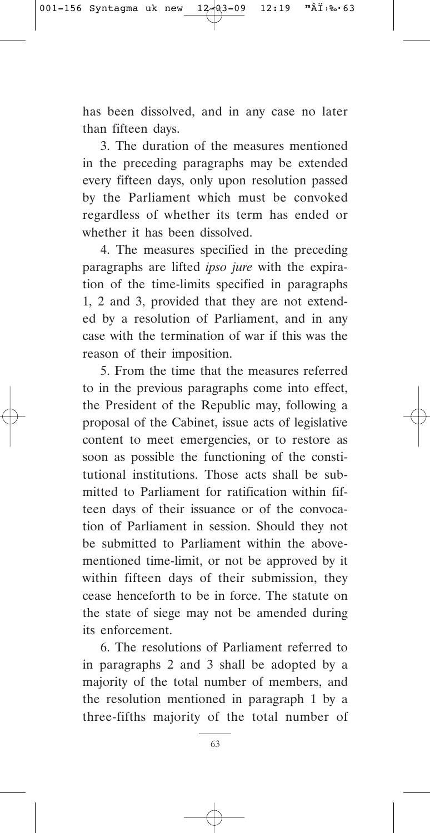has been dissolved, and in any case no later than fifteen days.

3. The duration of the measures mentioned in the preceding paragraphs may be extended every fifteen days, only upon resolution passed by the Parliament which must be convoked regardless of whether its term has ended or whether it has been dissolved.

4. The measures specified in the preceding paragraphs are lifted *ipso jure* with the expiration of the time-limits specified in paragraphs 1, 2 and 3, provided that they are not extended by a resolution of Parliament, and in any case with the termination of war if this was the reason of their imposition.

5. From the time that the measures referred to in the previous paragraphs come into effect, the President of the Republic may, following a proposal of the Cabinet, issue acts of legislative content to meet emergencies, or to restore as soon as possible the functioning of the constitutional institutions. Those acts shall be submitted to Parliament for ratification within fifteen days of their issuance or of the convocation of Parliament in session. Should they not be submitted to Parliament within the abovementioned time-limit, or not be approved by it within fifteen days of their submission, they cease henceforth to be in force. The statute on the state of siege may not be amended during its enforcement.

6. The resolutions of Parliament referred to in paragraphs 2 and 3 shall be adopted by a majority of the total number of members, and the resolution mentioned in paragraph 1 by a three-fifths majority of the total number of

63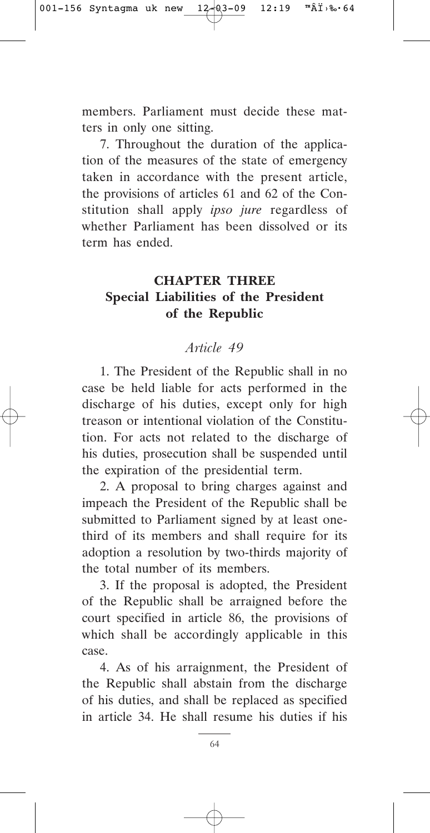members. Parliament must decide these matters in only one sitting.

7. Throughout the duration of the application of the measures of the state of emergency taken in accordance with the present article, the provisions of articles 61 and 62 of the Constitution shall apply *ipso jure* regardless of whether Parliament has been dissolved or its term has ended.

# **CHAPTER THREE Special Liabilities of the President of the Republic**

### *Article 49*

1. The President of the Republic shall in no case be held liable for acts performed in the discharge of his duties, except only for high treason or intentional violation of the Constitution. For acts not related to the discharge of his duties, prosecution shall be suspended until the expiration of the presidential term.

2. A proposal to bring charges against and impeach the President of the Republic shall be submitted to Parliament signed by at least onethird of its members and shall require for its adoption a resolution by two-thirds majority of the total number of its members.

3. If the proposal is adopted, the President of the Republic shall be arraigned before the court specified in article 86, the provisions of which shall be accordingly applicable in this case.

4. As of his arraignment, the President of the Republic shall abstain from the discharge of his duties, and shall be replaced as specified in article 34. He shall resume his duties if his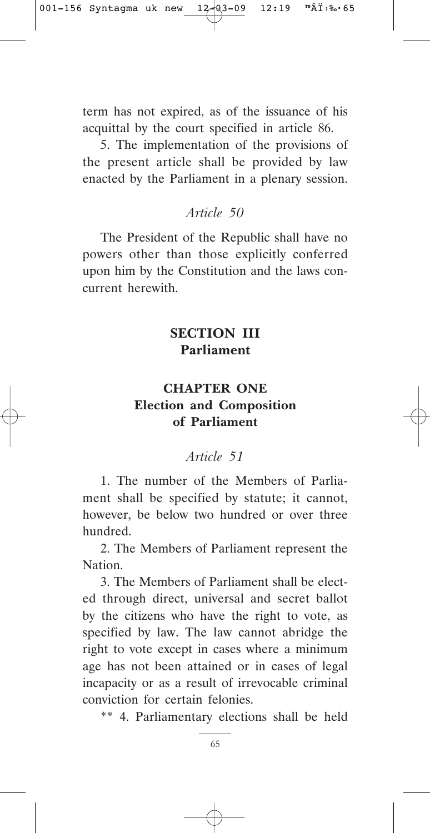term has not expired, as of the issuance of his acquittal by the court specified in article 86.

5. The implementation of the provisions of the present article shall be provided by law enacted by the Parliament in a plenary session.

## *Article 50*

The President of the Republic shall have no powers other than those explicitly conferred upon him by the Constitution and the laws concurrent herewith.

# **SECTION III Parliament**

# **CHAPTER ONE Election and Composition of Parliament**

### *Article 51*

1. The number of the Members of Parliament shall be specified by statute; it cannot, however, be below two hundred or over three hundred.

2. The Members of Parliament represent the Nation.

3. The Members of Parliament shall be elected through direct, universal and secret ballot by the citizens who have the right to vote, as specified by law. The law cannot abridge the right to vote except in cases where a minimum age has not been attained or in cases of legal incapacity or as a result of irrevocable criminal conviction for certain felonies.

\*\* 4. Parliamentary elections shall be held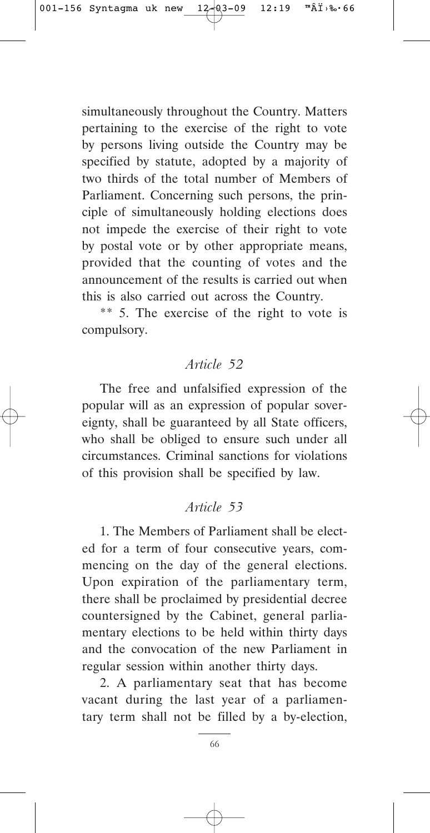simultaneously throughout the Country. Matters pertaining to the exercise of the right to vote by persons living outside the Country may be specified by statute, adopted by a majority of two thirds of the total number of Members of Parliament. Concerning such persons, the principle of simultaneously holding elections does not impede the exercise of their right to vote by postal vote or by other appropriate means, provided that the counting of votes and the announcement of the results is carried out when this is also carried out across the Country.

\*\* 5. The exercise of the right to vote is compulsory.

# *Article 52*

The free and unfalsified expression of the popular will as an expression of popular sovereignty, shall be guaranteed by all State officers, who shall be obliged to ensure such under all circumstances. Criminal sanctions for violations of this provision shall be specified by law.

# *Article 53*

1. The Members of Parliament shall be elected for a term of four consecutive years, commencing on the day of the general elections. Upon expiration of the parliamentary term, there shall be proclaimed by presidential decree countersigned by the Cabinet, general parliamentary elections to be held within thirty days and the convocation of the new Parliament in regular session within another thirty days.

2. A parliamentary seat that has become vacant during the last year of a parliamentary term shall not be filled by a by-election,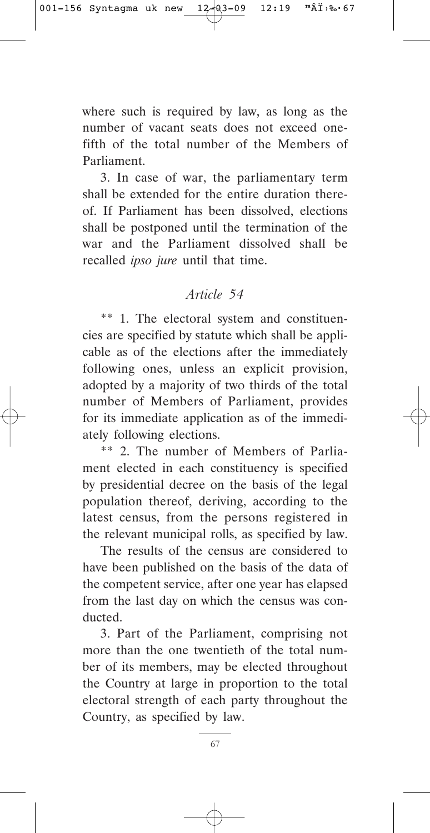where such is required by law, as long as the number of vacant seats does not exceed onefifth of the total number of the Members of Parliament.

3. In case of war, the parliamentary term shall be extended for the entire duration thereof. If Parliament has been dissolved, elections shall be postponed until the termination of the war and the Parliament dissolved shall be recalled *ipso jure* until that time.

## *Article 54*

\*\* 1. The electoral system and constituencies are specified by statute which shall be applicable as of the elections after the immediately following ones, unless an explicit provision, adopted by a majority of two thirds of the total number of Members of Parliament, provides for its immediate application as of the immediately following elections.

\*\* 2. The number of Members of Parliament elected in each constituency is specified by presidential decree on the basis of the legal population thereof, deriving, according to the latest census, from the persons registered in the relevant municipal rolls, as specified by law.

The results of the census are considered to have been published on the basis of the data of the competent service, after one year has elapsed from the last day on which the census was conducted.

3. Part of the Parliament, comprising not more than the one twentieth of the total number of its members, may be elected throughout the Country at large in proportion to the total electoral strength of each party throughout the Country, as specified by law.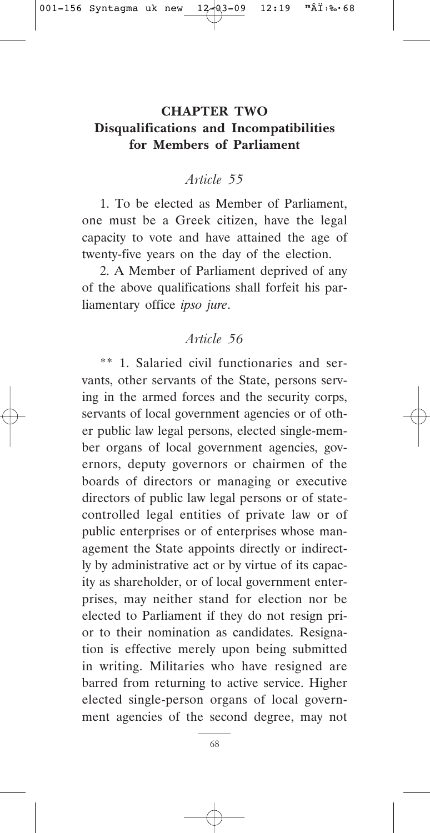# **CHAPTER TWO Disqualifications and Incompatibilities for Members of Parliament**

# *Article 55*

1. To be elected as Member of Parliament, one must be a Greek citizen, have the legal capacity to vote and have attained the age of twenty-five years on the day of the election.

2. A Member of Parliament deprived of any of the above qualifications shall forfeit his parliamentary office *ipso jure*.

# *Article 56*

1. Salaried civil functionaries and servants, other servants of the State, persons serving in the armed forces and the security corps, servants of local government agencies or of other public law legal persons, elected single-member organs of local government agencies, governors, deputy governors or chairmen of the boards of directors or managing or executive directors of public law legal persons or of statecontrolled legal entities of private law or of public enterprises or of enterprises whose management the State appoints directly or indirectly by administrative act or by virtue of its capacity as shareholder, or of local government enterprises, may neither stand for election nor be elected to Parliament if they do not resign prior to their nomination as candidates. Resignation is effective merely upon being submitted in writing. Militaries who have resigned are barred from returning to active service. Higher elected single-person organs of local government agencies of the second degree, may not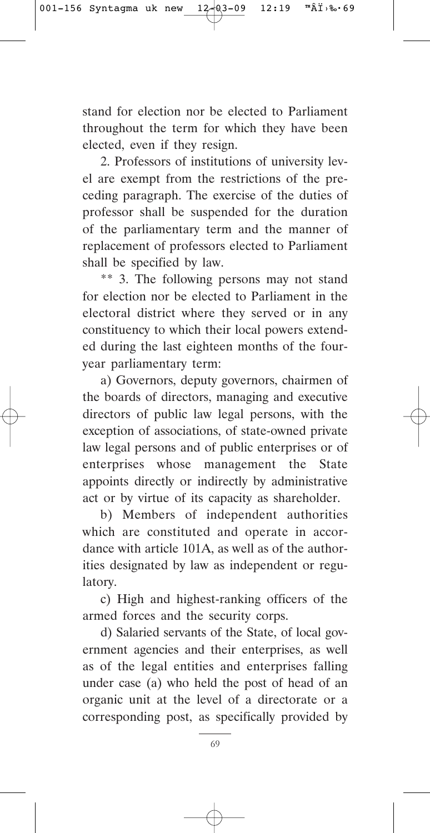stand for election nor be elected to Parliament throughout the term for which they have been elected, even if they resign.

2. Professors of institutions of university level are exempt from the restrictions of the preceding paragraph. The exercise of the duties of professor shall be suspended for the duration of the parliamentary term and the manner of replacement of professors elected to Parliament shall be specified by law.

\*\* 3. The following persons may not stand for election nor be elected to Parliament in the electoral district where they served or in any constituency to which their local powers extended during the last eighteen months of the fouryear parliamentary term:

a) Governors, deputy governors, chairmen of the boards of directors, managing and executive directors of public law legal persons, with the exception of associations, of state-owned private law legal persons and of public enterprises or of enterprises whose management the State appoints directly or indirectly by administrative act or by virtue of its capacity as shareholder.

b) Members of independent authorities which are constituted and operate in accordance with article 101A, as well as of the authorities designated by law as independent or regulatory.

c) High and highest-ranking officers of the armed forces and the security corps.

d) Salaried servants of the State, of local government agencies and their enterprises, as well as of the legal entities and enterprises falling under case (a) who held the post of head of an organic unit at the level of a directorate or a corresponding post, as specifically provided by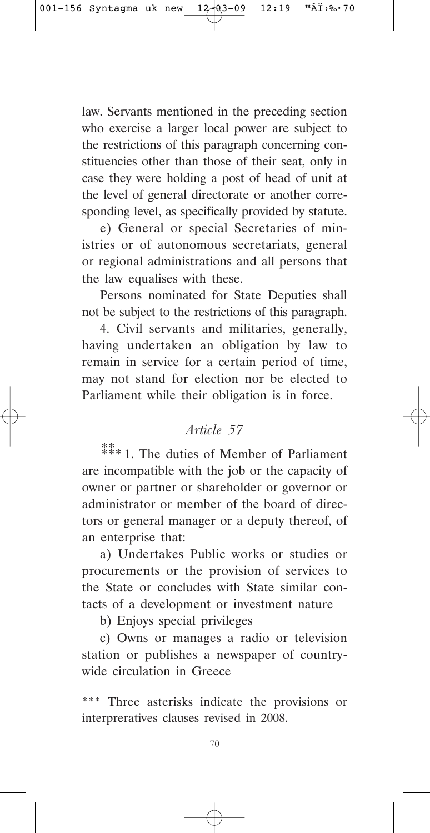law. Servants mentioned in the preceding section who exercise a larger local power are subject to the restrictions of this paragraph concerning constituencies other than those of their seat, only in case they were holding a post of head of unit at the level of general directorate or another corresponding level, as specifically provided by statute.

e) General or special Secretaries of ministries or of autonomous secretariats, general or regional administrations and all persons that the law equalises with these.

Persons nominated for State Deputies shall not be subject to the restrictions of this paragraph.

4. Civil servants and militaries, generally, having undertaken an obligation by law to remain in service for a certain period of time, may not stand for election nor be elected to Parliament while their obligation is in force.

## *Article 57*

\*\*\*\* 1. The duties of Member of Parliament are incompatible with the job or the capacity of owner or partner or shareholder or governor or administrator or member of the board of directors or general manager or a deputy thereof, of an enterprise that:

a) Undertakes Public works or studies or procurements or the provision of services to the State or concludes with State similar contacts of a development or investment nature

b) Enjoys special privileges

c) Owns or manages a radio or television station or publishes a newspaper of countrywide circulation in Greece

<sup>\*\*\*</sup> Three asterisks indicate the provisions or interpreratives clauses revised in 2008.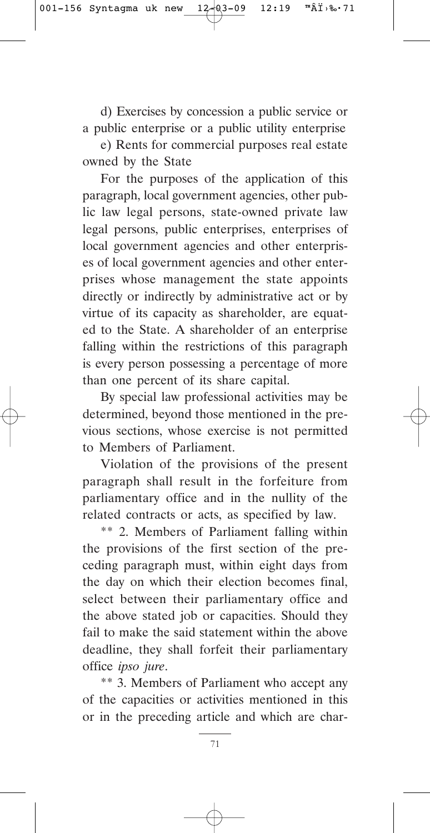001-156 Syntagma uk new 12-03-09 12:19

d) Exercises by concession a public service or a public enterprise or a public utility enterprise

e) Rents for commercial purposes real estate owned by the State

For the purposes of the application of this paragraph, local government agencies, other public law legal persons, state-owned private law legal persons, public enterprises, enterprises of local government agencies and other enterprises of local government agencies and other enterprises whose management the state appoints directly or indirectly by administrative act or by virtue of its capacity as shareholder, are equated to the State. A shareholder of an enterprise falling within the restrictions of this paragraph is every person possessing a percentage of more than one percent of its share capital.

By special law professional activities may be determined, beyond those mentioned in the previous sections, whose exercise is not permitted to Members of Parliament.

Violation of the provisions of the present paragraph shall result in the forfeiture from parliamentary office and in the nullity of the related contracts or acts, as specified by law.

\*\* 2. Members of Parliament falling within the provisions of the first section of the preceding paragraph must, within eight days from the day on which their election becomes final, select between their parliamentary office and the above stated job or capacities. Should they fail to make the said statement within the above deadline, they shall forfeit their parliamentary office *ipso jure*.

\*\* 3. Members of Parliament who accept any of the capacities or activities mentioned in this or in the preceding article and which are char-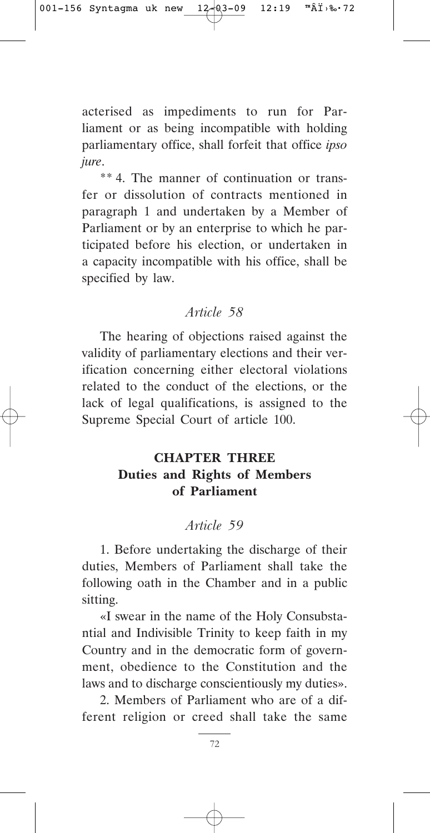acterised as impediments to run for Parliament or as being incompatible with holding parliamentary office, shall forfeit that office *ipso jure*.

\*\* 4. The manner of continuation or transfer or dissolution of contracts mentioned in paragraph 1 and undertaken by a Member of Parliament or by an enterprise to which he participated before his election, or undertaken in a capacity incompatible with his office, shall be specified by law.

### *Article 58*

The hearing of objections raised against the validity of parliamentary elections and their verification concerning either electoral violations related to the conduct of the elections, or the lack of legal qualifications, is assigned to the Supreme Special Court of article 100.

# **CHAPTER THREE Duties and Rights of Members of Parliament**

### *Article 59*

1. Before undertaking the discharge of their duties, Members of Parliament shall take the following oath in the Chamber and in a public sitting.

«I swear in the name of the Holy Consubstantial and Indivisible Trinity to keep faith in my Country and in the democratic form of government, obedience to the Constitution and the laws and to discharge conscientiously my duties».

2. Members of Parliament who are of a different religion or creed shall take the same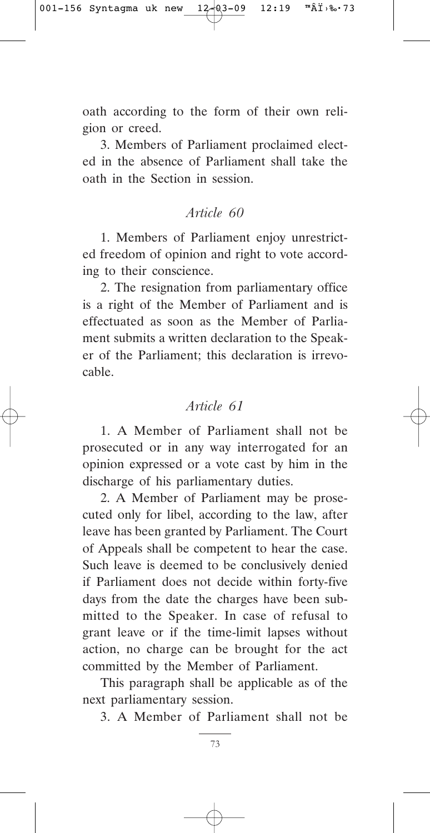oath according to the form of their own religion or creed.

3. Members of Parliament proclaimed elected in the absence of Parliament shall take the oath in the Section in session.

# *Article 60*

1. Members of Parliament enjoy unrestricted freedom of opinion and right to vote according to their conscience.

2. The resignation from parliamentary office is a right of the Member of Parliament and is effectuated as soon as the Member of Parliament submits a written declaration to the Speaker of the Parliament; this declaration is irrevocable.

## *Article 61*

1. A Member of Parliament shall not be prosecuted or in any way interrogated for an opinion expressed or a vote cast by him in the discharge of his parliamentary duties.

2. A Member of Parliament may be prosecuted only for libel, according to the law, after leave has been granted by Parliament. The Court of Appeals shall be competent to hear the case. Such leave is deemed to be conclusively denied if Parliament does not decide within forty-five days from the date the charges have been submitted to the Speaker. In case of refusal to grant leave or if the time-limit lapses without action, no charge can be brought for the act committed by the Member of Parliament.

This paragraph shall be applicable as of the next parliamentary session.

3. A Member of Parliament shall not be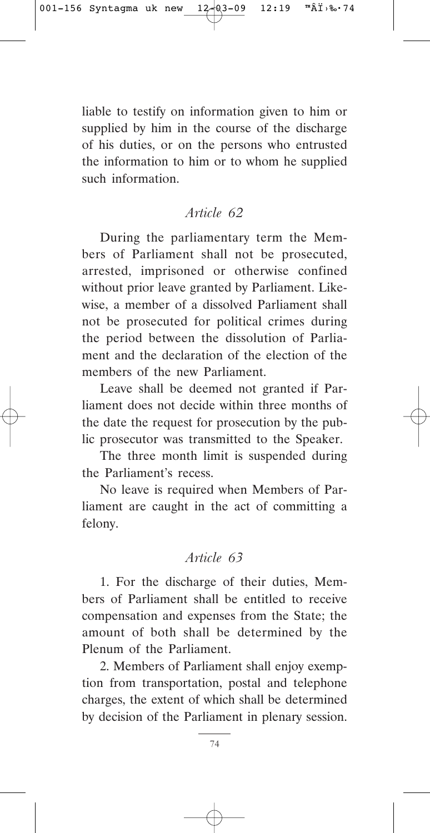liable to testify on information given to him or supplied by him in the course of the discharge of his duties, or on the persons who entrusted the information to him or to whom he supplied such information.

### *Article 62*

During the parliamentary term the Members of Parliament shall not be prosecuted, arrested, imprisoned or otherwise confined without prior leave granted by Parliament. Likewise, a member of a dissolved Parliament shall not be prosecuted for political crimes during the period between the dissolution of Parliament and the declaration of the election of the members of the new Parliament.

Leave shall be deemed not granted if Parliament does not decide within three months of the date the request for prosecution by the public prosecutor was transmitted to the Speaker.

The three month limit is suspended during the Parliament's recess.

No leave is required when Members of Parliament are caught in the act of committing a felony.

## *Article 63*

1. For the discharge of their duties, Members of Parliament shall be entitled to receive compensation and expenses from the State; the amount of both shall be determined by the Plenum of the Parliament.

2. Members of Parliament shall enjoy exemption from transportation, postal and telephone charges, the extent of which shall be determined by decision of the Parliament in plenary session.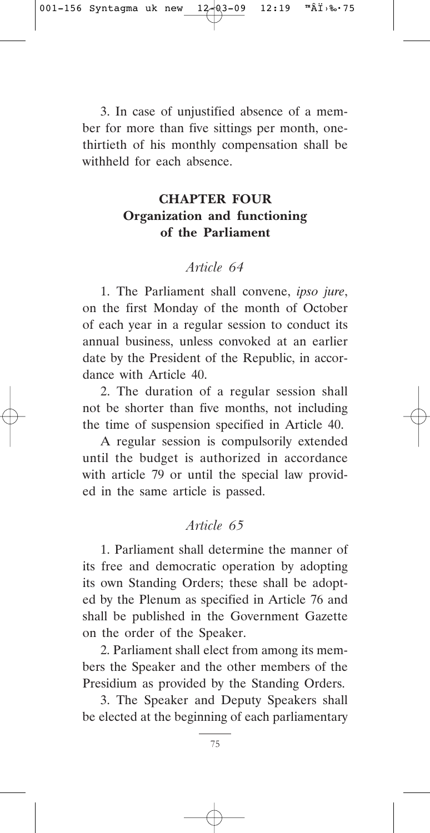001-156 Syntagma uk new 12-03-09 12:19

3. In case of unjustified absence of a member for more than five sittings per month, onethirtieth of his monthly compensation shall be withheld for each absence.

## **CHAPTER FOUR Organization and functioning of the Parliament**

### *Article 64*

1. The Parliament shall convene, *ipso jure*, on the first Monday of the month of October of each year in a regular session to conduct its annual business, unless convoked at an earlier date by the President of the Republic, in accordance with Article 40.

2. The duration of a regular session shall not be shorter than five months, not including the time of suspension specified in Article 40.

A regular session is compulsorily extended until the budget is authorized in accordance with article 79 or until the special law provided in the same article is passed.

### *Article 65*

1. Parliament shall determine the manner of its free and democratic operation by adopting its own Standing Orders; these shall be adopted by the Plenum as specified in Article 76 and shall be published in the Government Gazette on the order of the Speaker.

2. Parliament shall elect from among its members the Speaker and the other members of the Presidium as provided by the Standing Orders.

3. The Speaker and Deputy Speakers shall be elected at the beginning of each parliamentary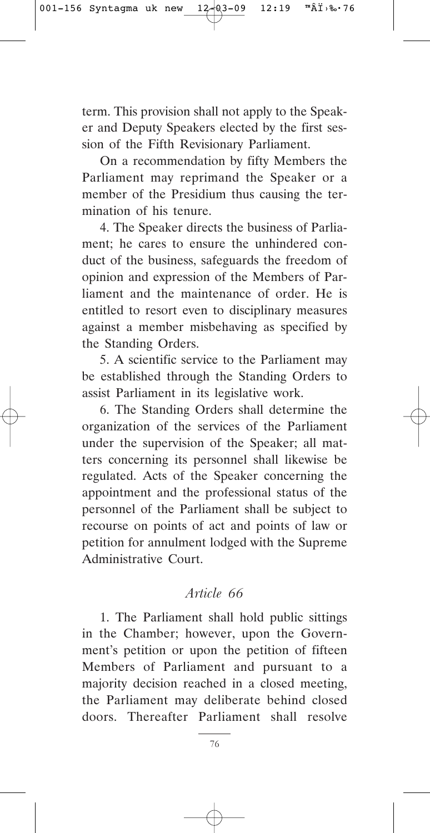term. This provision shall not apply to the Speaker and Deputy Speakers elected by the first session of the Fifth Revisionary Parliament.

On a recommendation by fifty Members the Parliament may reprimand the Speaker or a member of the Presidium thus causing the termination of his tenure.

4. The Speaker directs the business of Parliament; he cares to ensure the unhindered conduct of the business, safeguards the freedom of opinion and expression of the Members of Parliament and the maintenance of order. He is entitled to resort even to disciplinary measures against a member misbehaving as specified by the Standing Orders.

5. A scientific service to the Parliament may be established through the Standing Orders to assist Parliament in its legislative work.

6. The Standing Orders shall determine the organization of the services of the Parliament under the supervision of the Speaker; all matters concerning its personnel shall likewise be regulated. Acts of the Speaker concerning the appointment and the professional status of the personnel of the Parliament shall be subject to recourse on points of act and points of law or petition for annulment lodged with the Supreme Administrative Court.

#### *Article 66*

1. The Parliament shall hold public sittings in the Chamber; however, upon the Government's petition or upon the petition of fifteen Members of Parliament and pursuant to a majority decision reached in a closed meeting, the Parliament may deliberate behind closed doors. Thereafter Parliament shall resolve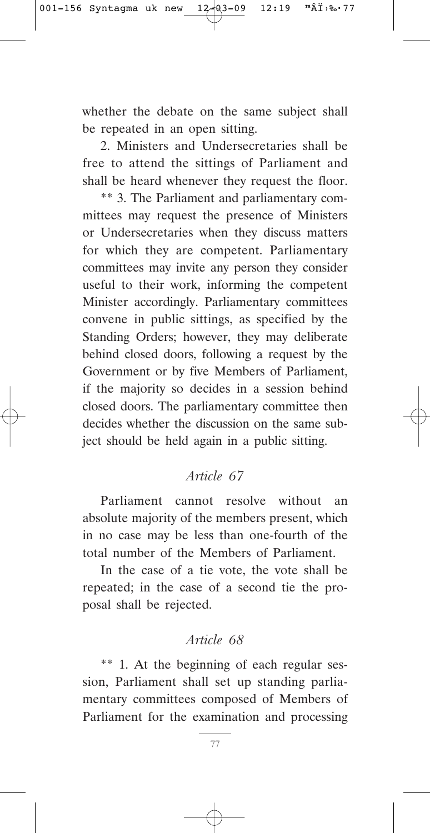whether the debate on the same subject shall be repeated in an open sitting.

2. Ministers and Undersecretaries shall be free to attend the sittings of Parliament and shall be heard whenever they request the floor.

\*\* 3. The Parliament and parliamentary committees may request the presence of Ministers or Undersecretaries when they discuss matters for which they are competent. Parliamentary committees may invite any person they consider useful to their work, informing the competent Minister accordingly. Parliamentary committees convene in public sittings, as specified by the Standing Orders; however, they may deliberate behind closed doors, following a request by the Government or by five Members of Parliament, if the majority so decides in a session behind closed doors. The parliamentary committee then decides whether the discussion on the same subject should be held again in a public sitting.

## *Article 67*

Parliament cannot resolve without an absolute majority of the members present, which in no case may be less than one-fourth of the total number of the Members of Parliament.

In the case of a tie vote, the vote shall be repeated; in the case of a second tie the proposal shall be rejected.

## *Article 68*

\*\* 1. At the beginning of each regular session, Parliament shall set up standing parliamentary committees composed of Members of Parliament for the examination and processing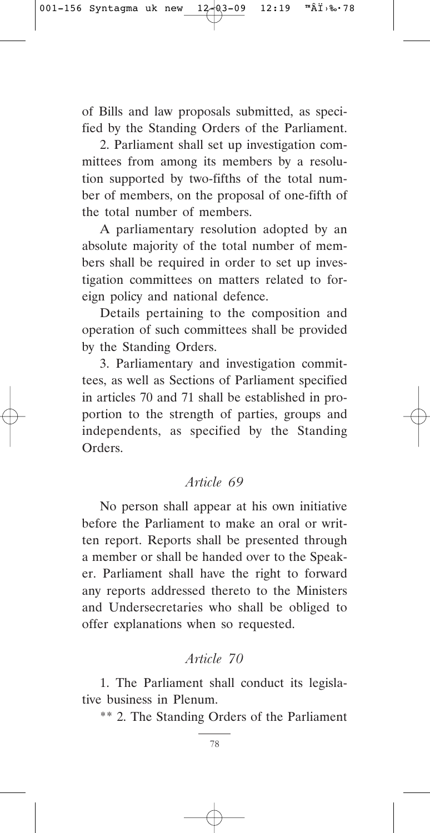of Bills and law proposals submitted, as specified by the Standing Orders of the Parliament.

2. Parliament shall set up investigation committees from among its members by a resolution supported by two-fifths of the total number of members, on the proposal of one-fifth of the total number of members.

A parliamentary resolution adopted by an absolute majority of the total number of members shall be required in order to set up investigation committees on matters related to foreign policy and national defence.

Details pertaining to the composition and operation of such committees shall be provided by the Standing Orders.

3. Parliamentary and investigation committees, as well as Sections of Parliament specified in articles 70 and 71 shall be established in proportion to the strength of parties, groups and independents, as specified by the Standing Orders.

### *Article 69*

No person shall appear at his own initiative before the Parliament to make an oral or written report. Reports shall be presented through a member or shall be handed over to the Speaker. Parliament shall have the right to forward any reports addressed thereto to the Ministers and Undersecretaries who shall be obliged to offer explanations when so requested.

### *Article 70*

1. The Parliament shall conduct its legislative business in Plenum.

\*\* 2. The Standing Orders of the Parliament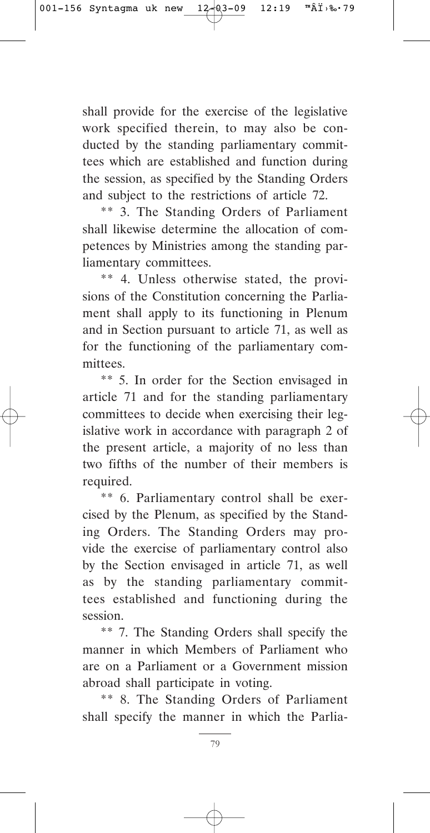shall provide for the exercise of the legislative work specified therein, to may also be conducted by the standing parliamentary committees which are established and function during the session, as specified by the Standing Orders and subject to the restrictions of article 72.

\*\* 3. The Standing Orders of Parliament shall likewise determine the allocation of competences by Ministries among the standing parliamentary committees.

\*\* 4. Unless otherwise stated, the provisions of the Constitution concerning the Parliament shall apply to its functioning in Plenum and in Section pursuant to article 71, as well as for the functioning of the parliamentary committees.

\*\* 5. In order for the Section envisaged in article 71 and for the standing parliamentary committees to decide when exercising their legislative work in accordance with paragraph 2 of the present article, a majority of no less than two fifths of the number of their members is required.

\*\* 6. Parliamentary control shall be exercised by the Plenum, as specified by the Standing Orders. The Standing Orders may provide the exercise of parliamentary control also by the Section envisaged in article 71, as well as by the standing parliamentary committees established and functioning during the session.

\*\* 7. The Standing Orders shall specify the manner in which Members of Parliament who are on a Parliament or a Government mission abroad shall participate in voting.

\*\* 8. The Standing Orders of Parliament shall specify the manner in which the Parlia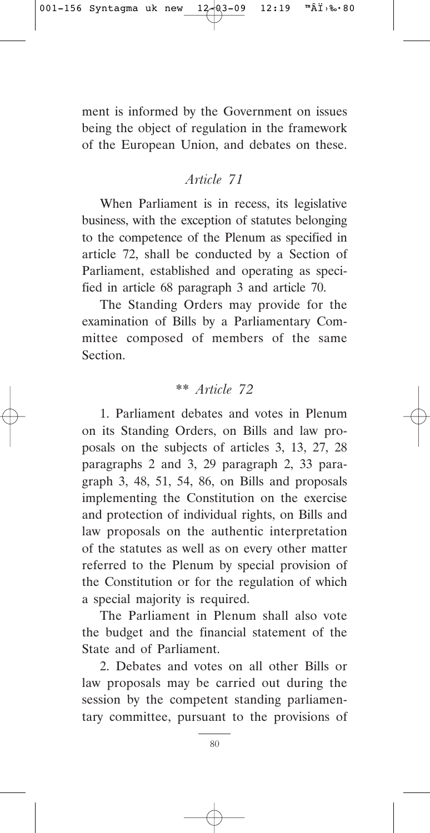001-156 Syntagma uk new 12-03-09 12:19

ment is informed by the Government on issues being the object of regulation in the framework of the European Union, and debates on these.

### *Article 71*

When Parliament is in recess, its legislative business, with the exception of statutes belonging to the competence of the Plenum as specified in article 72, shall be conducted by a Section of Parliament, established and operating as specified in article 68 paragraph 3 and article 70.

The Standing Orders may provide for the examination of Bills by a Parliamentary Committee composed of members of the same Section.

### *\*\* Article 72*

1. Parliament debates and votes in Plenum on its Standing Orders, on Bills and law proposals on the subjects of articles 3, 13, 27, 28 paragraphs 2 and 3, 29 paragraph 2, 33 paragraph 3, 48, 51, 54, 86, on Bills and proposals implementing the Constitution on the exercise and protection of individual rights, on Bills and law proposals on the authentic interpretation of the statutes as well as on every other matter referred to the Plenum by special provision of the Constitution or for the regulation of which a special majority is required.

The Parliament in Plenum shall also vote the budget and the financial statement of the State and of Parliament.

2. Debates and votes on all other Bills or law proposals may be carried out during the session by the competent standing parliamentary committee, pursuant to the provisions of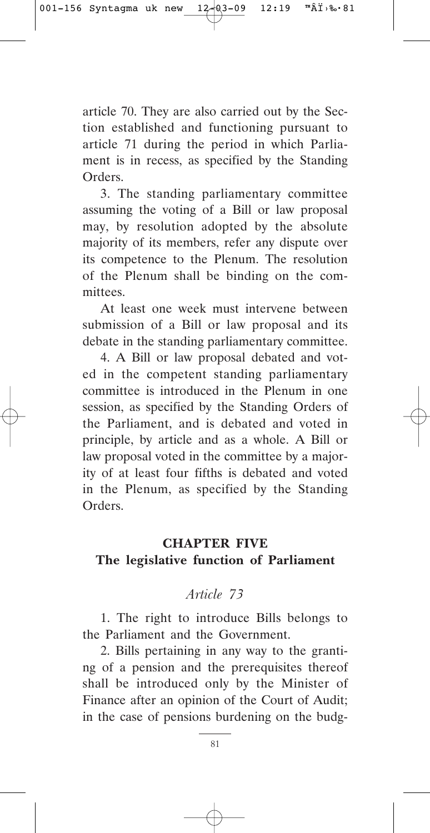001-156 Syntagma uk new 12-03-09 12:19

article 70. They are also carried out by the Section established and functioning pursuant to article 71 during the period in which Parliament is in recess, as specified by the Standing Orders.

3. The standing parliamentary committee assuming the voting of a Bill or law proposal may, by resolution adopted by the absolute majority of its members, refer any dispute over its competence to the Plenum. The resolution of the Plenum shall be binding on the committees.

At least one week must intervene between submission of a Bill or law proposal and its debate in the standing parliamentary committee.

4. A Bill or law proposal debated and voted in the competent standing parliamentary committee is introduced in the Plenum in one session, as specified by the Standing Orders of the Parliament, and is debated and voted in principle, by article and as a whole. A Bill or law proposal voted in the committee by a majority of at least four fifths is debated and voted in the Plenum, as specified by the Standing Orders.

#### **CHAPTER FIVE**

#### **The legislative function of Parliament**

### *Article 73*

1. The right to introduce Bills belongs to the Parliament and the Government.

2. Bills pertaining in any way to the granting of a pension and the prerequisites thereof shall be introduced only by the Minister of Finance after an opinion of the Court of Audit; in the case of pensions burdening on the budg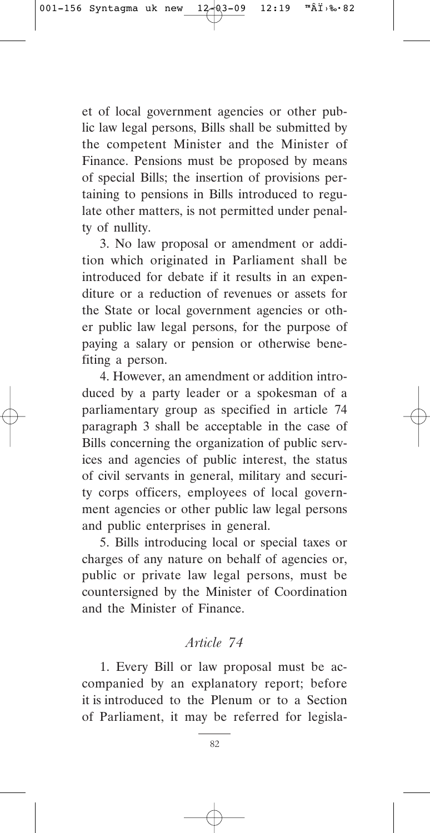et of local government agencies or other public law legal persons, Bills shall be submitted by the competent Minister and the Minister of Finance. Pensions must be proposed by means of special Bills; the insertion of provisions pertaining to pensions in Bills introduced to regulate other matters, is not permitted under penalty of nullity.

3. No law proposal or amendment or addition which originated in Parliament shall be introduced for debate if it results in an expenditure or a reduction of revenues or assets for the State or local government agencies or other public law legal persons, for the purpose of paying a salary or pension or otherwise benefiting a person.

4. However, an amendment or addition introduced by a party leader or a spokesman of a parliamentary group as specified in article 74 paragraph 3 shall be acceptable in the case of Bills concerning the organization of public services and agencies of public interest, the status of civil servants in general, military and security corps officers, employees of local government agencies or other public law legal persons and public enterprises in general.

5. Bills introducing local or special taxes or charges of any nature on behalf of agencies or, public or private law legal persons, must be countersigned by the Minister of Coordination and the Minister of Finance.

### *Article 74*

1. Every Bill or law proposal must be accompanied by an explanatory report; before it is introduced to the Plenum or to a Section of Parliament, it may be referred for legisla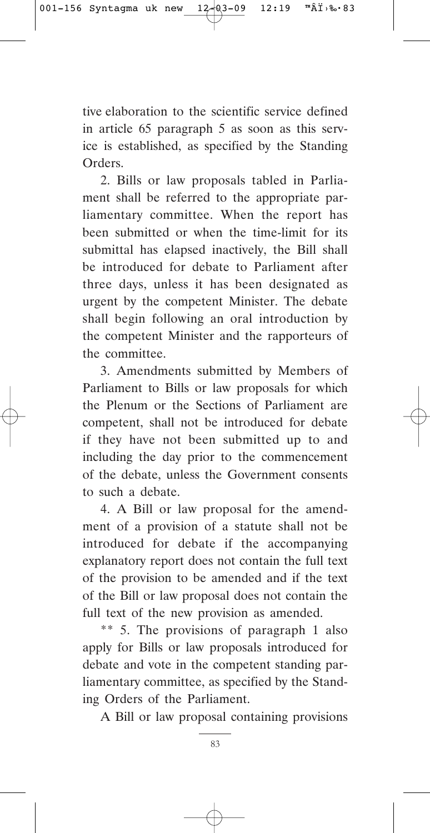tive elaboration to the scientific service defined in article 65 paragraph 5 as soon as this service is established, as specified by the Standing Orders.

2. Bills or law proposals tabled in Parliament shall be referred to the appropriate parliamentary committee. When the report has been submitted or when the time-limit for its submittal has elapsed inactively, the Bill shall be introduced for debate to Parliament after three days, unless it has been designated as urgent by the competent Minister. The debate shall begin following an oral introduction by the competent Minister and the rapporteurs of the committee.

3. Amendments submitted by Members of Parliament to Bills or law proposals for which the Plenum or the Sections of Parliament are competent, shall not be introduced for debate if they have not been submitted up to and including the day prior to the commencement of the debate, unless the Government consents to such a debate.

4. A Bill or law proposal for the amendment of a provision of a statute shall not be introduced for debate if the accompanying explanatory report does not contain the full text of the provision to be amended and if the text of the Bill or law proposal does not contain the full text of the new provision as amended.

\*\* 5. The provisions of paragraph 1 also apply for Bills or law proposals introduced for debate and vote in the competent standing parliamentary committee, as specified by the Standing Orders of the Parliament.

A Bill or law proposal containing provisions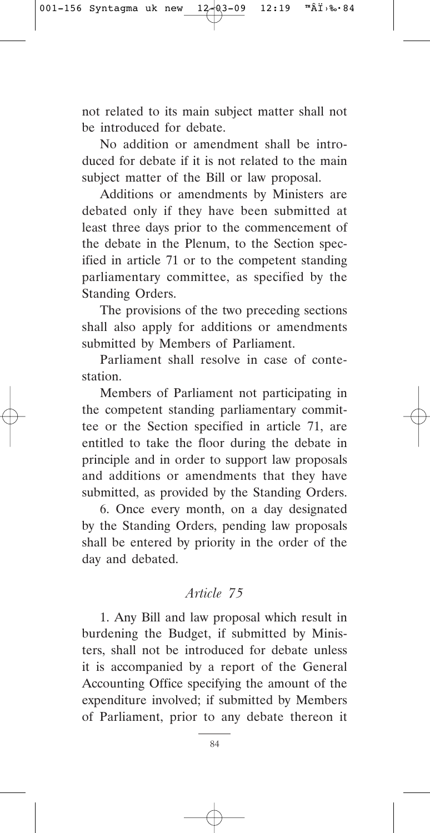not related to its main subject matter shall not be introduced for debate.

No addition or amendment shall be introduced for debate if it is not related to the main subject matter of the Bill or law proposal.

Additions or amendments by Ministers are debated only if they have been submitted at least three days prior to the commencement of the debate in the Plenum, to the Section specified in article 71 or to the competent standing parliamentary committee, as specified by the Standing Orders.

The provisions of the two preceding sections shall also apply for additions or amendments submitted by Members of Parliament.

Parliament shall resolve in case of contestation.

Members of Parliament not participating in the competent standing parliamentary committee or the Section specified in article 71, are entitled to take the floor during the debate in principle and in order to support law proposals and additions or amendments that they have submitted, as provided by the Standing Orders.

6. Once every month, on a day designated by the Standing Orders, pending law proposals shall be entered by priority in the order of the day and debated.

### *Article 75*

1. Any Bill and law proposal which result in burdening the Budget, if submitted by Ministers, shall not be introduced for debate unless it is accompanied by a report of the General Accounting Office specifying the amount of the expenditure involved; if submitted by Members of Parliament, prior to any debate thereon it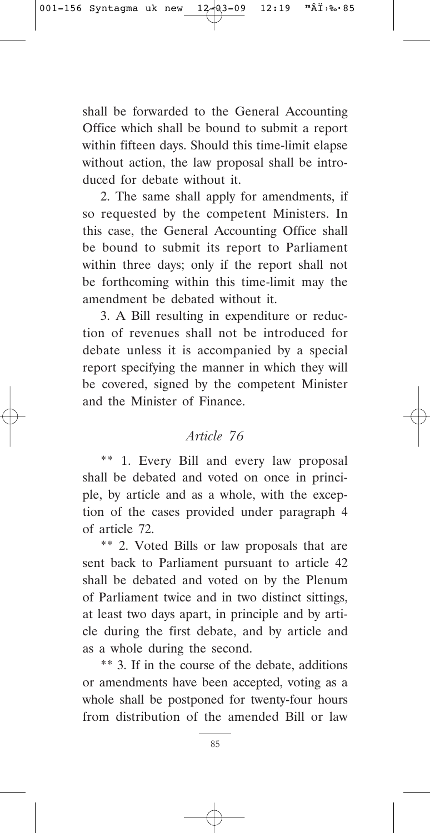shall be forwarded to the General Accounting Office which shall be bound to submit a report within fifteen days. Should this time-limit elapse without action, the law proposal shall be introduced for debate without it.

2. The same shall apply for amendments, if so requested by the competent Ministers. In this case, the General Accounting Office shall be bound to submit its report to Parliament within three days; only if the report shall not be forthcoming within this time-limit may the amendment be debated without it.

3. A Bill resulting in expenditure or reduction of revenues shall not be introduced for debate unless it is accompanied by a special report specifying the manner in which they will be covered, signed by the competent Minister and the Minister of Finance.

## *Article 76*

\*\* 1. Every Bill and every law proposal shall be debated and voted on once in principle, by article and as a whole, with the exception of the cases provided under paragraph 4 of article 72.

\*\* 2. Voted Bills or law proposals that are sent back to Parliament pursuant to article 42 shall be debated and voted on by the Plenum of Parliament twice and in two distinct sittings, at least two days apart, in principle and by article during the first debate, and by article and as a whole during the second.

\*\* 3. If in the course of the debate, additions or amendments have been accepted, voting as a whole shall be postponed for twenty-four hours from distribution of the amended Bill or law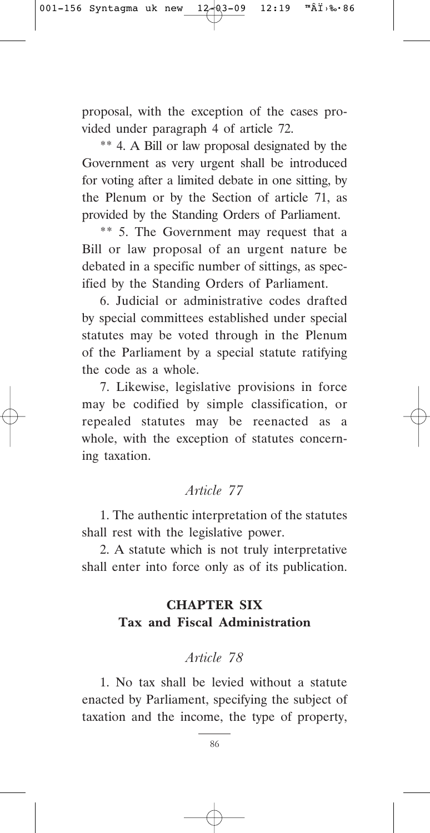proposal, with the exception of the cases provided under paragraph 4 of article 72.

\*\* 4. A Bill or law proposal designated by the Government as very urgent shall be introduced for voting after a limited debate in one sitting, by the Plenum or by the Section of article 71, as provided by the Standing Orders of Parliament.

\*\* 5. The Government may request that a Bill or law proposal of an urgent nature be debated in a specific number of sittings, as specified by the Standing Orders of Parliament.

6. Judicial or administrative codes drafted by special committees established under special statutes may be voted through in the Plenum of the Parliament by a special statute ratifying the code as a whole.

7. Likewise, legislative provisions in force may be codified by simple classification, or repealed statutes may be reenacted as a whole, with the exception of statutes concerning taxation.

### *Article 77*

1. The authentic interpretation of the statutes shall rest with the legislative power.

2. A statute which is not truly interpretative shall enter into force only as of its publication.

# **CHAPTER SIX Tax and Fiscal Administration**

### *Article 78*

1. No tax shall be levied without a statute enacted by Parliament, specifying the subject of taxation and the income, the type of property,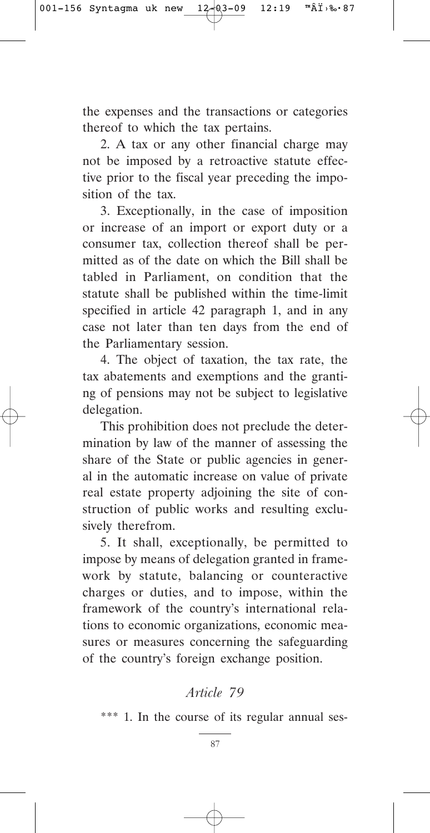the expenses and the transactions or categories thereof to which the tax pertains.

2. A tax or any other financial charge may not be imposed by a retroactive statute effective prior to the fiscal year preceding the imposition of the tax.

3. Exceptionally, in the case of imposition or increase of an import or export duty or a consumer tax, collection thereof shall be permitted as of the date on which the Bill shall be tabled in Parliament, on condition that the statute shall be published within the time-limit specified in article 42 paragraph 1, and in any case not later than ten days from the end of the Parliamentary session.

4. The object of taxation, the tax rate, the tax abatements and exemptions and the granting of pensions may not be subject to legislative delegation.

This prohibition does not preclude the determination by law of the manner of assessing the share of the State or public agencies in general in the automatic increase on value of private real estate property adjoining the site of construction of public works and resulting exclusively therefrom.

5. It shall, exceptionally, be permitted to impose by means of delegation granted in framework by statute, balancing or counteractive charges or duties, and to impose, within the framework of the country's international relations to economic organizations, economic measures or measures concerning the safeguarding of the country's foreign exchange position.

# *Article 79*

\*\*\* 1. In the course of its regular annual ses-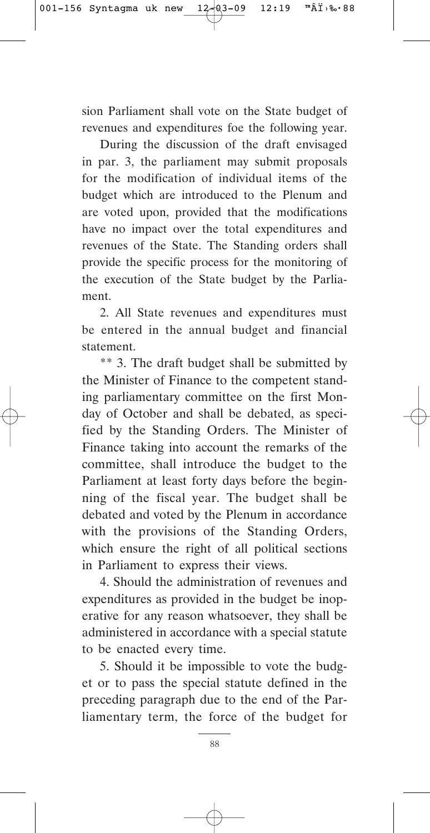sion Parliament shall vote on the State budget of revenues and expenditures foe the following year.

During the discussion of the draft envisaged in par. 3, the parliament may submit proposals for the modification of individual items of the budget which are introduced to the Plenum and are voted upon, provided that the modifications have no impact over the total expenditures and revenues of the State. The Standing orders shall provide the specific process for the monitoring of the execution of the State budget by the Parliament.

2. All State revenues and expenditures must be entered in the annual budget and financial statement.

\*\* 3. The draft budget shall be submitted by the Minister of Finance to the competent standing parliamentary committee on the first Monday of October and shall be debated, as specified by the Standing Orders. The Minister of Finance taking into account the remarks of the committee, shall introduce the budget to the Parliament at least forty days before the beginning of the fiscal year. The budget shall be debated and voted by the Plenum in accordance with the provisions of the Standing Orders, which ensure the right of all political sections in Parliament to express their views.

4. Should the administration of revenues and expenditures as provided in the budget be inoperative for any reason whatsoever, they shall be administered in accordance with a special statute to be enacted every time.

5. Should it be impossible to vote the budget or to pass the special statute defined in the preceding paragraph due to the end of the Parliamentary term, the force of the budget for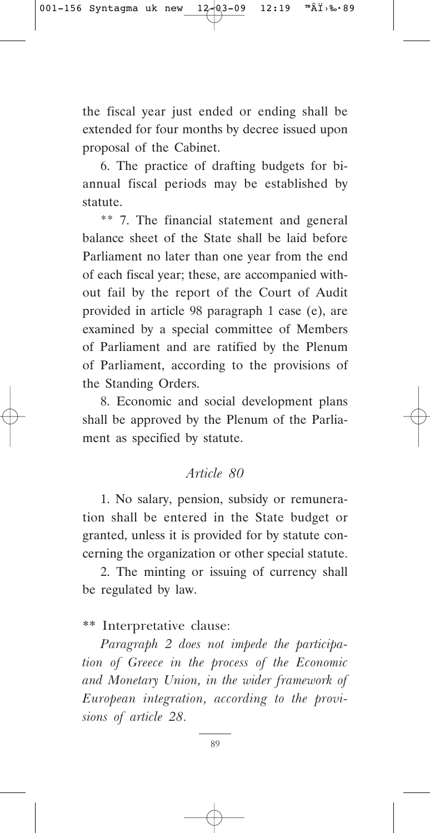the fiscal year just ended or ending shall be extended for four months by decree issued upon proposal of the Cabinet.

6. The practice of drafting budgets for biannual fiscal periods may be established by statute.

\*\* 7. The financial statement and general balance sheet of the State shall be laid before Parliament no later than one year from the end of each fiscal year; these, are accompanied without fail by the report of the Court of Audit provided in article 98 paragraph 1 case (e), are examined by a special committee of Members of Parliament and are ratified by the Plenum of Parliament, according to the provisions of the Standing Orders.

8. Economic and social development plans shall be approved by the Plenum of the Parliament as specified by statute.

# *Article 80*

1. No salary, pension, subsidy or remuneration shall be entered in the State budget or granted, unless it is provided for by statute concerning the organization or other special statute.

2. The minting or issuing of currency shall be regulated by law.

#### \*\* Interpretative clause:

*Paragraph 2 does not impede the participation of Greece in the process of the Economic and Monetary Union, in the wider framework of European integration, according to the provisions of article 28.*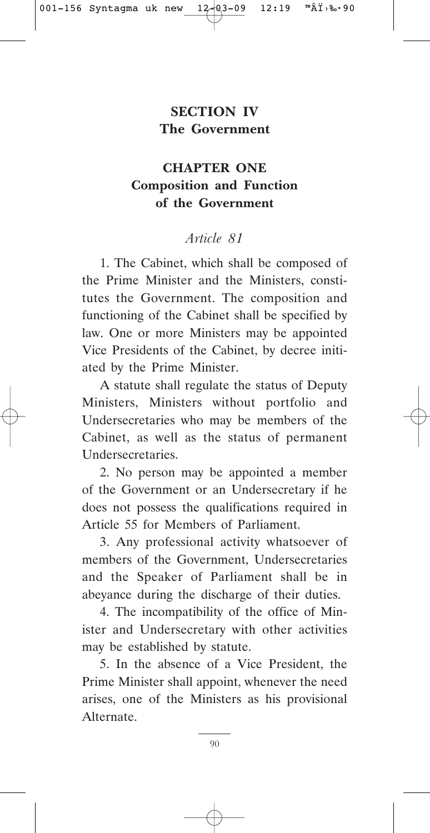001-156 Syntagma uk new 12-03-09 12:19

# **SECTION IV The Government**

# **CHAPTER ONE Composition and Function of the Government**

### *Article 81*

1. The Cabinet, which shall be composed of the Prime Minister and the Ministers, constitutes the Government. The composition and functioning of the Cabinet shall be specified by law. One or more Ministers may be appointed Vice Presidents of the Cabinet, by decree initiated by the Prime Minister.

A statute shall regulate the status of Deputy Ministers, Ministers without portfolio and Undersecretaries who may be members of the Cabinet, as well as the status of permanent Undersecretaries.

2. No person may be appointed a member of the Government or an Undersecretary if he does not possess the qualifications required in Article 55 for Members of Parliament.

3. Any professional activity whatsoever of members of the Government, Undersecretaries and the Speaker of Parliament shall be in abeyance during the discharge of their duties.

4. The incompatibility of the office of Minister and Undersecretary with other activities may be established by statute.

5. In the absence of a Vice President, the Prime Minister shall appoint, whenever the need arises, one of the Ministers as his provisional Alternate.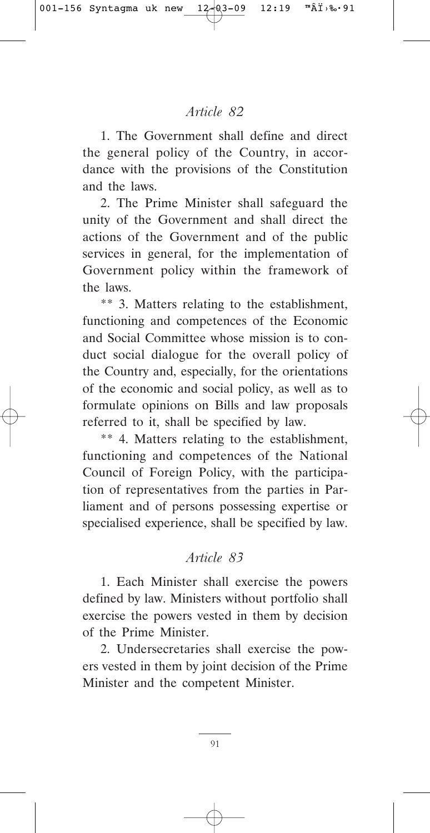### *Article 82*

1. The Government shall define and direct the general policy of the Country, in accordance with the provisions of the Constitution and the laws.

2. The Prime Minister shall safeguard the unity of the Government and shall direct the actions of the Government and of the public services in general, for the implementation of Government policy within the framework of the laws.

\*\* 3. Matters relating to the establishment, functioning and competences of the Economic and Social Committee whose mission is to conduct social dialogue for the overall policy of the Country and, especially, for the orientations of the economic and social policy, as well as to formulate opinions on Bills and law proposals referred to it, shall be specified by law.

\*\* 4. Matters relating to the establishment, functioning and competences of the National Council of Foreign Policy, with the participation of representatives from the parties in Parliament and of persons possessing expertise or specialised experience, shall be specified by law.

### *Article 83*

1. Each Minister shall exercise the powers defined by law. Ministers without portfolio shall exercise the powers vested in them by decision of the Prime Minister.

2. Undersecretaries shall exercise the powers vested in them by joint decision of the Prime Minister and the competent Minister.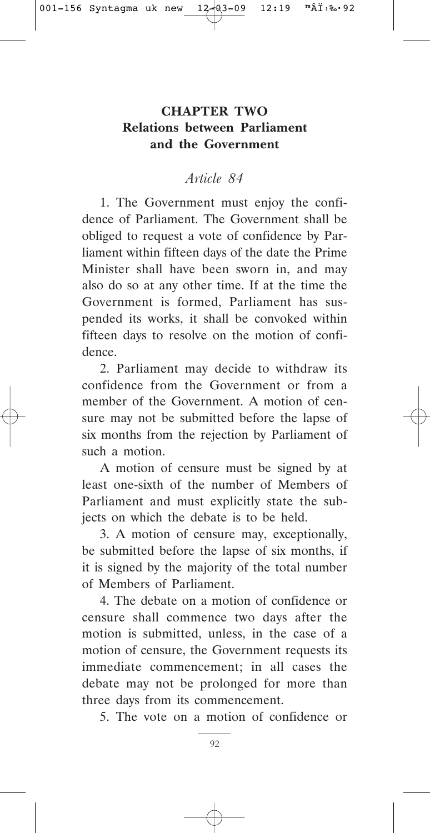## **CHAPTER TWO Relations between Parliament and the Government**

## *Article 84*

1. The Government must enjoy the confidence of Parliament. The Government shall be obliged to request a vote of confidence by Parliament within fifteen days of the date the Prime Minister shall have been sworn in, and may also do so at any other time. If at the time the Government is formed, Parliament has suspended its works, it shall be convoked within fifteen days to resolve on the motion of confidence.

2. Parliament may decide to withdraw its confidence from the Government or from a member of the Government. A motion of censure may not be submitted before the lapse of six months from the rejection by Parliament of such a motion.

A motion of censure must be signed by at least one-sixth of the number of Members of Parliament and must explicitly state the subjects on which the debate is to be held.

3. A motion of censure may, exceptionally, be submitted before the lapse of six months, if it is signed by the majority of the total number of Members of Parliament.

4. The debate on a motion of confidence or censure shall commence two days after the motion is submitted, unless, in the case of a motion of censure, the Government requests its immediate commencement; in all cases the debate may not be prolonged for more than three days from its commencement.

5. The vote on a motion of confidence or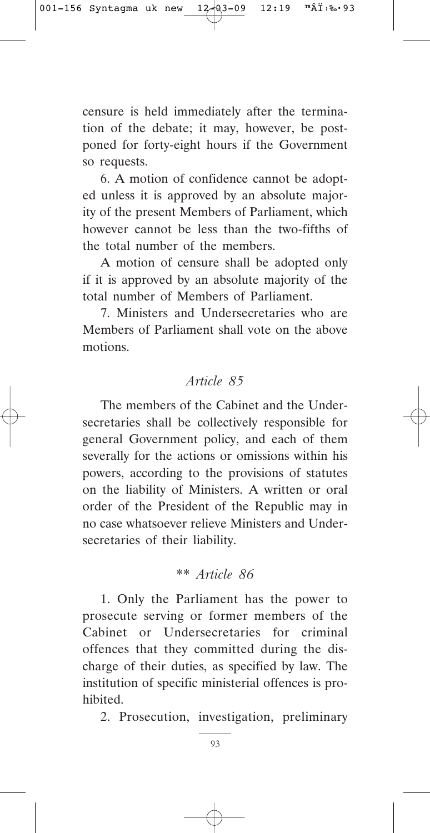censure is held immediately after the termination of the debate; it may, however, be postponed for forty-eight hours if the Government so requests.

6. A motion of confidence cannot be adopted unless it is approved by an absolute majority of the present Members of Parliament, which however cannot be less than the two-fifths of the total number of the members.

A motion of censure shall be adopted only if it is approved by an absolute majority of the total number of Members of Parliament.

7. Ministers and Undersecretaries who are Members of Parliament shall vote on the above motions.

## *Article 85*

The members of the Cabinet and the Undersecretaries shall be collectively responsible for general Government policy, and each of them severally for the actions or omissions within his powers, according to the provisions of statutes on the liability of Ministers. A written or oral order of the President of the Republic may in no case whatsoever relieve Ministers and Undersecretaries of their liability.

### *\*\* Article 86*

1. Only the Parliament has the power to prosecute serving or former members of the Cabinet or Undersecretaries for criminal offences that they committed during the discharge of their duties, as specified by law. The institution of specific ministerial offences is prohibited.

2. Prosecution, investigation, preliminary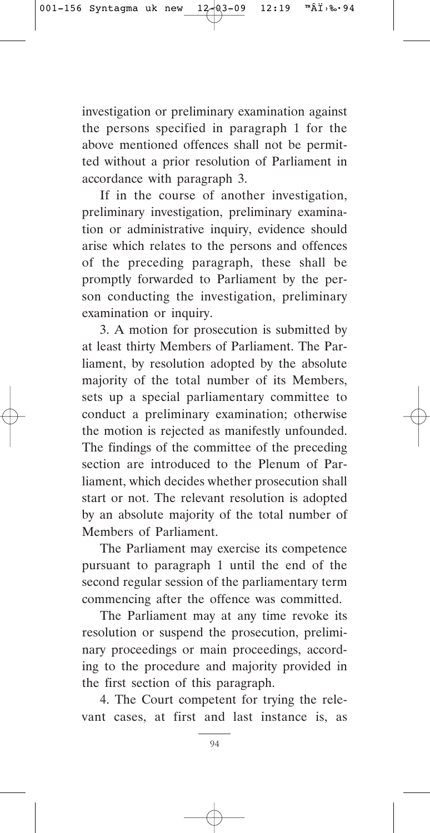investigation or preliminary examination against the persons specified in paragraph 1 for the above mentioned offences shall not be permitted without a prior resolution of Parliament in accordance with paragraph 3.

If in the course of another investigation, preliminary investigation, preliminary examination or administrative inquiry, evidence should arise which relates to the persons and offences of the preceding paragraph, these shall be promptly forwarded to Parliament by the person conducting the investigation, preliminary examination or inquiry.

3. A motion for prosecution is submitted by at least thirty Members of Parliament. The Parliament, by resolution adopted by the absolute majority of the total number of its Members, sets up a special parliamentary committee to conduct a preliminary examination; otherwise the motion is rejected as manifestly unfounded. The findings of the committee of the preceding section are introduced to the Plenum of Parliament, which decides whether prosecution shall start or not. The relevant resolution is adopted by an absolute majority of the total number of Members of Parliament.

The Parliament may exercise its competence pursuant to paragraph 1 until the end of the second regular session of the parliamentary term commencing after the offence was committed.

The Parliament may at any time revoke its resolution or suspend the prosecution, preliminary proceedings or main proceedings, according to the procedure and majority provided in the first section of this paragraph.

4. The Court competent for trying the relevant cases, at first and last instance is, as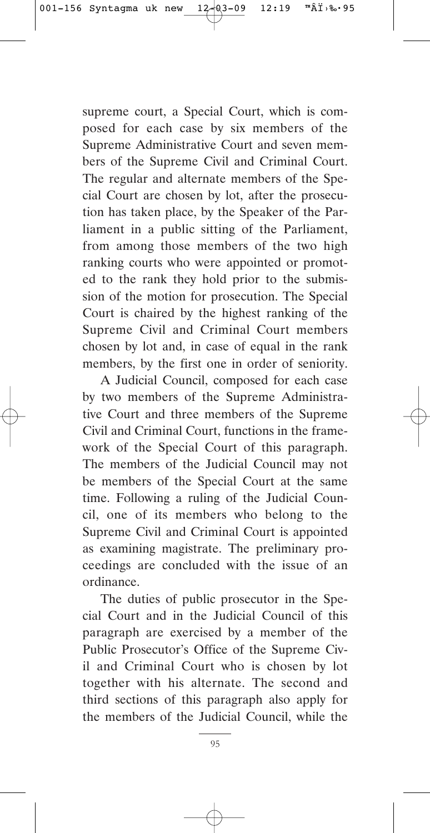supreme court, a Special Court, which is composed for each case by six members of the Supreme Administrative Court and seven members of the Supreme Civil and Criminal Court. The regular and alternate members of the Special Court are chosen by lot, after the prosecution has taken place, by the Speaker of the Parliament in a public sitting of the Parliament, from among those members of the two high ranking courts who were appointed or promoted to the rank they hold prior to the submission of the motion for prosecution. The Special Court is chaired by the highest ranking of the Supreme Civil and Criminal Court members chosen by lot and, in case of equal in the rank members, by the first one in order of seniority.

A Judicial Council, composed for each case by two members of the Supreme Administrative Court and three members of the Supreme Civil and Criminal Court, functions in the framework of the Special Court of this paragraph. The members of the Judicial Council may not be members of the Special Court at the same time. Following a ruling of the Judicial Council, one of its members who belong to the Supreme Civil and Criminal Court is appointed as examining magistrate. The preliminary proceedings are concluded with the issue of an ordinance.

The duties of public prosecutor in the Special Court and in the Judicial Council of this paragraph are exercised by a member of the Public Prosecutor's Office of the Supreme Civil and Criminal Court who is chosen by lot together with his alternate. The second and third sections of this paragraph also apply for the members of the Judicial Council, while the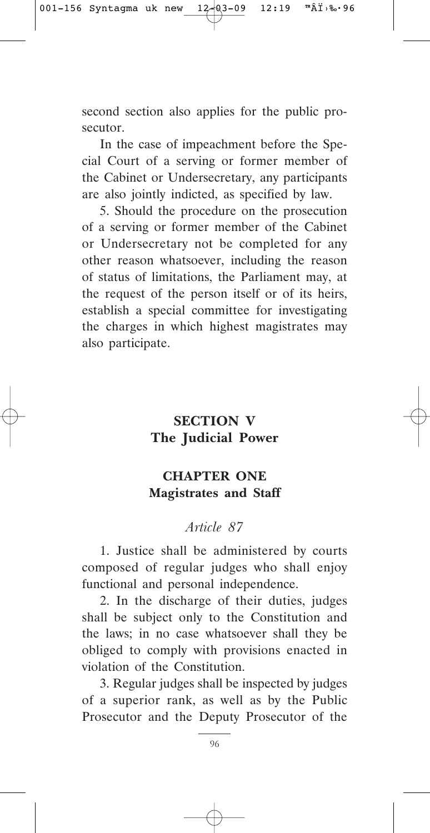second section also applies for the public prosecutor.

In the case of impeachment before the Special Court of a serving or former member of the Cabinet or Undersecretary, any participants are also jointly indicted, as specified by law.

5. Should the procedure on the prosecution of a serving or former member of the Cabinet or Undersecretary not be completed for any other reason whatsoever, including the reason of status of limitations, the Parliament may, at the request of the person itself or of its heirs, establish a special committee for investigating the charges in which highest magistrates may also participate.

# **SECTION V The Judicial Power**

## **CHAPTER ONE Magistrates and Staff**

### *Article 87*

1. Justice shall be administered by courts composed of regular judges who shall enjoy functional and personal independence.

2. In the discharge of their duties, judges shall be subject only to the Constitution and the laws; in no case whatsoever shall they be obliged to comply with provisions enacted in violation of the Constitution.

3. Regular judges shall be inspected by judges of a superior rank, as well as by the Public Prosecutor and the Deputy Prosecutor of the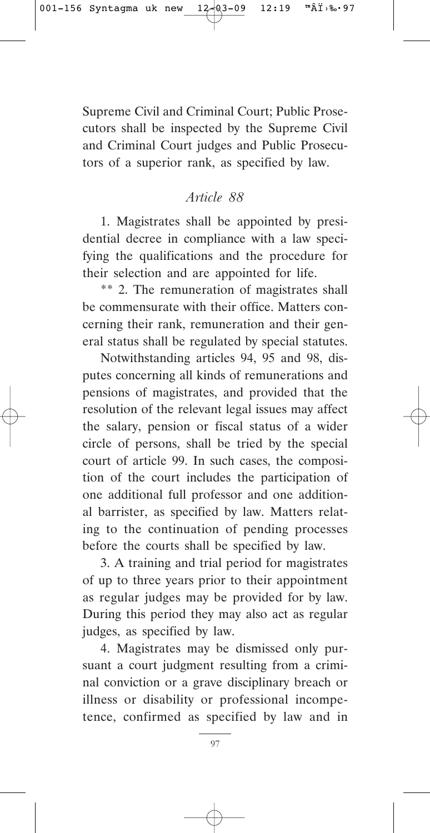Supreme Civil and Criminal Court; Public Prosecutors shall be inspected by the Supreme Civil and Criminal Court judges and Public Prosecutors of a superior rank, as specified by law.

### *Article 88*

1. Magistrates shall be appointed by presidential decree in compliance with a law specifying the qualifications and the procedure for their selection and are appointed for life.

\*\* 2. The remuneration of magistrates shall be commensurate with their office. Matters concerning their rank, remuneration and their general status shall be regulated by special statutes.

Notwithstanding articles 94, 95 and 98, disputes concerning all kinds of remunerations and pensions of magistrates, and provided that the resolution of the relevant legal issues may affect the salary, pension or fiscal status of a wider circle of persons, shall be tried by the special court of article 99. In such cases, the composition of the court includes the participation of one additional full professor and one additional barrister, as specified by law. Matters relating to the continuation of pending processes before the courts shall be specified by law.

3. A training and trial period for magistrates of up to three years prior to their appointment as regular judges may be provided for by law. During this period they may also act as regular judges, as specified by law.

4. Magistrates may be dismissed only pursuant a court judgment resulting from a criminal conviction or a grave disciplinary breach or illness or disability or professional incompetence, confirmed as specified by law and in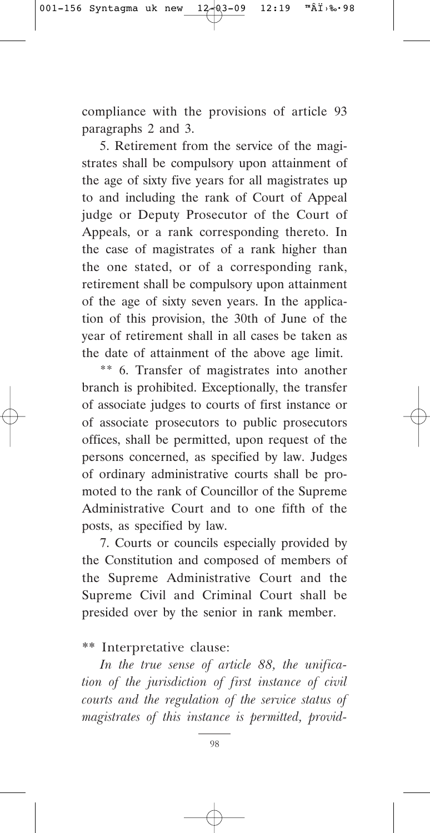compliance with the provisions of article 93 paragraphs 2 and 3.

5. Retirement from the service of the magistrates shall be compulsory upon attainment of the age of sixty five years for all magistrates up to and including the rank of Court of Appeal judge or Deputy Prosecutor of the Court of Appeals, or a rank corresponding thereto. In the case of magistrates of a rank higher than the one stated, or of a corresponding rank, retirement shall be compulsory upon attainment of the age of sixty seven years. In the application of this provision, the 30th of June of the year of retirement shall in all cases be taken as the date of attainment of the above age limit.

\*\* 6. Transfer of magistrates into another branch is prohibited. Exceptionally, the transfer of associate judges to courts of first instance or of associate prosecutors to public prosecutors offices, shall be permitted, upon request of the persons concerned, as specified by law. Judges of ordinary administrative courts shall be promoted to the rank of Councillor of the Supreme Administrative Court and to one fifth of the posts, as specified by law.

7. Courts or councils especially provided by the Constitution and composed of members of the Supreme Administrative Court and the Supreme Civil and Criminal Court shall be presided over by the senior in rank member.

#### \*\* Interpretative clause:

*In the true sense of article 88, the unification of the jurisdiction of first instance of civil courts and the regulation of the service status of magistrates of this instance is permitted, provid-*

98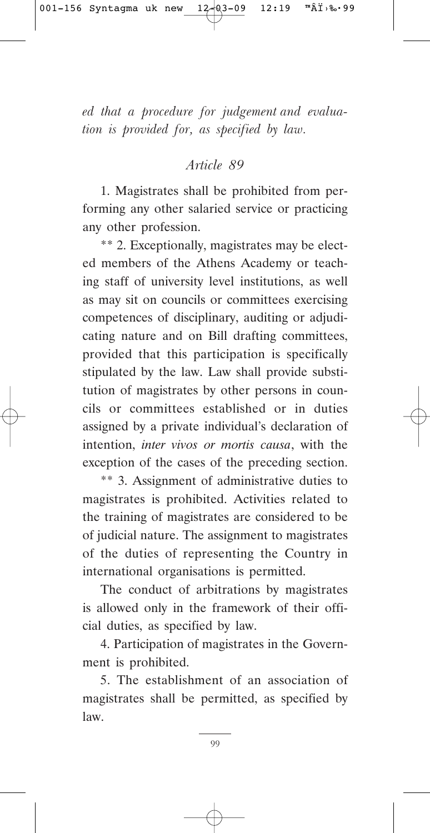*ed that a procedure for judgement and evaluation is provided for, as specified by law.*

*Article 89*

1. Magistrates shall be prohibited from performing any other salaried service or practicing any other profession.

\*\* 2. Exceptionally, magistrates may be elected members of the Athens Academy or teaching staff of university level institutions, as well as may sit on councils or committees exercising competences of disciplinary, auditing or adjudicating nature and on Bill drafting committees, provided that this participation is specifically stipulated by the law. Law shall provide substitution of magistrates by other persons in councils or committees established or in duties assigned by a private individual's declaration of intention, *inter vivos or mortis causa*, with the exception of the cases of the preceding section.

\*\* 3. Assignment of administrative duties to magistrates is prohibited. Activities related to the training of magistrates are considered to be of judicial nature. The assignment to magistrates of the duties of representing the Country in international organisations is permitted.

The conduct of arbitrations by magistrates is allowed only in the framework of their official duties, as specified by law.

4. Participation of magistrates in the Government is prohibited.

5. The establishment of an association of magistrates shall be permitted, as specified by law.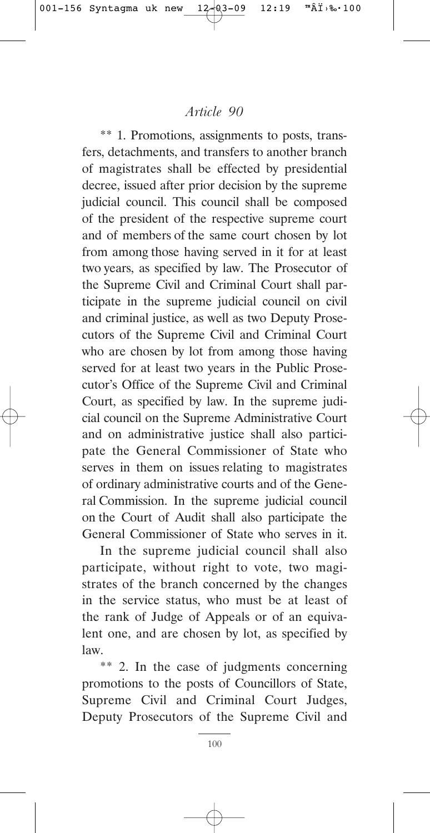001-156 Syntagma uk new 12-03-09 12:19

### *Article 90*

\*\* 1. Promotions, assignments to posts, transfers, detachments, and transfers to another branch of magistrates shall be effected by presidential decree, issued after prior decision by the supreme judicial council. This council shall be composed of the president of the respective supreme court and of members of the same court chosen by lot from among those having served in it for at least two years, as specified by law. The Prosecutor of the Supreme Civil and Criminal Court shall participate in the supreme judicial council on civil and criminal justice, as well as two Deputy Prosecutors of the Supreme Civil and Criminal Court who are chosen by lot from among those having served for at least two years in the Public Prosecutor's Office of the Supreme Civil and Criminal Court, as specified by law. In the supreme judicial council on the Supreme Administrative Court and on administrative justice shall also participate the General Commissioner of State who serves in them on issues relating to magistrates of ordinary administrative courts and of the General Commission. In the supreme judicial council on the Court of Audit shall also participate the General Commissioner of State who serves in it.

In the supreme judicial council shall also participate, without right to vote, two magistrates of the branch concerned by the changes in the service status, who must be at least of the rank of Judge of Appeals or of an equivalent one, and are chosen by lot, as specified by law.

\*\* 2. In the case of judgments concerning promotions to the posts of Councillors of State, Supreme Civil and Criminal Court Judges, Deputy Prosecutors of the Supreme Civil and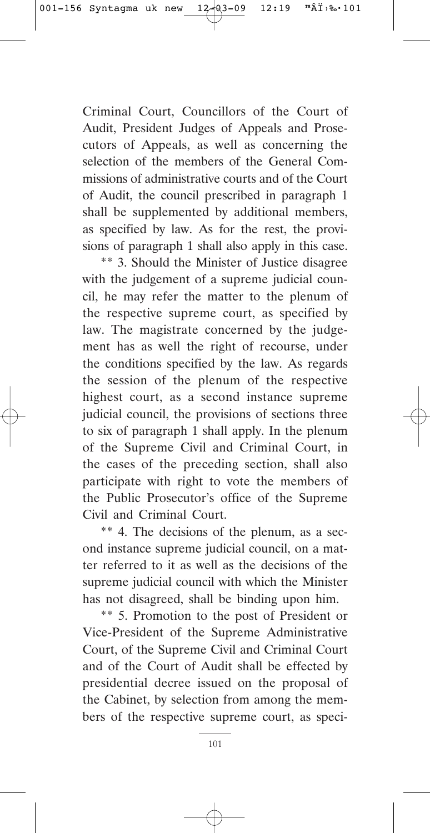Criminal Court, Councillors of the Court of Audit, President Judges of Appeals and Prosecutors of Appeals, as well as concerning the selection of the members of the General Commissions of administrative courts and of the Court of Audit, the council prescribed in paragraph 1 shall be supplemented by additional members, as specified by law. As for the rest, the provisions of paragraph 1 shall also apply in this case.

\*\* 3. Should the Minister of Justice disagree with the judgement of a supreme judicial council, he may refer the matter to the plenum of the respective supreme court, as specified by law. The magistrate concerned by the judgement has as well the right of recourse, under the conditions specified by the law. As regards the session of the plenum of the respective highest court, as a second instance supreme judicial council, the provisions of sections three to six of paragraph 1 shall apply. In the plenum of the Supreme Civil and Criminal Court, in the cases of the preceding section, shall also participate with right to vote the members of the Public Prosecutor's office of the Supreme Civil and Criminal Court.

\*\* 4. The decisions of the plenum, as a second instance supreme judicial council, on a matter referred to it as well as the decisions of the supreme judicial council with which the Minister has not disagreed, shall be binding upon him.

\*\* 5. Promotion to the post of President or Vice-President of the Supreme Administrative Court, of the Supreme Civil and Criminal Court and of the Court of Audit shall be effected by presidential decree issued on the proposal of the Cabinet, by selection from among the members of the respective supreme court, as speci-

101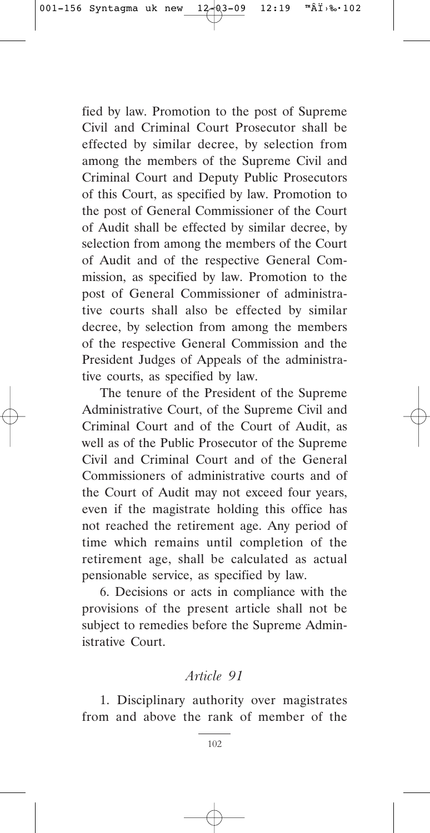fied by law. Promotion to the post of Supreme Civil and Criminal Court Prosecutor shall be effected by similar decree, by selection from among the members of the Supreme Civil and Criminal Court and Deputy Public Prosecutors of this Court, as specified by law. Promotion to the post of General Commissioner of the Court of Audit shall be effected by similar decree, by selection from among the members of the Court of Audit and of the respective General Commission, as specified by law. Promotion to the post of General Commissioner of administrative courts shall also be effected by similar decree, by selection from among the members of the respective General Commission and the President Judges of Appeals of the administrative courts, as specified by law.

The tenure of the President of the Supreme Administrative Court, of the Supreme Civil and Criminal Court and of the Court of Audit, as well as of the Public Prosecutor of the Supreme Civil and Criminal Court and of the General Commissioners of administrative courts and of the Court of Audit may not exceed four years, even if the magistrate holding this office has not reached the retirement age. Any period of time which remains until completion of the retirement age, shall be calculated as actual pensionable service, as specified by law.

6. Decisions or acts in compliance with the provisions of the present article shall not be subject to remedies before the Supreme Administrative Court.

## *Article 91*

1. Disciplinary authority over magistrates from and above the rank of member of the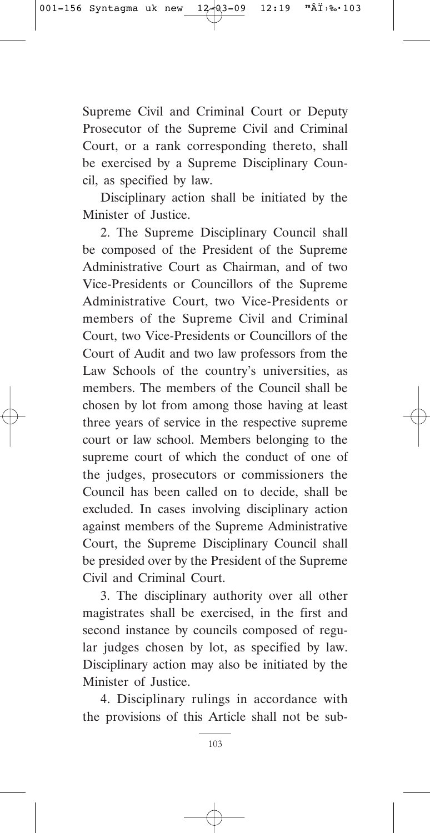Supreme Civil and Criminal Court or Deputy Prosecutor of the Supreme Civil and Criminal Court, or a rank corresponding thereto, shall be exercised by a Supreme Disciplinary Council, as specified by law.

Disciplinary action shall be initiated by the Minister of Justice.

2. The Supreme Disciplinary Council shall be composed of the President of the Supreme Administrative Court as Chairman, and of two Vice-Presidents or Councillors of the Supreme Administrative Court, two Vice-Presidents or members of the Supreme Civil and Criminal Court, two Vice-Presidents or Councillors of the Court of Audit and two law professors from the Law Schools of the country's universities, as members. The members of the Council shall be chosen by lot from among those having at least three years of service in the respective supreme court or law school. Members belonging to the supreme court of which the conduct of one of the judges, prosecutors or commissioners the Council has been called on to decide, shall be excluded. In cases involving disciplinary action against members of the Supreme Administrative Court, the Supreme Disciplinary Council shall be presided over by the President of the Supreme Civil and Criminal Court.

3. The disciplinary authority over all other magistrates shall be exercised, in the first and second instance by councils composed of regular judges chosen by lot, as specified by law. Disciplinary action may also be initiated by the Minister of Justice.

4. Disciplinary rulings in accordance with the provisions of this Article shall not be sub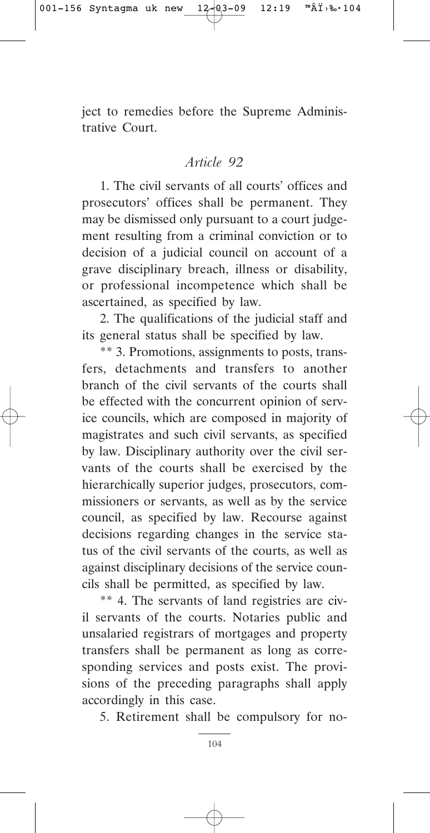001-156 Syntagma uk new 12-03-09 12:19

ject to remedies before the Supreme Administrative Court.

## *Article 92*

1. The civil servants of all courts' offices and prosecutors' offices shall be permanent. They may be dismissed only pursuant to a court judgement resulting from a criminal conviction or to decision of a judicial council on account of a grave disciplinary breach, illness or disability, or professional incompetence which shall be ascertained, as specified by law.

2. The qualifications of the judicial staff and its general status shall be specified by law.

\*\* 3. Promotions, assignments to posts, transfers, detachments and transfers to another branch of the civil servants of the courts shall be effected with the concurrent opinion of service councils, which are composed in majority of magistrates and such civil servants, as specified by law. Disciplinary authority over the civil servants of the courts shall be exercised by the hierarchically superior judges, prosecutors, commissioners or servants, as well as by the service council, as specified by law. Recourse against decisions regarding changes in the service status of the civil servants of the courts, as well as against disciplinary decisions of the service councils shall be permitted, as specified by law.

\*\* 4. The servants of land registries are civil servants of the courts. Notaries public and unsalaried registrars of mortgages and property transfers shall be permanent as long as corresponding services and posts exist. The provisions of the preceding paragraphs shall apply accordingly in this case.

5. Retirement shall be compulsory for no-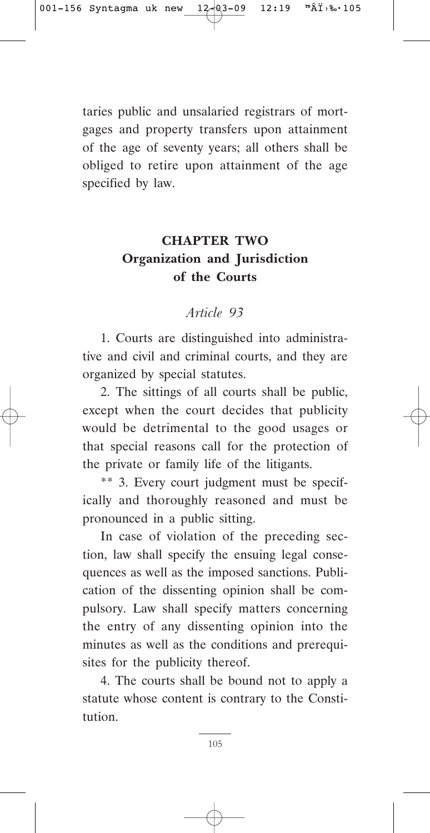taries public and unsalaried registrars of mortgages and property transfers upon attainment of the age of seventy years; all others shall be obliged to retire upon attainment of the age specified by law.

# **CHAPTER TWO Organization and Jurisdiction of the Courts**

## *Article 93*

1. Courts are distinguished into administrative and civil and criminal courts, and they are organized by special statutes.

2. The sittings of all courts shall be public, except when the court decides that publicity would be detrimental to the good usages or that special reasons call for the protection of the private or family life of the litigants.

\*\* 3. Every court judgment must be specifically and thoroughly reasoned and must be pronounced in a public sitting.

In case of violation of the preceding section, law shall specify the ensuing legal consequences as well as the imposed sanctions. Publication of the dissenting opinion shall be compulsory. Law shall specify matters concerning the entry of any dissenting opinion into the minutes as well as the conditions and prerequisites for the publicity thereof.

4. The courts shall be bound not to apply a statute whose content is contrary to the Constitution.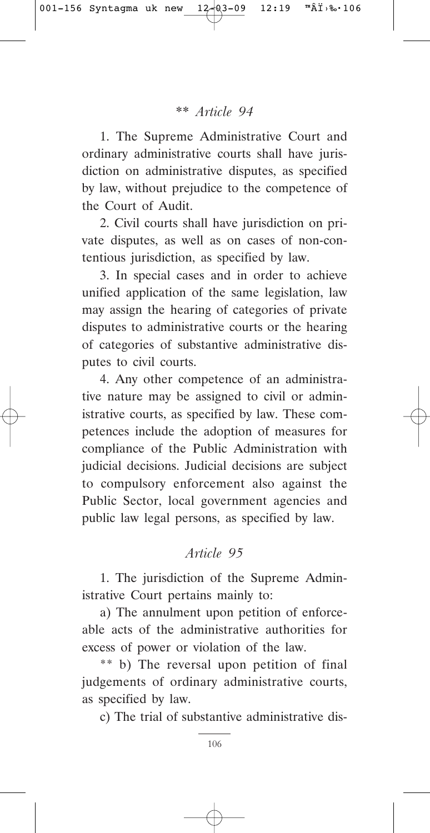#### *\*\* Article 94*

1. The Supreme Administrative Court and ordinary administrative courts shall have jurisdiction on administrative disputes, as specified by law, without prejudice to the competence of the Court of Audit.

2. Civil courts shall have jurisdiction on private disputes, as well as on cases of non-contentious jurisdiction, as specified by law.

3. In special cases and in order to achieve unified application of the same legislation, law may assign the hearing of categories of private disputes to administrative courts or the hearing of categories of substantive administrative disputes to civil courts.

4. Any other competence of an administrative nature may be assigned to civil or administrative courts, as specified by law. These competences include the adoption of measures for compliance of the Public Administration with judicial decisions. Judicial decisions are subject to compulsory enforcement also against the Public Sector, local government agencies and public law legal persons, as specified by law.

## *Article 95*

1. The jurisdiction of the Supreme Administrative Court pertains mainly to:

a) The annulment upon petition of enforceable acts of the administrative authorities for excess of power or violation of the law.

\*\* b) The reversal upon petition of final judgements of ordinary administrative courts, as specified by law.

c) The trial of substantive administrative dis-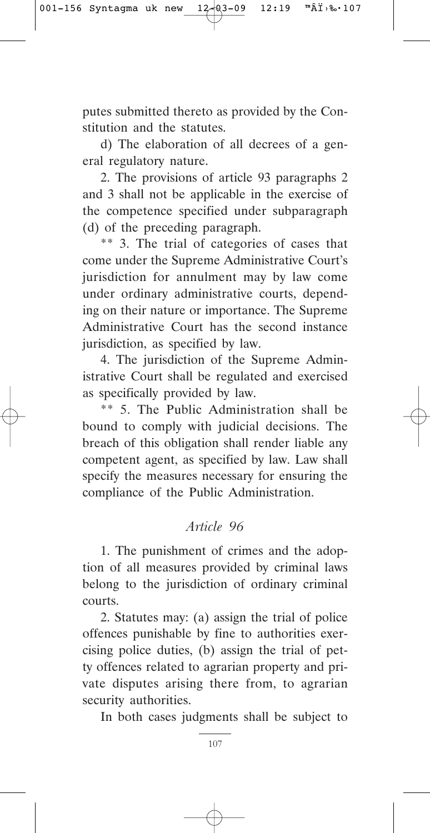putes submitted thereto as provided by the Constitution and the statutes.

d) The elaboration of all decrees of a general regulatory nature.

2. The provisions of article 93 paragraphs 2 and 3 shall not be applicable in the exercise of the competence specified under subparagraph (d) of the preceding paragraph.

\*\* 3. The trial of categories of cases that come under the Supreme Administrative Court's jurisdiction for annulment may by law come under ordinary administrative courts, depending on their nature or importance. The Supreme Administrative Court has the second instance jurisdiction, as specified by law.

4. The jurisdiction of the Supreme Administrative Court shall be regulated and exercised as specifically provided by law.

\*\* 5. The Public Administration shall be bound to comply with judicial decisions. The breach of this obligation shall render liable any competent agent, as specified by law. Law shall specify the measures necessary for ensuring the compliance of the Public Administration.

## *Article 96*

1. The punishment of crimes and the adoption of all measures provided by criminal laws belong to the jurisdiction of ordinary criminal courts.

2. Statutes may: (a) assign the trial of police offences punishable by fine to authorities exercising police duties, (b) assign the trial of petty offences related to agrarian property and private disputes arising there from, to agrarian security authorities.

In both cases judgments shall be subject to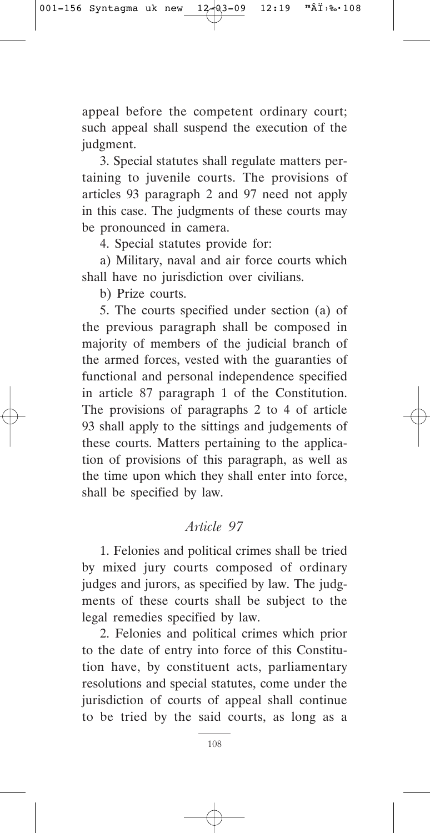appeal before the competent ordinary court; such appeal shall suspend the execution of the judgment.

3. Special statutes shall regulate matters pertaining to juvenile courts. The provisions of articles 93 paragraph 2 and 97 need not apply in this case. The judgments of these courts may be pronounced in camera.

4. Special statutes provide for:

a) Military, naval and air force courts which shall have no jurisdiction over civilians.

b) Prize courts.

5. The courts specified under section (a) of the previous paragraph shall be composed in majority of members of the judicial branch of the armed forces, vested with the guaranties of functional and personal independence specified in article 87 paragraph 1 of the Constitution. The provisions of paragraphs 2 to 4 of article 93 shall apply to the sittings and judgements of these courts. Matters pertaining to the application of provisions of this paragraph, as well as the time upon which they shall enter into force, shall be specified by law.

### *Article 97*

1. Felonies and political crimes shall be tried by mixed jury courts composed of ordinary judges and jurors, as specified by law. The judgments of these courts shall be subject to the legal remedies specified by law.

2. Felonies and political crimes which prior to the date of entry into force of this Constitution have, by constituent acts, parliamentary resolutions and special statutes, come under the jurisdiction of courts of appeal shall continue to be tried by the said courts, as long as a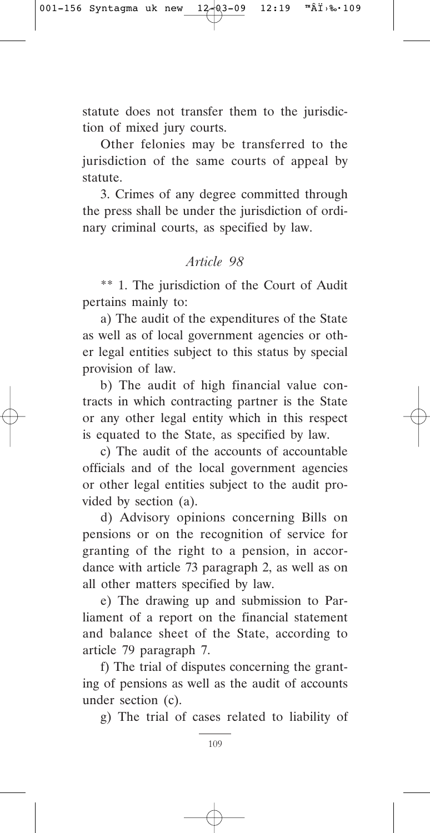statute does not transfer them to the jurisdiction of mixed jury courts.

Other felonies may be transferred to the jurisdiction of the same courts of appeal by statute.

3. Crimes of any degree committed through the press shall be under the jurisdiction of ordinary criminal courts, as specified by law.

## *Article 98*

\*\* 1. The jurisdiction of the Court of Audit pertains mainly to:

a) The audit of the expenditures of the State as well as of local government agencies or other legal entities subject to this status by special provision of law.

b) The audit of high financial value contracts in which contracting partner is the State or any other legal entity which in this respect is equated to the State, as specified by law.

c) The audit of the accounts of accountable officials and of the local government agencies or other legal entities subject to the audit provided by section (a).

d) Advisory opinions concerning Bills on pensions or on the recognition of service for granting of the right to a pension, in accordance with article 73 paragraph 2, as well as on all other matters specified by law.

e) The drawing up and submission to Parliament of a report on the financial statement and balance sheet of the State, according to article 79 paragraph 7.

f) The trial of disputes concerning the granting of pensions as well as the audit of accounts under section (c).

g) The trial of cases related to liability of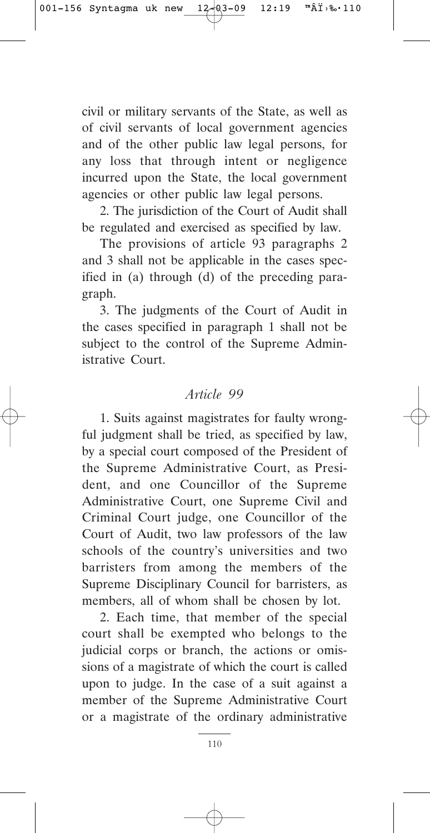civil or military servants of the State, as well as of civil servants of local government agencies and of the other public law legal persons, for any loss that through intent or negligence incurred upon the State, the local government agencies or other public law legal persons.

2. The jurisdiction of the Court of Audit shall be regulated and exercised as specified by law.

The provisions of article 93 paragraphs 2 and 3 shall not be applicable in the cases specified in (a) through (d) of the preceding paragraph.

3. The judgments of the Court of Audit in the cases specified in paragraph 1 shall not be subject to the control of the Supreme Administrative Court.

# *Article 99*

1. Suits against magistrates for faulty wrongful judgment shall be tried, as specified by law, by a special court composed of the President of the Supreme Administrative Court, as President, and one Councillor of the Supreme Administrative Court, one Supreme Civil and Criminal Court judge, one Councillor of the Court of Audit, two law professors of the law schools of the country's universities and two barristers from among the members of the Supreme Disciplinary Council for barristers, as members, all of whom shall be chosen by lot.

2. Each time, that member of the special court shall be exempted who belongs to the judicial corps or branch, the actions or omissions of a magistrate of which the court is called upon to judge. In the case of a suit against a member of the Supreme Administrative Court or a magistrate of the ordinary administrative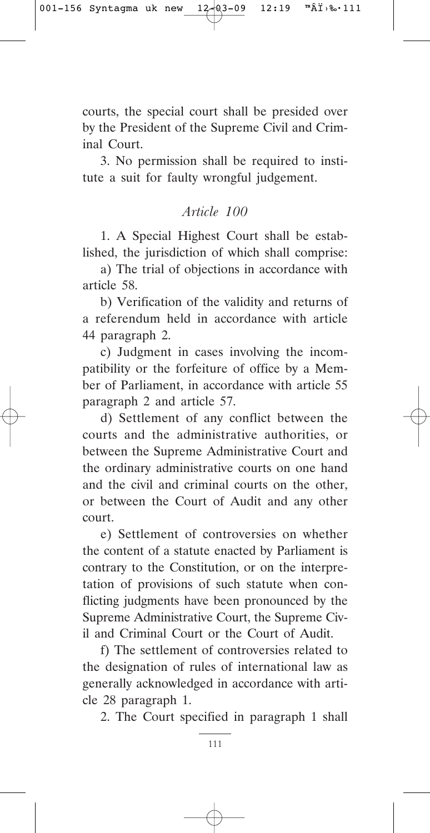courts, the special court shall be presided over by the President of the Supreme Civil and Criminal Court.

3. No permission shall be required to institute a suit for faulty wrongful judgement.

## *Article 100*

1. A Special Highest Court shall be established, the jurisdiction of which shall comprise:

a) The trial of objections in accordance with article 58.

b) Verification of the validity and returns of a referendum held in accordance with article 44 paragraph 2.

c) Judgment in cases involving the incompatibility or the forfeiture of office by a Member of Parliament, in accordance with article 55 paragraph 2 and article 57.

d) Settlement of any conflict between the courts and the administrative authorities, or between the Supreme Administrative Court and the ordinary administrative courts on one hand and the civil and criminal courts on the other, or between the Court of Audit and any other court.

e) Settlement of controversies on whether the content of a statute enacted by Parliament is contrary to the Constitution, or on the interpretation of provisions of such statute when conflicting judgments have been pronounced by the Supreme Administrative Court, the Supreme Civil and Criminal Court or the Court of Audit.

f) The settlement of controversies related to the designation of rules of international law as generally acknowledged in accordance with article 28 paragraph 1.

2. The Court specified in paragraph 1 shall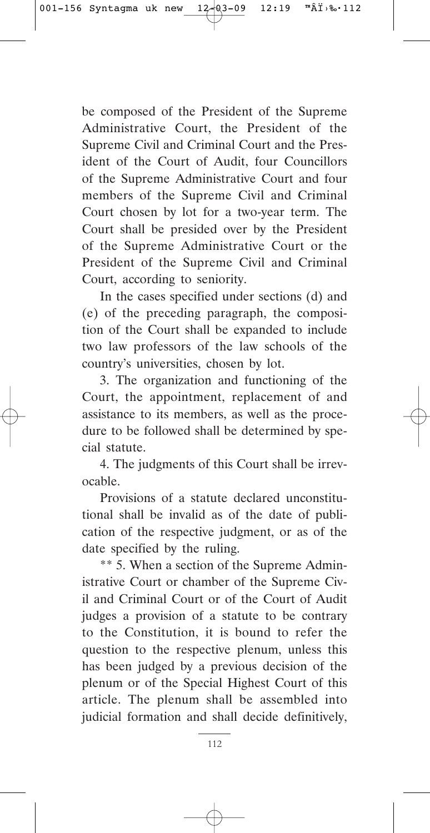be composed of the President of the Supreme Administrative Court, the President of the Supreme Civil and Criminal Court and the President of the Court of Audit, four Councillors of the Supreme Administrative Court and four members of the Supreme Civil and Criminal Court chosen by lot for a two-year term. The Court shall be presided over by the President of the Supreme Administrative Court or the President of the Supreme Civil and Criminal Court, according to seniority.

In the cases specified under sections (d) and (e) of the preceding paragraph, the composition of the Court shall be expanded to include two law professors of the law schools of the country's universities, chosen by lot.

3. The organization and functioning of the Court, the appointment, replacement of and assistance to its members, as well as the procedure to be followed shall be determined by special statute.

4. The judgments of this Court shall be irrevocable.

Provisions of a statute declared unconstitutional shall be invalid as of the date of publication of the respective judgment, or as of the date specified by the ruling.

\*\* 5. When a section of the Supreme Administrative Court or chamber of the Supreme Civil and Criminal Court or of the Court of Audit judges a provision of a statute to be contrary to the Constitution, it is bound to refer the question to the respective plenum, unless this has been judged by a previous decision of the plenum or of the Special Highest Court of this article. The plenum shall be assembled into judicial formation and shall decide definitively,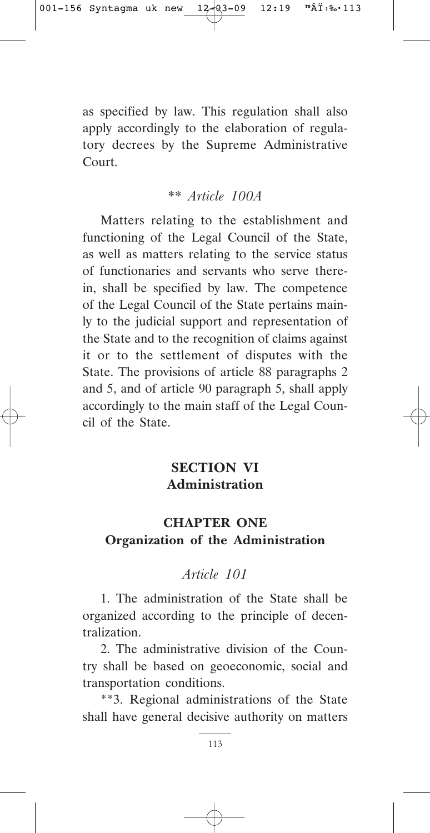as specified by law. This regulation shall also apply accordingly to the elaboration of regulatory decrees by the Supreme Administrative Court.

## *\*\* Article 100A*

Matters relating to the establishment and functioning of the Legal Council of the State, as well as matters relating to the service status of functionaries and servants who serve therein, shall be specified by law. The competence of the Legal Council of the State pertains mainly to the judicial support and representation of the State and to the recognition of claims against it or to the settlement of disputes with the State. The provisions of article 88 paragraphs 2 and 5, and of article 90 paragraph 5, shall apply accordingly to the main staff of the Legal Council of the State.

# **SECTION VI Administration**

# **CHAPTER ONE Organization of the Administration**

# *Article 101*

1. The administration of the State shall be organized according to the principle of decentralization.

2. The administrative division of the Country shall be based on geoeconomic, social and transportation conditions.

\*\*3. Regional administrations of the State shall have general decisive authority on matters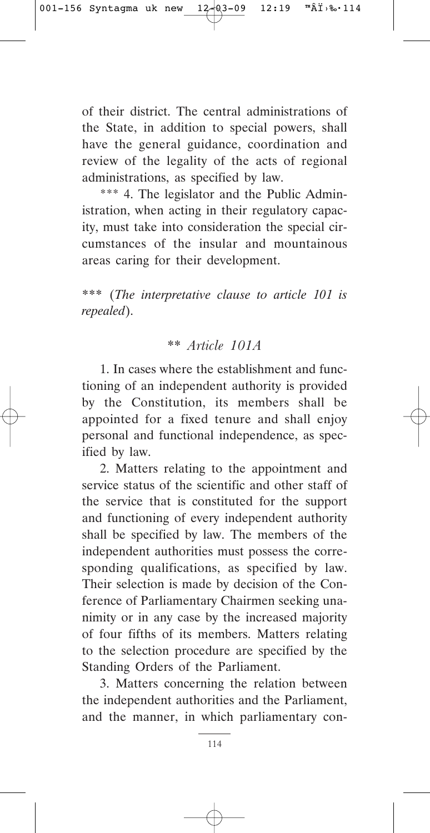of their district. The central administrations of the State, in addition to special powers, shall have the general guidance, coordination and review of the legality of the acts of regional administrations, as specified by law.

\*\*\* 4. The legislator and the Public Administration, when acting in their regulatory capacity, must take into consideration the special circumstances of the insular and mountainous areas caring for their development.

\*\*\* (*The interpretative clause to article 101 is repealed*).

## *\*\* Article 101A*

1. In cases where the establishment and functioning of an independent authority is provided by the Constitution, its members shall be appointed for a fixed tenure and shall enjoy personal and functional independence, as specified by law.

2. Matters relating to the appointment and service status of the scientific and other staff of the service that is constituted for the support and functioning of every independent authority shall be specified by law. The members of the independent authorities must possess the corresponding qualifications, as specified by law. Their selection is made by decision of the Conference of Parliamentary Chairmen seeking unanimity or in any case by the increased majority of four fifths of its members. Matters relating to the selection procedure are specified by the Standing Orders of the Parliament.

3. Matters concerning the relation between the independent authorities and the Parliament, and the manner, in which parliamentary con-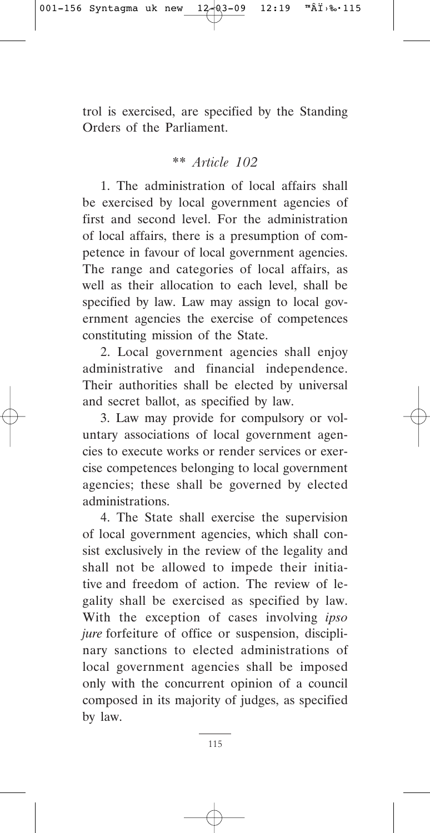trol is exercised, are specified by the Standing Orders of the Parliament.

## *\*\* Article 102*

1. The administration of local affairs shall be exercised by local government agencies of first and second level. For the administration of local affairs, there is a presumption of competence in favour of local government agencies. The range and categories of local affairs, as well as their allocation to each level, shall be specified by law. Law may assign to local government agencies the exercise of competences constituting mission of the State.

2. Local government agencies shall enjoy administrative and financial independence. Their authorities shall be elected by universal and secret ballot, as specified by law.

3. Law may provide for compulsory or voluntary associations of local government agencies to execute works or render services or exercise competences belonging to local government agencies; these shall be governed by elected administrations.

4. The State shall exercise the supervision of local government agencies, which shall consist exclusively in the review of the legality and shall not be allowed to impede their initiative and freedom of action. The review of legality shall be exercised as specified by law. With the exception of cases involving *ipso jure* forfeiture of office or suspension, disciplinary sanctions to elected administrations of local government agencies shall be imposed only with the concurrent opinion of a council composed in its majority of judges, as specified by law.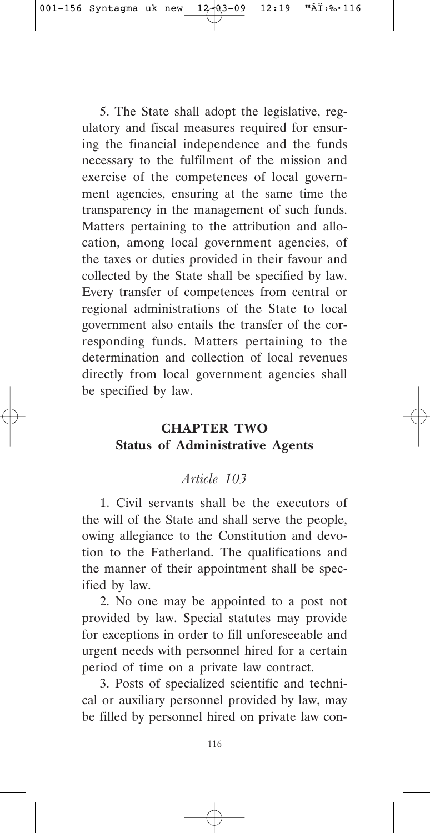5. The State shall adopt the legislative, regulatory and fiscal measures required for ensuring the financial independence and the funds necessary to the fulfilment of the mission and exercise of the competences of local government agencies, ensuring at the same time the transparency in the management of such funds. Matters pertaining to the attribution and allocation, among local government agencies, of the taxes or duties provided in their favour and collected by the State shall be specified by law. Every transfer of competences from central or regional administrations of the State to local government also entails the transfer of the corresponding funds. Matters pertaining to the determination and collection of local revenues directly from local government agencies shall be specified by law.

# **CHAPTER TWO Status of Administrative Agents**

## *Article 103*

1. Civil servants shall be the executors of the will of the State and shall serve the people, owing allegiance to the Constitution and devotion to the Fatherland. The qualifications and the manner of their appointment shall be specified by law.

2. No one may be appointed to a post not provided by law. Special statutes may provide for exceptions in order to fill unforeseeable and urgent needs with personnel hired for a certain period of time on a private law contract.

3. Posts of specialized scientific and technical or auxiliary personnel provided by law, may be filled by personnel hired on private law con-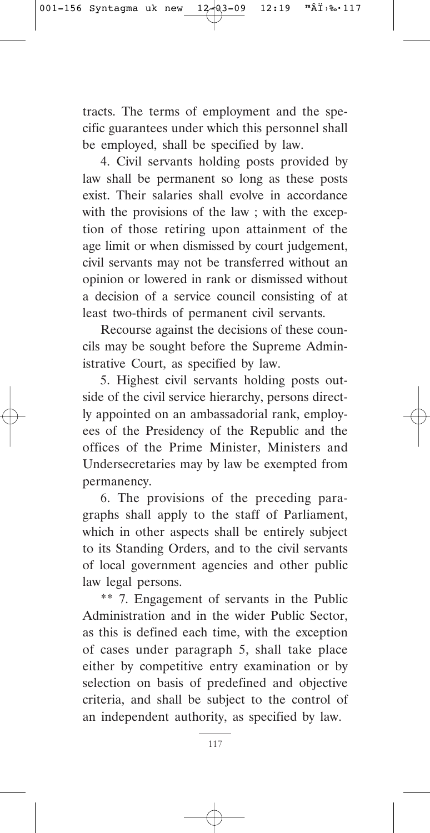tracts. The terms of employment and the specific guarantees under which this personnel shall be employed, shall be specified by law.

4. Civil servants holding posts provided by law shall be permanent so long as these posts exist. Their salaries shall evolve in accordance with the provisions of the law ; with the exception of those retiring upon attainment of the age limit or when dismissed by court judgement, civil servants may not be transferred without an opinion or lowered in rank or dismissed without a decision of a service council consisting of at least two-thirds of permanent civil servants.

Recourse against the decisions of these councils may be sought before the Supreme Administrative Court, as specified by law.

5. Highest civil servants holding posts outside of the civil service hierarchy, persons directly appointed on an ambassadorial rank, employees of the Presidency of the Republic and the offices of the Prime Minister, Ministers and Undersecretaries may by law be exempted from permanency.

6. The provisions of the preceding paragraphs shall apply to the staff of Parliament, which in other aspects shall be entirely subject to its Standing Orders, and to the civil servants of local government agencies and other public law legal persons.

\*\* 7. Engagement of servants in the Public Administration and in the wider Public Sector, as this is defined each time, with the exception of cases under paragraph 5, shall take place either by competitive entry examination or by selection on basis of predefined and objective criteria, and shall be subject to the control of an independent authority, as specified by law.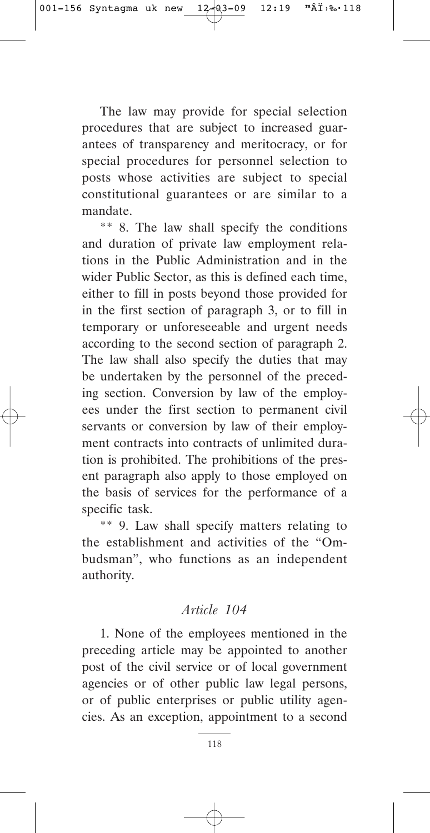The law may provide for special selection procedures that are subject to increased guarantees of transparency and meritocracy, or for special procedures for personnel selection to posts whose activities are subject to special constitutional guarantees or are similar to a mandate.

\*\* 8. The law shall specify the conditions and duration of private law employment relations in the Public Administration and in the wider Public Sector, as this is defined each time, either to fill in posts beyond those provided for in the first section of paragraph 3, or to fill in temporary or unforeseeable and urgent needs according to the second section of paragraph 2. The law shall also specify the duties that may be undertaken by the personnel of the preceding section. Conversion by law of the employees under the first section to permanent civil servants or conversion by law of their employment contracts into contracts of unlimited duration is prohibited. The prohibitions of the present paragraph also apply to those employed on the basis of services for the performance of a specific task.

\*\* 9. Law shall specify matters relating to the establishment and activities of the "Ombudsman", who functions as an independent authority.

## *Article 104*

1. None of the employees mentioned in the preceding article may be appointed to another post of the civil service or of local government agencies or of other public law legal persons, or of public enterprises or public utility agencies. As an exception, appointment to a second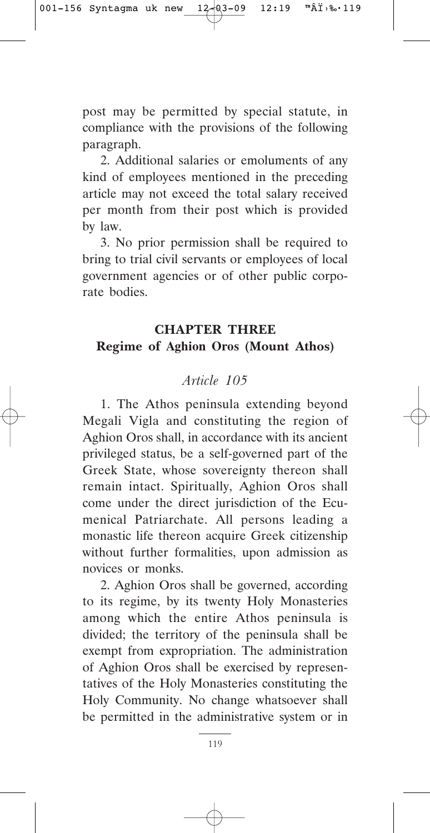post may be permitted by special statute, in compliance with the provisions of the following paragraph.

2. Additional salaries or emoluments of any kind of employees mentioned in the preceding article may not exceed the total salary received per month from their post which is provided by law.

3. No prior permission shall be required to bring to trial civil servants or employees of local government agencies or of other public corporate bodies.

# **CHAPTER THREE Regime of Aghion Oros (Mount Athos)**

# *Article 105*

1. The Athos peninsula extending beyond Megali Vigla and constituting the region of Aghion Oros shall, in accordance with its ancient privileged status, be a self-governed part of the Greek State, whose sovereignty thereon shall remain intact. Spiritually, Aghion Oros shall come under the direct jurisdiction of the Ecumenical Patriarchate. All persons leading a monastic life thereon acquire Greek citizenship without further formalities, upon admission as novices or monks.

2. Aghion Oros shall be governed, according to its regime, by its twenty Holy Monasteries among which the entire Athos peninsula is divided; the territory of the peninsula shall be exempt from expropriation. The administration of Aghion Oros shall be exercised by representatives of the Holy Monasteries constituting the Holy Community. No change whatsoever shall be permitted in the administrative system or in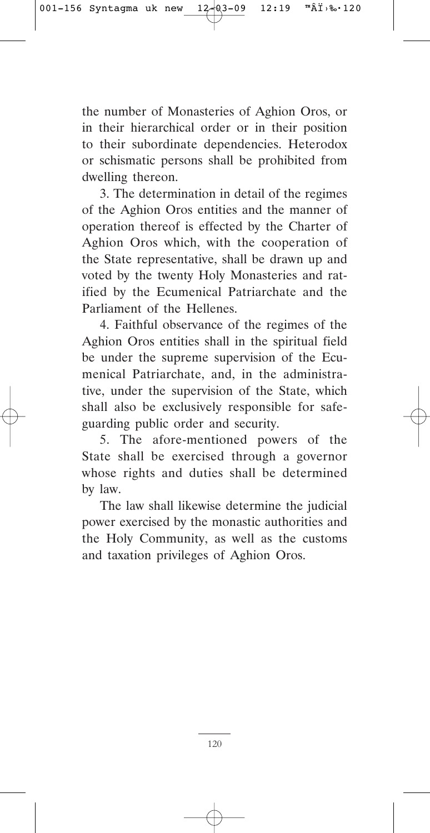the number of Monasteries of Aghion Oros, or in their hierarchical order or in their position to their subordinate dependencies. Heterodox or schismatic persons shall be prohibited from dwelling thereon.

3. The determination in detail of the regimes of the Aghion Oros entities and the manner of operation thereof is effected by the Charter of Aghion Oros which, with the cooperation of the State representative, shall be drawn up and voted by the twenty Holy Monasteries and ratified by the Ecumenical Patriarchate and the Parliament of the Hellenes.

4. Faithful observance of the regimes of the Aghion Oros entities shall in the spiritual field be under the supreme supervision of the Ecumenical Patriarchate, and, in the administrative, under the supervision of the State, which shall also be exclusively responsible for safeguarding public order and security.

5. The afore-mentioned powers of the State shall be exercised through a governor whose rights and duties shall be determined by law.

The law shall likewise determine the judicial power exercised by the monastic authorities and the Holy Community, as well as the customs and taxation privileges of Aghion Oros.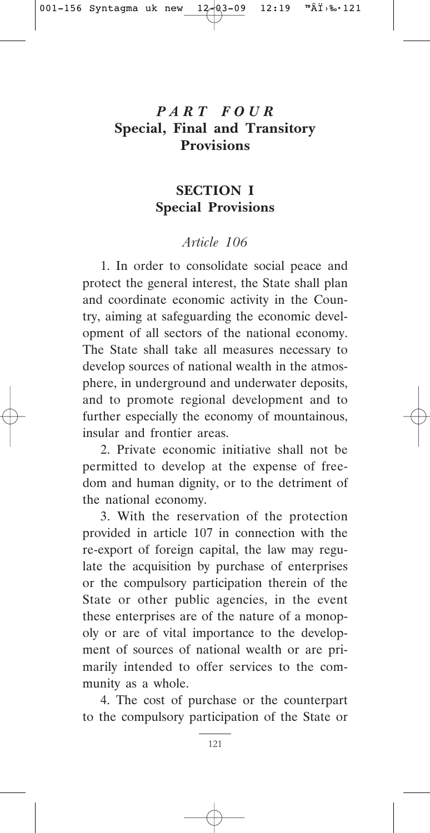# *PART FOUR* **Special, Final and Transitory Provisions**

# **SECTION I Special Provisions**

#### *Article 106*

1. In order to consolidate social peace and protect the general interest, the State shall plan and coordinate economic activity in the Country, aiming at safeguarding the economic development of all sectors of the national economy. The State shall take all measures necessary to develop sources of national wealth in the atmosphere, in underground and underwater deposits, and to promote regional development and to further especially the economy of mountainous, insular and frontier areas.

2. Private economic initiative shall not be permitted to develop at the expense of freedom and human dignity, or to the detriment of the national economy.

3. With the reservation of the protection provided in article 107 in connection with the re-export of foreign capital, the law may regulate the acquisition by purchase of enterprises or the compulsory participation therein of the State or other public agencies, in the event these enterprises are of the nature of a monopoly or are of vital importance to the development of sources of national wealth or are primarily intended to offer services to the community as a whole.

4. The cost of purchase or the counterpart to the compulsory participation of the State or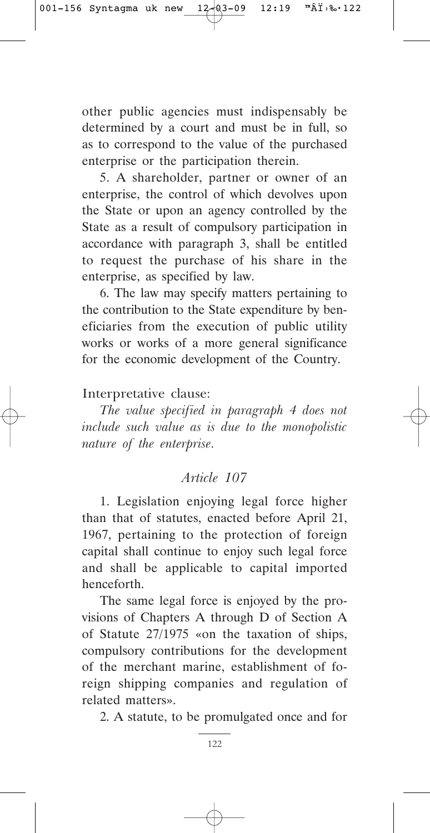other public agencies must indispensably be determined by a court and must be in full, so as to correspond to the value of the purchased enterprise or the participation therein.

5. A shareholder, partner or owner of an enterprise, the control of which devolves upon the State or upon an agency controlled by the State as a result of compulsory participation in accordance with paragraph 3, shall be entitled to request the purchase of his share in the enterprise, as specified by law.

6. The law may specify matters pertaining to the contribution to the State expenditure by beneficiaries from the execution of public utility works or works of a more general significance for the economic development of the Country.

#### Interpretative clause:

*The value specified in paragraph 4 does not include such value as is due to the monopolistic nature of the enterprise.*

#### *Article 107*

1. Legislation enjoying legal force higher than that of statutes, enacted before April 21, 1967, pertaining to the protection of foreign capital shall continue to enjoy such legal force and shall be applicable to capital imported henceforth.

The same legal force is enjoyed by the provisions of Chapters A through D of Section A of Statute 27/1975 «on the taxation of ships, compulsory contributions for the development of the merchant marine, establishment of foreign shipping companies and regulation of related matters».

2. A statute, to be promulgated once and for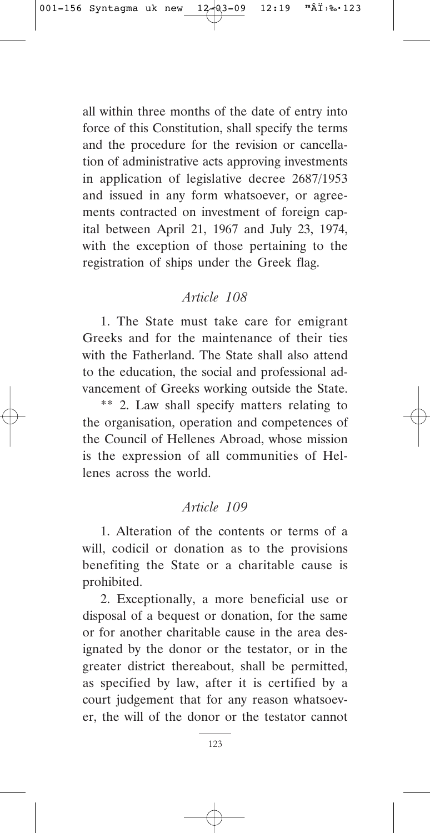all within three months of the date of entry into force of this Constitution, shall specify the terms and the procedure for the revision or cancellation of administrative acts approving investments in application of legislative decree 2687/1953 and issued in any form whatsoever, or agreements contracted on investment of foreign capital between April 21, 1967 and July 23, 1974, with the exception of those pertaining to the registration of ships under the Greek flag.

# *Article 108*

1. The State must take care for emigrant Greeks and for the maintenance of their ties with the Fatherland. The State shall also attend to the education, the social and professional advancement of Greeks working outside the State.

\*\* 2. Law shall specify matters relating to the organisation, operation and competences of the Council of Hellenes Abroad, whose mission is the expression of all communities of Hellenes across the world.

# *Article 109*

1. Alteration of the contents or terms of a will, codicil or donation as to the provisions benefiting the State or a charitable cause is prohibited.

2. Exceptionally, a more beneficial use or disposal of a bequest or donation, for the same or for another charitable cause in the area designated by the donor or the testator, or in the greater district thereabout, shall be permitted, as specified by law, after it is certified by a court judgement that for any reason whatsoever, the will of the donor or the testator cannot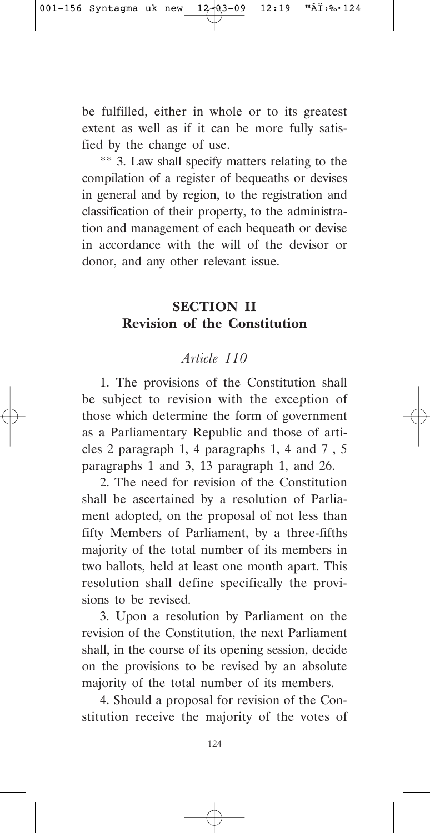be fulfilled, either in whole or to its greatest extent as well as if it can be more fully satisfied by the change of use.

\*\* 3. Law shall specify matters relating to the compilation of a register of bequeaths or devises in general and by region, to the registration and classification of their property, to the administration and management of each bequeath or devise in accordance with the will of the devisor or donor, and any other relevant issue.

# **SECTION II Revision of the Constitution**

# *Article 110*

1. The provisions of the Constitution shall be subject to revision with the exception of those which determine the form of government as a Parliamentary Republic and those of articles 2 paragraph 1, 4 paragraphs 1, 4 and 7 , 5 paragraphs 1 and 3, 13 paragraph 1, and 26.

2. The need for revision of the Constitution shall be ascertained by a resolution of Parliament adopted, on the proposal of not less than fifty Members of Parliament, by a three-fifths majority of the total number of its members in two ballots, held at least one month apart. This resolution shall define specifically the provisions to be revised.

3. Upon a resolution by Parliament on the revision of the Constitution, the next Parliament shall, in the course of its opening session, decide on the provisions to be revised by an absolute majority of the total number of its members.

4. Should a proposal for revision of the Constitution receive the majority of the votes of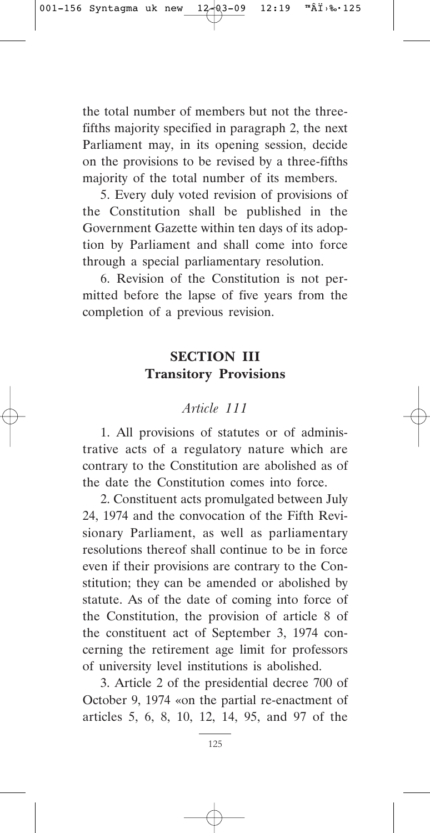the total number of members but not the threefifths majority specified in paragraph 2, the next Parliament may, in its opening session, decide on the provisions to be revised by a three-fifths majority of the total number of its members.

5. Every duly voted revision of provisions of the Constitution shall be published in the Government Gazette within ten days of its adoption by Parliament and shall come into force through a special parliamentary resolution.

6. Revision of the Constitution is not permitted before the lapse of five years from the completion of a previous revision.

# **SECTION III Transitory Provisions**

## *Article 111*

1. All provisions of statutes or of administrative acts of a regulatory nature which are contrary to the Constitution are abolished as of the date the Constitution comes into force.

2. Constituent acts promulgated between July 24, 1974 and the convocation of the Fifth Revisionary Parliament, as well as parliamentary resolutions thereof shall continue to be in force even if their provisions are contrary to the Constitution; they can be amended or abolished by statute. As of the date of coming into force of the Constitution, the provision of article 8 of the constituent act of September 3, 1974 concerning the retirement age limit for professors of university level institutions is abolished.

3. Article 2 of the presidential decree 700 of October 9, 1974 «on the partial re-enactment of articles 5, 6, 8, 10, 12, 14, 95, and 97 of the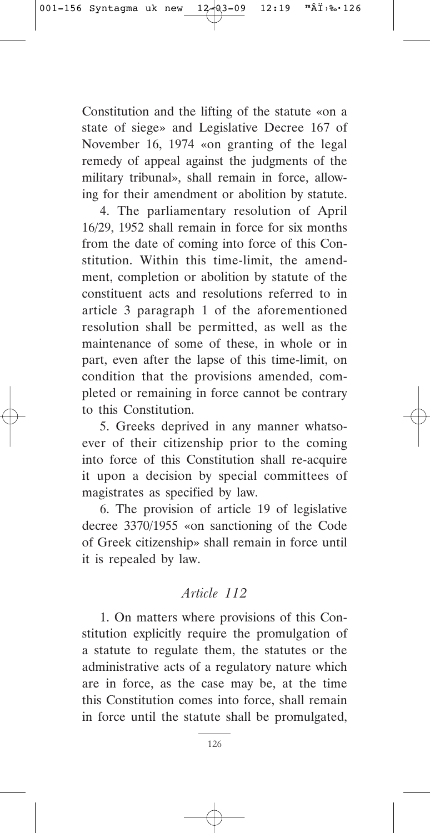Constitution and the lifting of the statute «on a state of siege» and Legislative Decree 167 of November 16, 1974 «on granting of the legal remedy of appeal against the judgments of the military tribunal», shall remain in force, allowing for their amendment or abolition by statute.

4. The parliamentary resolution of April 16/29, 1952 shall remain in force for six months from the date of coming into force of this Constitution. Within this time-limit, the amendment, completion or abolition by statute of the constituent acts and resolutions referred to in article 3 paragraph 1 of the aforementioned resolution shall be permitted, as well as the maintenance of some of these, in whole or in part, even after the lapse of this time-limit, on condition that the provisions amended, completed or remaining in force cannot be contrary to this Constitution.

5. Greeks deprived in any manner whatsoever of their citizenship prior to the coming into force of this Constitution shall re-acquire it upon a decision by special committees of magistrates as specified by law.

6. The provision of article 19 of legislative decree 3370/1955 «on sanctioning of the Code of Greek citizenship» shall remain in force until it is repealed by law.

#### *Article 112*

1. On matters where provisions of this Constitution explicitly require the promulgation of a statute to regulate them, the statutes or the administrative acts of a regulatory nature which are in force, as the case may be, at the time this Constitution comes into force, shall remain in force until the statute shall be promulgated,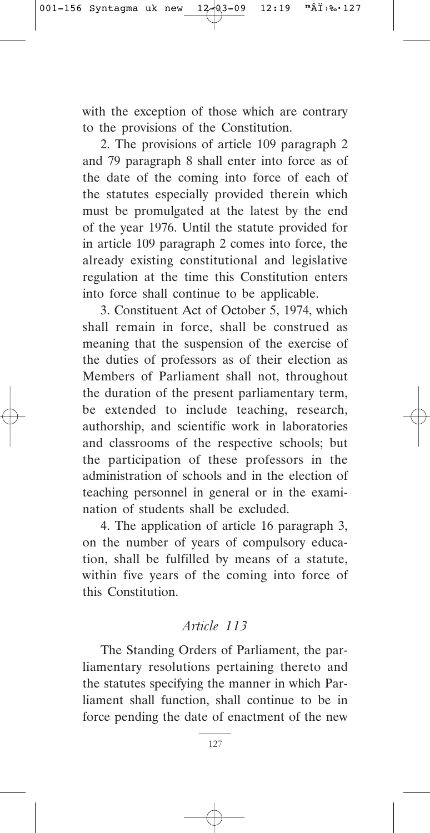with the exception of those which are contrary to the provisions of the Constitution.

2. The provisions of article 109 paragraph 2 and 79 paragraph 8 shall enter into force as of the date of the coming into force of each of the statutes especially provided therein which must be promulgated at the latest by the end of the year 1976. Until the statute provided for in article 109 paragraph 2 comes into force, the already existing constitutional and legislative regulation at the time this Constitution enters into force shall continue to be applicable.

3. Constituent Act of October 5, 1974, which shall remain in force, shall be construed as meaning that the suspension of the exercise of the duties of professors as of their election as Members of Parliament shall not, throughout the duration of the present parliamentary term, be extended to include teaching, research, authorship, and scientific work in laboratories and classrooms of the respective schools; but the participation of these professors in the administration of schools and in the election of teaching personnel in general or in the examination of students shall be excluded.

4. The application of article 16 paragraph 3, on the number of years of compulsory education, shall be fulfilled by means of a statute, within five years of the coming into force of this Constitution.

# *Article 113*

The Standing Orders of Parliament, the parliamentary resolutions pertaining thereto and the statutes specifying the manner in which Parliament shall function, shall continue to be in force pending the date of enactment of the new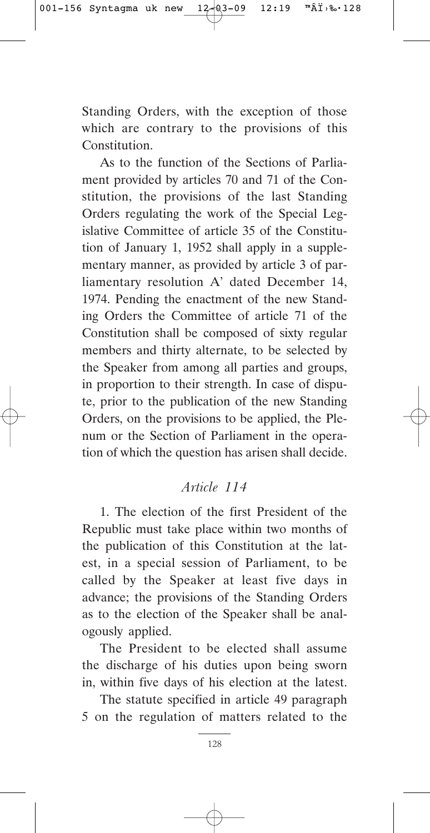Standing Orders, with the exception of those which are contrary to the provisions of this Constitution.

As to the function of the Sections of Parliament provided by articles 70 and 71 of the Constitution, the provisions of the last Standing Orders regulating the work of the Special Legislative Committee of article 35 of the Constitution of January 1, 1952 shall apply in a supplementary manner, as provided by article 3 of parliamentary resolution A' dated December 14, 1974. Pending the enactment of the new Standing Orders the Committee of article 71 of the Constitution shall be composed of sixty regular members and thirty alternate, to be selected by the Speaker from among all parties and groups, in proportion to their strength. In case of dispute, prior to the publication of the new Standing Orders, on the provisions to be applied, the Plenum or the Section of Parliament in the operation of which the question has arisen shall decide.

# *Article 114*

1. The election of the first President of the Republic must take place within two months of the publication of this Constitution at the latest, in a special session of Parliament, to be called by the Speaker at least five days in advance; the provisions of the Standing Orders as to the election of the Speaker shall be analogously applied.

The President to be elected shall assume the discharge of his duties upon being sworn in, within five days of his election at the latest.

The statute specified in article 49 paragraph 5 on the regulation of matters related to the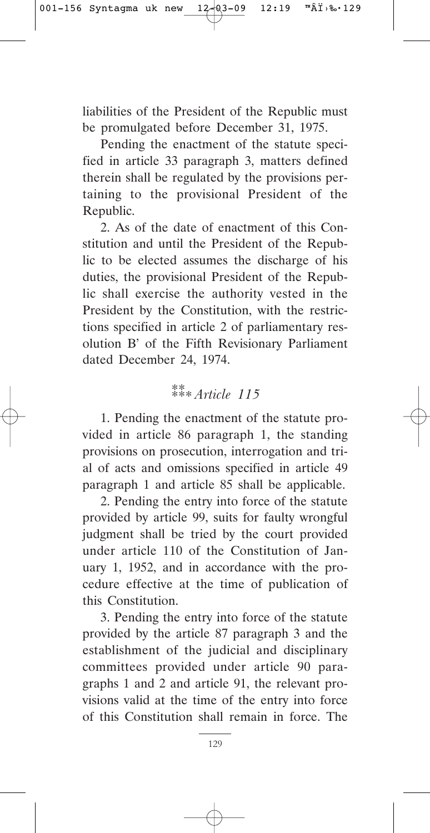liabilities of the President of the Republic must be promulgated before December 31, 1975.

Pending the enactment of the statute specified in article 33 paragraph 3, matters defined therein shall be regulated by the provisions pertaining to the provisional President of the Republic.

2. As of the date of enactment of this Constitution and until the President of the Republic to be elected assumes the discharge of his duties, the provisional President of the Republic shall exercise the authority vested in the President by the Constitution, with the restrictions specified in article 2 of parliamentary resolution B' of the Fifth Revisionary Parliament dated December 24, 1974.

# \*\*\* *Article* 115

1. Pending the enactment of the statute provided in article 86 paragraph 1, the standing provisions on prosecution, interrogation and trial of acts and omissions specified in article 49 paragraph 1 and article 85 shall be applicable.

2. Pending the entry into force of the statute provided by article 99, suits for faulty wrongful judgment shall be tried by the court provided under article 110 of the Constitution of January 1, 1952, and in accordance with the procedure effective at the time of publication of this Constitution.

3. Pending the entry into force of the statute provided by the article 87 paragraph 3 and the establishment of the judicial and disciplinary committees provided under article 90 paragraphs 1 and 2 and article 91, the relevant provisions valid at the time of the entry into force of this Constitution shall remain in force. The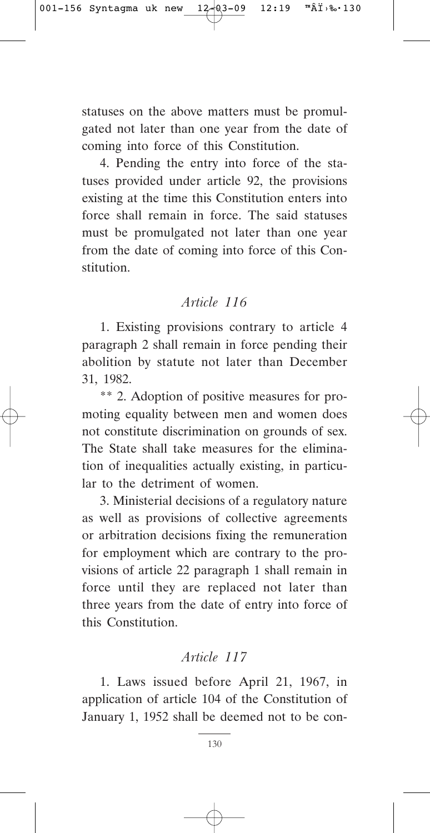statuses on the above matters must be promulgated not later than one year from the date of coming into force of this Constitution.

4. Pending the entry into force of the statuses provided under article 92, the provisions existing at the time this Constitution enters into force shall remain in force. The said statuses must be promulgated not later than one year from the date of coming into force of this Constitution.

## *Article 116*

1. Existing provisions contrary to article 4 paragraph 2 shall remain in force pending their abolition by statute not later than December 31, 1982.

\*\* 2. Adoption of positive measures for promoting equality between men and women does not constitute discrimination on grounds of sex. The State shall take measures for the elimination of inequalities actually existing, in particular to the detriment of women.

3. Ministerial decisions of a regulatory nature as well as provisions of collective agreements or arbitration decisions fixing the remuneration for employment which are contrary to the provisions of article 22 paragraph 1 shall remain in force until they are replaced not later than three years from the date of entry into force of this Constitution.

## *Article 117*

1. Laws issued before April 21, 1967, in application of article 104 of the Constitution of January 1, 1952 shall be deemed not to be con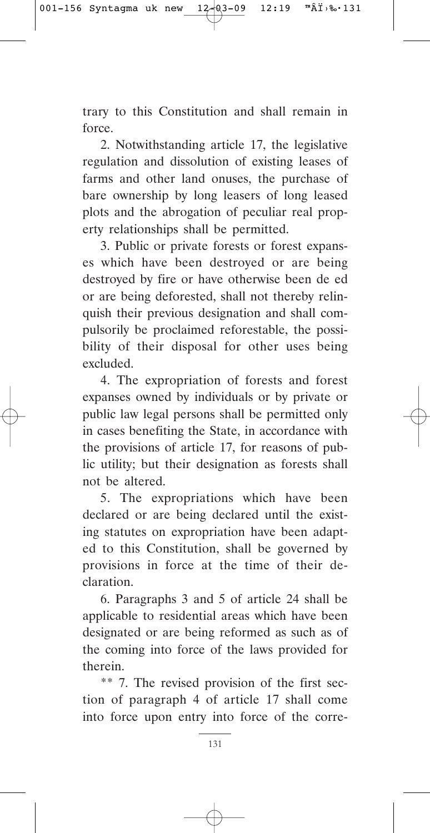trary to this Constitution and shall remain in force.

2. Notwithstanding article 17, the legislative regulation and dissolution of existing leases of farms and other land onuses, the purchase of bare ownership by long leasers of long leased plots and the abrogation of peculiar real property relationships shall be permitted.

3. Public or private forests or forest expanses which have been destroyed or are being destroyed by fire or have otherwise been de ed or are being deforested, shall not thereby relinquish their previous designation and shall compulsorily be proclaimed reforestable, the possibility of their disposal for other uses being excluded.

4. The expropriation of forests and forest expanses owned by individuals or by private or public law legal persons shall be permitted only in cases benefiting the State, in accordance with the provisions of article 17, for reasons of public utility; but their designation as forests shall not be altered.

5. The expropriations which have been declared or are being declared until the existing statutes on expropriation have been adapted to this Constitution, shall be governed by provisions in force at the time of their declaration.

6. Paragraphs 3 and 5 of article 24 shall be applicable to residential areas which have been designated or are being reformed as such as of the coming into force of the laws provided for therein.

\*\* 7. The revised provision of the first section of paragraph 4 of article 17 shall come into force upon entry into force of the corre-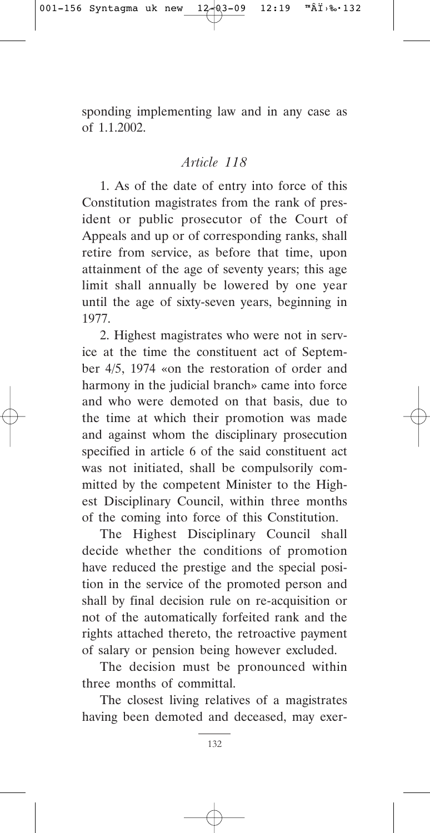sponding implementing law and in any case as of 1.1.2002.

# *Article 118*

1. As of the date of entry into force of this Constitution magistrates from the rank of president or public prosecutor of the Court of Appeals and up or of corresponding ranks, shall retire from service, as before that time, upon attainment of the age of seventy years; this age limit shall annually be lowered by one year until the age of sixty-seven years, beginning in 1977.

2. Highest magistrates who were not in service at the time the constituent act of September 4/5, 1974 «on the restoration of order and harmony in the judicial branch» came into force and who were demoted on that basis, due to the time at which their promotion was made and against whom the disciplinary prosecution specified in article 6 of the said constituent act was not initiated, shall be compulsorily committed by the competent Minister to the Highest Disciplinary Council, within three months of the coming into force of this Constitution.

The Highest Disciplinary Council shall decide whether the conditions of promotion have reduced the prestige and the special position in the service of the promoted person and shall by final decision rule on re-acquisition or not of the automatically forfeited rank and the rights attached thereto, the retroactive payment of salary or pension being however excluded.

The decision must be pronounced within three months of committal.

The closest living relatives of a magistrates having been demoted and deceased, may exer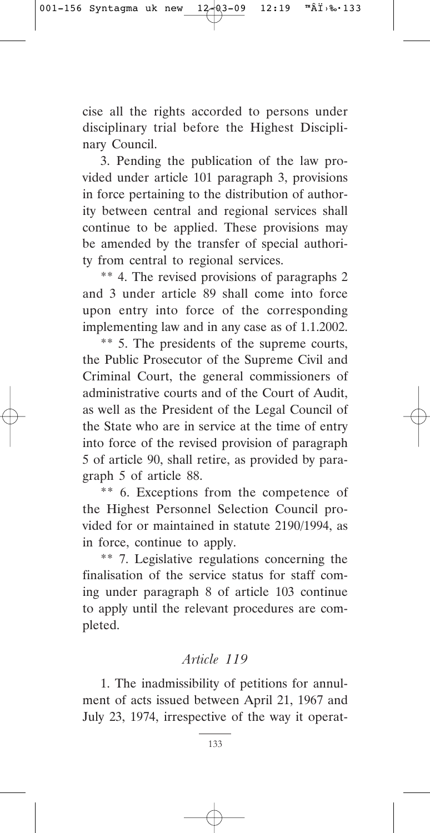cise all the rights accorded to persons under disciplinary trial before the Highest Disciplinary Council.

3. Pending the publication of the law provided under article 101 paragraph 3, provisions in force pertaining to the distribution of authority between central and regional services shall continue to be applied. These provisions may be amended by the transfer of special authority from central to regional services.

\*\* 4. The revised provisions of paragraphs 2 and 3 under article 89 shall come into force upon entry into force of the corresponding implementing law and in any case as of 1.1.2002.

\*\* 5. The presidents of the supreme courts, the Public Prosecutor of the Supreme Civil and Criminal Court, the general commissioners of administrative courts and of the Court of Audit, as well as the President of the Legal Council of the State who are in service at the time of entry into force of the revised provision of paragraph 5 of article 90, shall retire, as provided by paragraph 5 of article 88.

\*\* 6. Exceptions from the competence of the Highest Personnel Selection Council provided for or maintained in statute 2190/1994, as in force, continue to apply.

\*\* 7. Legislative regulations concerning the finalisation of the service status for staff coming under paragraph 8 of article 103 continue to apply until the relevant procedures are completed.

## *Article 119*

1. The inadmissibility of petitions for annulment of acts issued between April 21, 1967 and July 23, 1974, irrespective of the way it operat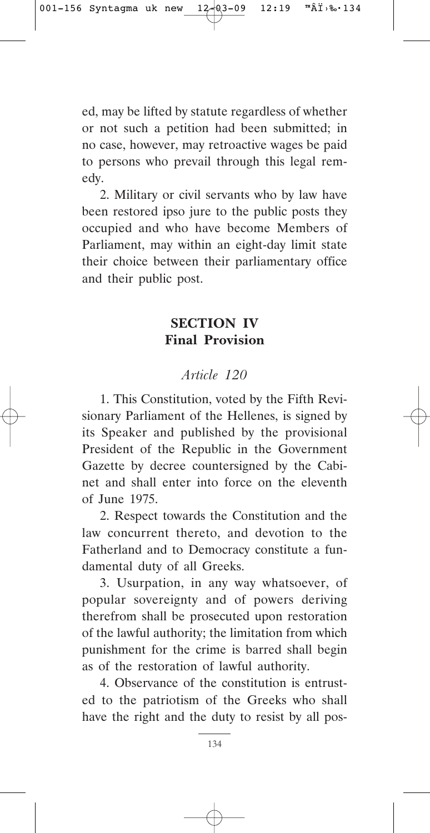ed, may be lifted by statute regardless of whether or not such a petition had been submitted; in no case, however, may retroactive wages be paid to persons who prevail through this legal remedy.

2. Military or civil servants who by law have been restored ipso jure to the public posts they occupied and who have become Members of Parliament, may within an eight-day limit state their choice between their parliamentary office and their public post.

# **SECTION IV Final Provision**

# *Article 120*

1. This Constitution, voted by the Fifth Revisionary Parliament of the Hellenes, is signed by its Speaker and published by the provisional President of the Republic in the Government Gazette by decree countersigned by the Cabinet and shall enter into force on the eleventh of June 1975.

2. Respect towards the Constitution and the law concurrent thereto, and devotion to the Fatherland and to Democracy constitute a fundamental duty of all Greeks.

3. Usurpation, in any way whatsoever, of popular sovereignty and of powers deriving therefrom shall be prosecuted upon restoration of the lawful authority; the limitation from which punishment for the crime is barred shall begin as of the restoration of lawful authority.

4. Observance of the constitution is entrusted to the patriotism of the Greeks who shall have the right and the duty to resist by all pos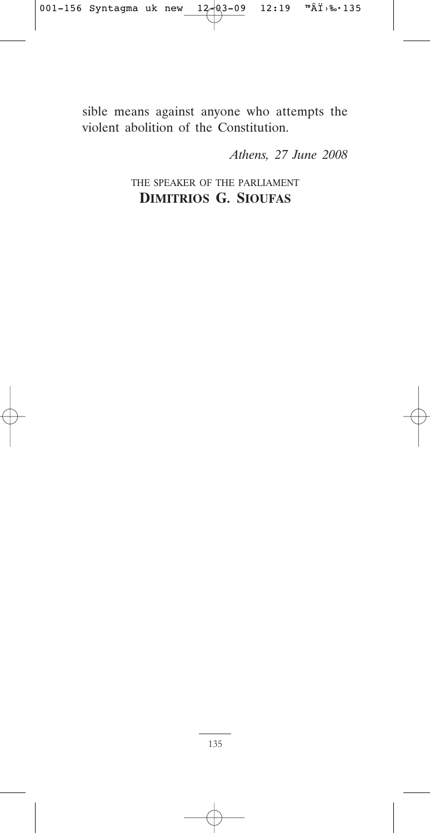sible means against anyone who attempts the violent abolition of the Constitution.

*Athens, 27 June 2008*

THE SPEAKER OF THE PARLIAMENT **DIMITRIOS G. SIOUFAS**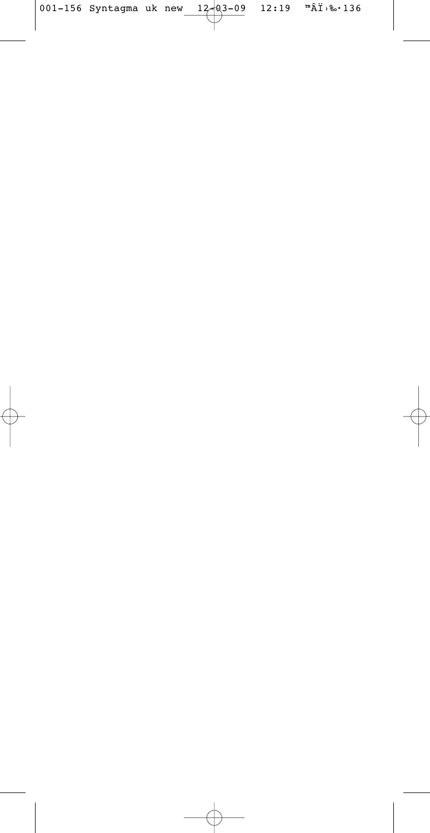001-156 Syntagma uk new 12-03-09 12:19 ™ÂÏ›‰·136

 $\phi$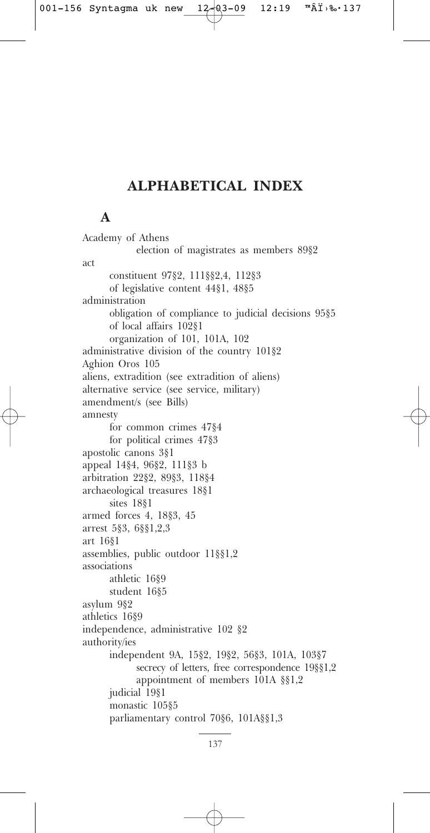001-156 Syntagma uk new 12-03-09 12:19 ™ÂÏ›‰·137

# **ALPHABETICAL INDEX**

#### **A**

Academy of Athens election of magistrates as members 89§2 act constituent 97§2, 111§§2,4, 112§3 of legislative content 44§1, 48§5 administration obligation of compliance to judicial decisions 95§5 of local affairs 102§1 organization of 101, 101A, 102 administrative division of the country 101§2 Aghion Oros 105 aliens, extradition (see extradition of aliens) alternative service (see service, military) amendment/s (see Bills) amnesty for common crimes 47§4 for political crimes 47§3 apostolic canons 3§1 appeal 14§4, 96§2, 111§3 b arbitration 22§2, 89§3, 118§4 archaeological treasures 18§1 sites 18§1 armed forces 4, 18§3, 45 arrest 5§3, 6§§1,2,3 art 16§1 assemblies, public outdoor 11§§1,2 associations athletic 16§9 student 16§5 asylum 9§2 athletics 16§9 independence, administrative 102 §2 authority/ies independent 9A, 15§2, 19§2, 56§3, 101A, 103§7 secrecy of letters, free correspondence 19§§1,2 appointment of members 101A §§1,2 judicial 19§1 monastic 105§5 parliamentary control 70§6, 101A§§1,3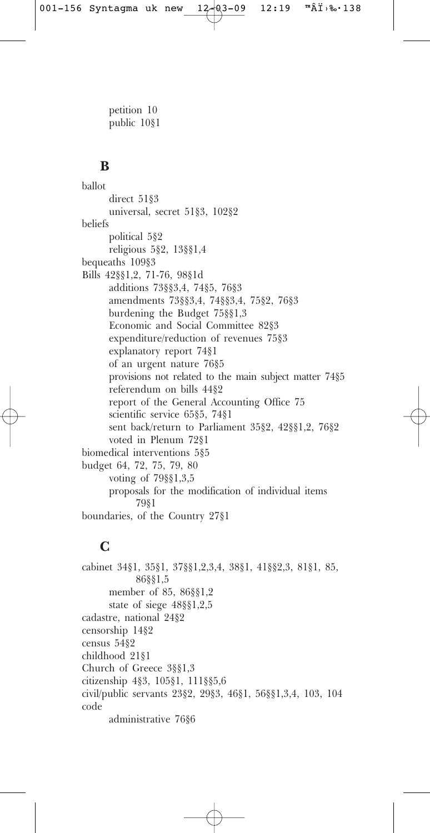petition 10 public 10§1

## **B**

ballot direct 51§3 universal, secret 51§3, 102§2 beliefs political 5§2 religious 5§2, 13§§1,4 bequeaths 109§3 Bills 42§§1,2, 71-76, 98§1d additions 73§§3,4, 74§5, 76§3 amendments 73§§3,4, 74§§3,4, 75§2, 76§3 burdening the Budget 75§§1,3 Economic and Social Committee 82§3 expenditure/reduction of revenues 75§3 explanatory report 74§1 of an urgent nature 76§5 provisions not related to the main subject matter 74§5 referendum on bills 44§2 report of the General Accounting Office 75 scientific service 65§5, 74§1 sent back/return to Parliament 35§2, 42§§1,2, 76§2 voted in Plenum 72§1 biomedical interventions 5§5 budget 64, 72, 75, 79, 80 voting of 79§§1,3,5 proposals for the modification of individual items 79§1 boundaries, of the Country 27§1

#### **C**

cabinet 34§1, 35§1, 37§§1,2,3,4, 38§1, 41§§2,3, 81§1, 85, 86§§1,5 member of 85, 86§§1,2 state of siege 48§§1,2,5 cadastre, national 24§2 censorship 14§2 census 54§2 childhood 21§1 Church of Greece 3§§1,3 citizenship 4§3, 105§1, 111§§5,6 civil/public servants 23§2, 29§3, 46§1, 56§§1,3,4, 103, 104 code

administrative 76§6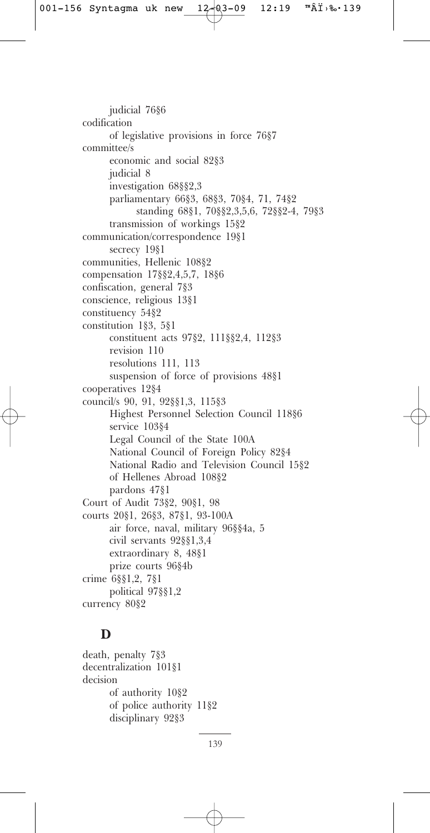judicial 76§6 codification of legislative provisions in force 76§7 committee/s economic and social 82§3 judicial 8 investigation 68§§2,3 parliamentary 66§3, 68§3, 70§4, 71, 74§2 standing 68§1, 70§§2,3,5,6, 72§§2-4, 79§3 transmission of workings 15§2 communication/correspondence 19§1 secrecy 19§1 communities, Hellenic 108§2 compensation 17§§2,4,5,7, 18§6 confiscation, general 7§3 conscience, religious 13§1 constituency 54§2 constitution 1§3, 5§1 constituent acts 97§2, 111§§2,4, 112§3 revision 110 resolutions 111, 113 suspension of force of provisions 48§1 cooperatives 12§4 council/s 90, 91, 92§§1,3, 115§3 Highest Personnel Selection Council 118§6 service 103§4 Legal Council of the State 100A National Council of Foreign Policy 82§4 National Radio and Television Council 15§2 of Hellenes Abroad 108§2 pardons 47§1 Court of Audit 73§2, 90§1, 98 courts 20§1, 26§3, 87§1, 93-100A air force, naval, military 96§§4a, 5 civil servants 92§§1,3,4 extraordinary 8, 48§1 prize courts 96§4b crime 6§§1,2, 7§1 political 97§§1,2 currency 80§2

#### **D**

death, penalty 7§3 decentralization 101§1 decision of authority 10§2 of police authority 11§2 disciplinary 92§3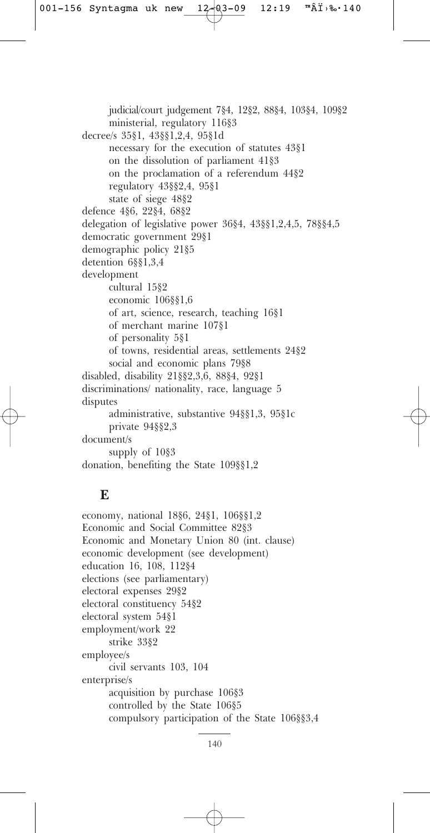judicial/court judgement 7§4, 12§2, 88§4, 103§4, 109§2 ministerial, regulatory 116§3 decree/s 35§1, 43§§1,2,4, 95§1d necessary for the execution of statutes 43§1 on the dissolution of parliament 41§3 on the proclamation of a referendum 44§2 regulatory 43§§2,4, 95§1 state of siege 48§2 defence 4§6, 22§4, 68§2 delegation of legislative power 36§4, 43§§1,2,4,5, 78§§4,5 democratic government 29§1 demographic policy 21§5 detention 6§§1,3,4 development cultural 15§2 economic 106§§1,6 of art, science, research, teaching 16§1 of merchant marine 107§1 of personality 5§1 of towns, residential areas, settlements 24§2 social and economic plans 79§8 disabled, disability 21§§2,3,6, 88§4, 92§1 discriminations/ nationality, race, language 5 disputes administrative, substantive 94§§1,3, 95§1c private 94§§2,3 document/s supply of 10§3 donation, benefiting the State 109§§1,2

#### **E**

economy, national 18§6, 24§1, 106§§1,2 Economic and Social Committee 82§3 Economic and Monetary Union 80 (int. clause) economic development (see development) education 16, 108, 112§4 elections (see parliamentary) electoral expenses 29§2 electoral constituency 54§2 electoral system 54§1 employment/work 22 strike 33§2 employee/s civil servants 103, 104 enterprise/s acquisition by purchase 106§3 controlled by the State 106§5 compulsory participation of the State 106§§3,4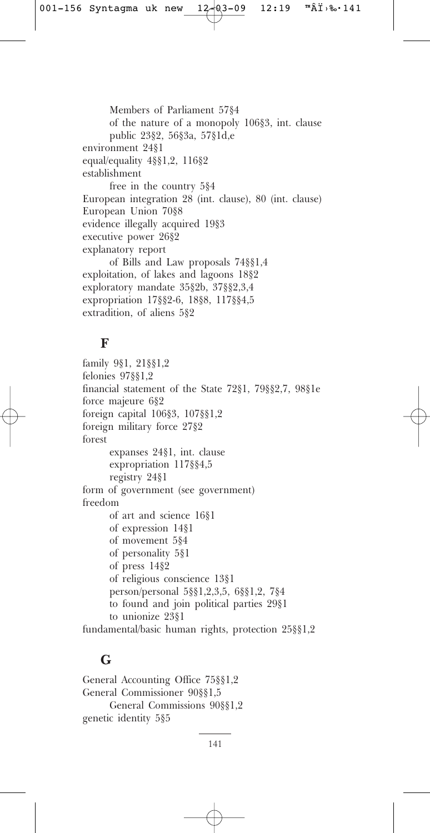Members of Parliament 57§4 of the nature of a monopoly 106§3, int. clause public 23§2, 56§3a, 57§1d,e environment 24§1 equal/equality 4§§1,2, 116§2 establishment free in the country 5§4 European integration 28 (int. clause), 80 (int. clause) European Union 70§8 evidence illegally acquired 19§3 executive power 26§2 explanatory report of Bills and Law proposals 74§§1,4 exploitation, of lakes and lagoons 18§2 exploratory mandate 35§2b, 37§§2,3,4 expropriation 17§§2-6, 18§8, 117§§4,5 extradition, of aliens 5§2

## **F**

family 9§1, 21§§1,2 felonies 97§§1,2 financial statement of the State 72§1, 79§§2,7, 98§1e force majeure 6§2 foreign capital 106§3, 107§§1,2 foreign military force 27§2 forest expanses 24§1, int. clause expropriation 117§§4,5 registry 24§1 form of government (see government) freedom of art and science 16§1 of expression 14§1 of movement 5§4 of personality 5§1 of press 14§2 of religious conscience 13§1 person/personal 5§§1,2,3,5, 6§§1,2, 7§4 to found and join political parties 29§1 to unionize 23§1 fundamental/basic human rights, protection 25§§1,2

# **G**

General Accounting Office 75§§1,2 General Commissioner 90§§1,5 General Commissions 90§§1,2 genetic identity 5§5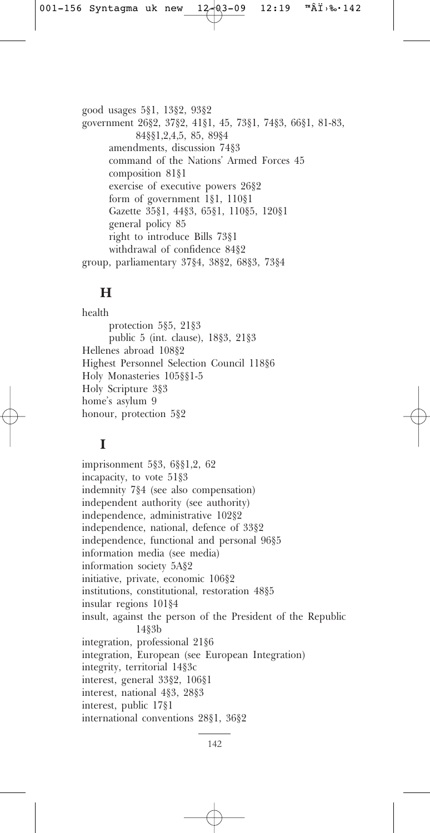good usages 5§1, 13§2, 93§2 government 26§2, 37§2, 41§1, 45, 73§1, 74§3, 66§1, 81-83, 84§§1,2,4,5, 85, 89§4 amendments, discussion 74§3 command of the Nations' Armed Forces 45 composition 81§1 exercise of executive powers 26§2 form of government 1§1, 110§1 Gazette 35§1, 44§3, 65§1, 110§5, 120§1 general policy 85 right to introduce Bills 73§1 withdrawal of confidence 84§2 group, parliamentary 37§4, 38§2, 68§3, 73§4

#### **H**

health protection 5§5, 21§3 public 5 (int. clause), 18§3, 21§3 Hellenes abroad 108§2 Highest Personnel Selection Council 118§6 Holy Monasteries 105§§1-5 Holy Scripture 3§3 home's asylum 9 honour, protection 5§2

#### **I**

imprisonment 5§3, 6§§1,2, 62 incapacity, to vote 51§3 indemnity 7§4 (see also compensation) independent authority (see authority) independence, administrative 102§2 independence, national, defence of 33§2 independence, functional and personal 96§5 information media (see media) information society 5A§2 initiative, private, economic 106§2 institutions, constitutional, restoration 48§5 insular regions 101§4 insult, against the person of the President of the Republic 14§3b integration, professional 21§6 integration, European (see European Integration) integrity, territorial 14§3c interest, general 33§2, 106§1 interest, national 4§3, 28§3 interest, public 17§1 international conventions 28§1, 36§2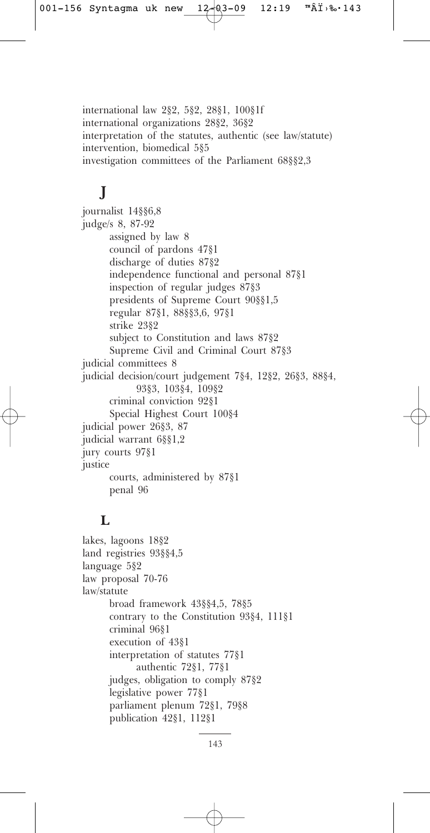001-156 Syntagma uk new 12-03-09 12:19 ™ÂÏ›‰·143

international law 2§2, 5§2, 28§1, 100§1f international organizations 28§2, 36§2 interpretation of the statutes, authentic (see law/statute) intervention, biomedical 5§5 investigation committees of the Parliament 68§§2,3

# **J**

journalist 14§§6,8 judge/s 8, 87-92 assigned by law 8 council of pardons 47§1 discharge of duties 87§2 independence functional and personal 87§1 inspection of regular judges 87§3 presidents of Supreme Court 90§§1,5 regular 87§1, 88§§3,6, 97§1 strike 23§2 subject to Constitution and laws 87§2 Supreme Civil and Criminal Court 87§3 judicial committees 8 judicial decision/court judgement 7§4, 12§2, 26§3, 88§4, 93§3, 103§4, 109§2 criminal conviction 92§1 Special Highest Court 100§4 judicial power 26§3, 87 judicial warrant 6§§1,2 jury courts 97§1 justice courts, administered by 87§1 penal 96

## **L**

lakes, lagoons 18§2 land registries 93§§4,5 language 5§2 law proposal 70-76 law/statute broad framework 43§§4,5, 78§5 contrary to the Constitution 93§4, 111§1 criminal 96§1 execution of 43§1 interpretation of statutes 77§1 authentic 72§1, 77§1 judges, obligation to comply 87§2 legislative power 77§1 parliament plenum 72§1, 79§8 publication 42§1, 112§1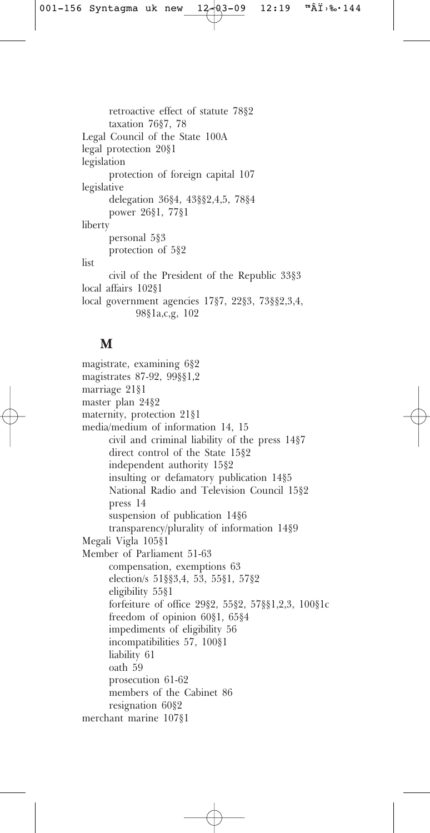retroactive effect of statute 78§2 taxation 76§7, 78 Legal Council of the State 100A legal protection 20§1 legislation protection of foreign capital 107 legislative delegation 36§4, 43§§2,4,5, 78§4 power 26§1, 77§1 liberty personal 5§3 protection of 5§2 list civil of the President of the Republic 33§3 local affairs 102§1 local government agencies 17§7, 22§3, 73§§2,3,4, 98§1a,c,g, 102

#### **M**

magistrate, examining 6§2 magistrates 87-92, 99§§1,2 marriage 21§1 master plan 24§2 maternity, protection 21§1 media/medium of information 14, 15 civil and criminal liability of the press 14§7 direct control of the State 15§2 independent authority 15§2 insulting or defamatory publication 14§5 National Radio and Television Council 15§2 press 14 suspension of publication 14§6 transparency/plurality of information 14§9 Megali Vigla 105§1 Member of Parliament 51-63 compensation, exemptions 63 election/s 51§§3,4, 53, 55§1, 57§2 eligibility 55§1 forfeiture of office 29§2, 55§2, 57§§1,2,3, 100§1c freedom of opinion 60§1, 65§4 impediments of eligibility 56 incompatibilities 57, 100§1 liability 61 oath 59 prosecution 61-62 members of the Cabinet 86 resignation 60§2 merchant marine 107§1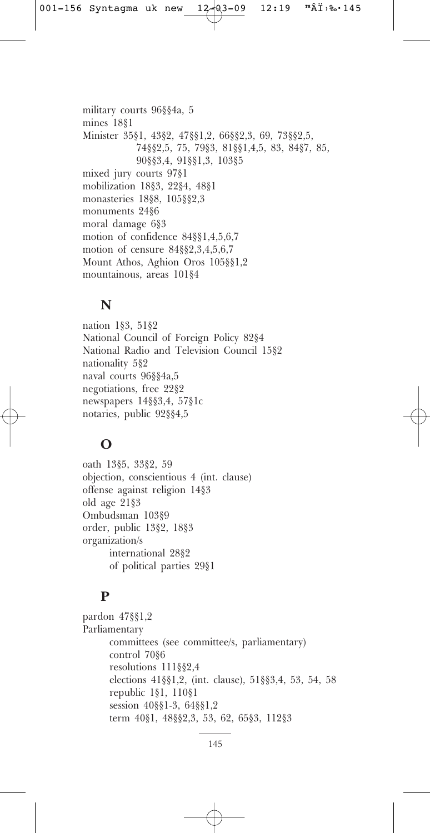001-156 Syntagma uk new 12-03-09 12:19 ™ÂÏ›‰·145

military courts 96§§4a, 5 mines 18§1 Minister 35§1, 43§2, 47§§1,2, 66§§2,3, 69, 73§§2,5, 74§§2,5, 75, 79§3, 81§§1,4,5, 83, 84§7, 85, 90§§3,4, 91§§1,3, 103§5 mixed jury courts 97§1 mobilization 18§3, 22§4, 48§1 monasteries 18§8, 105§§2,3 monuments 24§6 moral damage 6§3 motion of confidence 84§§1,4,5,6,7 motion of censure 84§§2,3,4,5,6,7 Mount Athos, Aghion Oros 105§§1,2 mountainous, areas 101§4

# **N**

nation 1§3, 51§2 National Council of Foreign Policy 82§4 National Radio and Television Council 15§2 nationality 5§2 naval courts 96§§4a,5 negotiations, free 22§2 newspapers 14§§3,4, 57§1c notaries, public 92§§4,5

# **O**

oath 13§5, 33§2, 59 objection, conscientious 4 (int. clause) offense against religion 14§3 old age 21§3 Ombudsman 103§9 order, public 13§2, 18§3 organization/s international 28§2 of political parties 29§1

# **P**

pardon 47§§1,2 Parliamentary committees (see committee/s, parliamentary) control 70§6 resolutions 111§§2,4 elections 41§§1,2, (int. clause), 51§§3,4, 53, 54, 58 republic 1§1, 110§1 session 40§§1-3, 64§§1,2 term 40§1, 48§§2,3, 53, 62, 65§3, 112§3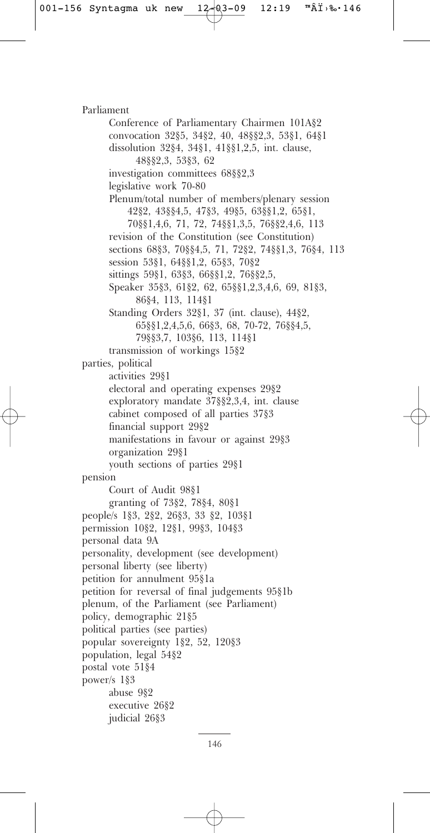Parliament Conference of Parliamentary Chairmen 101A§2 convocation 32§5, 34§2, 40, 48§§2,3, 53§1, 64§1 dissolution 32§4, 34§1, 41§§1,2,5, int. clause, 48§§2,3, 53§3, 62 investigation committees 68§§2,3 legislative work 70-80 Plenum/total number of members/plenary session 42§2, 43§§4,5, 47§3, 49§5, 63§§1,2, 65§1, 70§§1,4,6, 71, 72, 74§§1,3,5, 76§§2,4,6, 113 revision of the Constitution (see Constitution) sections 68§3, 70§§4,5, 71, 72§2, 74§§1,3, 76§4, 113 session 53§1, 64§§1,2, 65§3, 70§2 sittings 59§1, 63§3, 66§§1,2, 76§§2,5, Speaker 35§3, 61§2, 62, 65§§1,2,3,4,6, 69, 81§3, 86§4, 113, 114§1 Standing Orders 32§1, 37 (int. clause), 44§2, 65§§1,2,4,5,6, 66§3, 68, 70-72, 76§§4,5, 79§§3,7, 103§6, 113, 114§1 transmission of workings 15§2 parties, political activities 29§1 electoral and operating expenses 29§2 exploratory mandate 37§§2,3,4, int. clause cabinet composed of all parties 37§3 financial support 29§2 manifestations in favour or against 29§3 organization 29§1 youth sections of parties 29§1 pension Court of Audit 98§1 granting of 73§2, 78§4, 80§1 people/s 1§3, 2§2, 26§3, 33 §2, 103§1 permission 10§2, 12§1, 99§3, 104§3 personal data 9A personality, development (see development) personal liberty (see liberty) petition for annulment 95§1a petition for reversal of final judgements 95§1b plenum, of the Parliament (see Parliament) policy, demographic 21§5 political parties (see parties) popular sovereignty 1§2, 52, 120§3 population, legal 54§2 postal vote 51§4 power/s 1§3 abuse 9§2 executive 26§2 judicial 26§3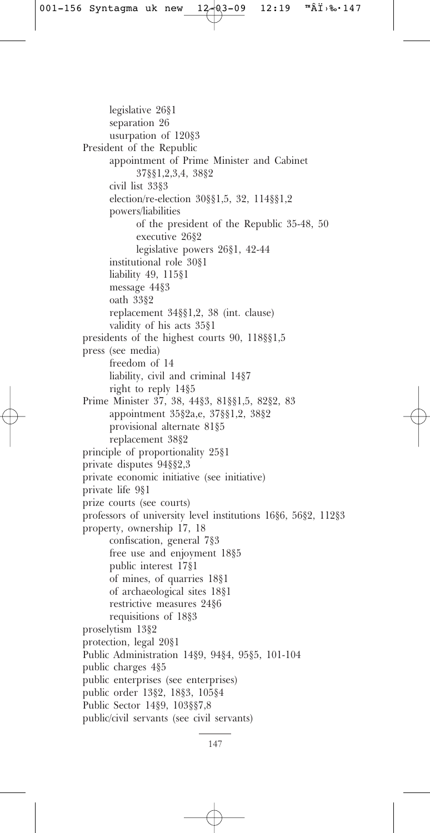001-156 Syntagma uk new 12-03-09 12:19 ™ÂÏ›‰·147

legislative 26§1 separation 26 usurpation of 120§3 President of the Republic appointment of Prime Minister and Cabinet 37§§1,2,3,4, 38§2 civil list 33§3 election/re-election 30§§1,5, 32, 114§§1,2 powers/liabilities of the president of the Republic 35-48, 50 executive 26§2 legislative powers 26§1, 42-44 institutional role 30§1 liability 49, 115§1 message 44§3 oath 33§2 replacement 34§§1,2, 38 (int. clause) validity of his acts 35§1 presidents of the highest courts 90, 118§§1,5 press (see media) freedom of 14 liability, civil and criminal 14§7 right to reply 14§5 Prime Minister 37, 38, 44§3, 81§§1,5, 82§2, 83 appointment 35§2a,e, 37§§1,2, 38§2 provisional alternate 81§5 replacement 38§2 principle of proportionality 25§1 private disputes 94§§2,3 private economic initiative (see initiative) private life 9§1 prize courts (see courts) professors of university level institutions 16§6, 56§2, 112§3 property, ownership 17, 18 confiscation, general 7§3 free use and enjoyment 18§5 public interest 17§1 of mines, of quarries 18§1 of archaeological sites 18§1 restrictive measures 24§6 requisitions of 18§3 proselytism 13§2 protection, legal 20§1 Public Administration 14§9, 94§4, 95§5, 101-104 public charges 4§5 public enterprises (see enterprises) public order 13§2, 18§3, 105§4 Public Sector 14§9, 103§§7,8 public/civil servants (see civil servants)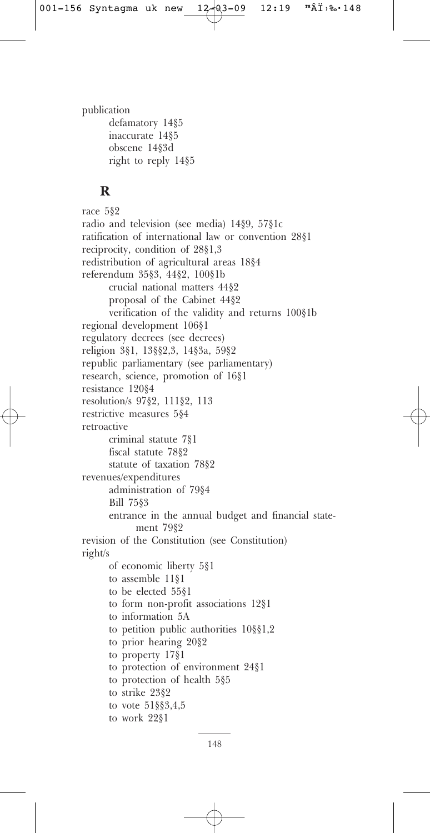publication defamatory 14§5 inaccurate 14§5 obscene 14§3d right to reply 14§5

#### **R**

race 5§2 radio and television (see media) 14§9, 57§1c ratification of international law or convention 28§1 reciprocity, condition of 28§1,3 redistribution of agricultural areas 18§4 referendum 35§3, 44§2, 100§1b crucial national matters 44§2 proposal of the Cabinet 44§2 verification of the validity and returns 100§1b regional development 106§1 regulatory decrees (see decrees) religion 3§1, 13§§2,3, 14§3a, 59§2 republic parliamentary (see parliamentary) research, science, promotion of 16§1 resistance 120§4 resolution/s 97§2, 111§2, 113 restrictive measures 5§4 retroactive criminal statute 7§1 fiscal statute 78§2 statute of taxation 78§2 revenues/expenditures administration of 79§4 Bill 75§3 entrance in the annual budget and financial statement 79§2 revision of the Constitution (see Constitution) right/s of economic liberty 5§1 to assemble 11§1 to be elected 55§1 to form non-profit associations 12§1 to information 5A to petition public authorities 10§§1,2 to prior hearing 20§2 to property 17§1 to protection of environment 24§1 to protection of health 5§5 to strike 23§2 to vote 51§§3,4,5 to work 22§1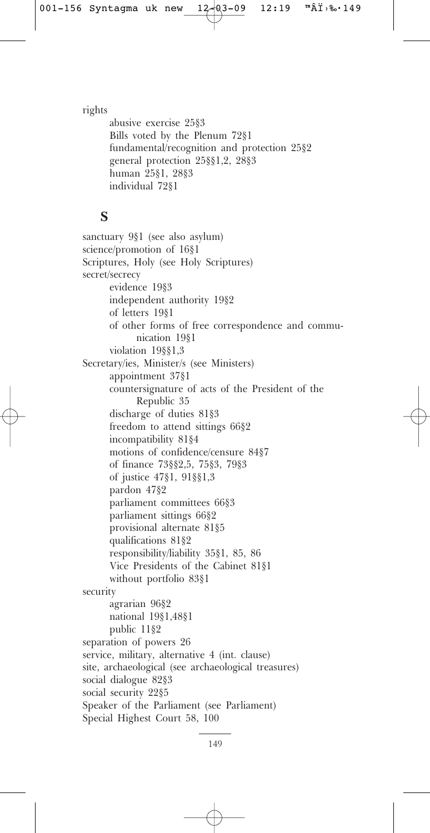rights abusive exercise 25§3 Bills voted by the Plenum 72§1 fundamental/recognition and protection 25§2 general protection 25§§1,2, 28§3 human 25§1, 28§3 individual 72§1

#### **S**

sanctuary 9§1 (see also asylum) science/promotion of 16§1 Scriptures, Holy (see Holy Scriptures) secret/secrecy evidence 19§3 independent authority 19§2 of letters 19§1 of other forms of free correspondence and communication 19§1 violation 19§§1,3 Secretary/ies, Minister/s (see Ministers) appointment 37§1 countersignature of acts of the President of the Republic 35 discharge of duties 81§3 freedom to attend sittings 66§2 incompatibility 81§4 motions of confidence/censure 84§7 of finance 73§§2,5, 75§3, 79§3 of justice 47§1, 91§§1,3 pardon 47§2 parliament committees 66§3 parliament sittings 66§2 provisional alternate 81§5 qualifications 81§2 responsibility/liability 35§1, 85, 86 Vice Presidents of the Cabinet 81§1 without portfolio 83§1 security agrarian 96§2 national 19§1,48§1 public 11§2 separation of powers 26 service, military, alternative 4 (int. clause) site, archaeological (see archaeological treasures) social dialogue 82§3 social security 22§5 Speaker of the Parliament (see Parliament) Special Highest Court 58, 100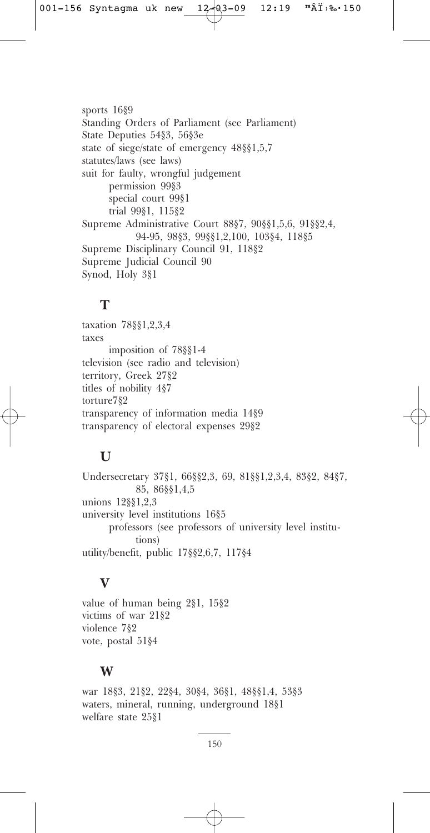001-156 Syntagma uk new 12-03-09 12:19 ™ÂÏ›‰·150

sports 16§9 Standing Orders of Parliament (see Parliament) State Deputies 54§3, 56§3e state of siege/state of emergency 48§§1,5,7 statutes/laws (see laws) suit for faulty, wrongful judgement permission 99§3 special court 99§1 trial 99§1, 115§2 Supreme Administrative Court 88§7, 90§§1,5,6, 91§§2,4, 94-95, 98§3, 99§§1,2,100, 103§4, 118§5 Supreme Disciplinary Council 91, 118§2 Supreme Judicial Council 90 Synod, Holy 3§1

# **T**

taxation 78§§1,2,3,4 taxes imposition of 78§§1-4 television (see radio and television) territory, Greek 27§2 titles of nobility 4§7 torture7§2 transparency of information media 14§9 transparency of electoral expenses 29§2

# **U**

Undersecretary 37§1, 66§§2,3, 69, 81§§1,2,3,4, 83§2, 84§7, 85, 86§§1,4,5 unions 12§§1,2,3 university level institutions 16§5 professors (see professors of university level institutions) utility/benefit, public 17§§2,6,7, 117§4

# **V**

value of human being 2§1, 15§2 victims of war 21§2 violence 7§2 vote, postal 51§4

# **W**

war 18§3, 21§2, 22§4, 30§4, 36§1, 48§§1,4, 53§3 waters, mineral, running, underground 18§1 welfare state 25§1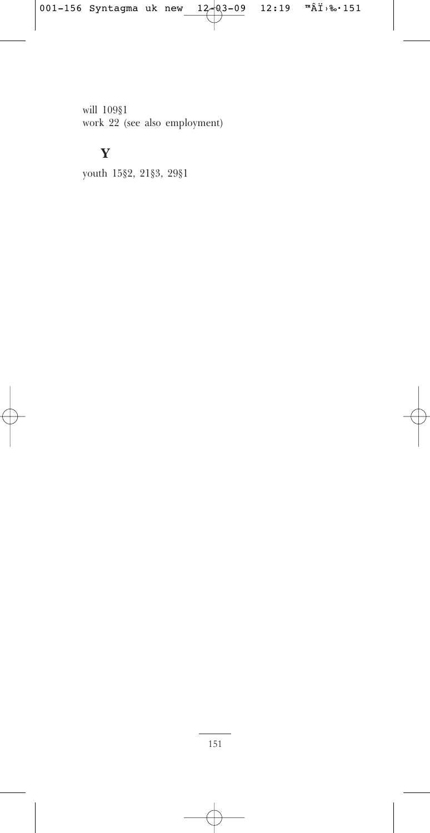will 109§1 work 22 (see also employment)

# Y

youth 15§2, 21§3, 29§1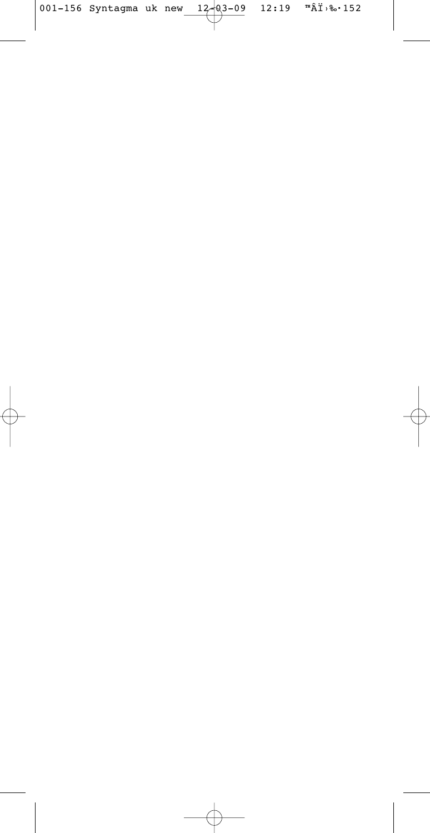001-156 Syntagma uk new 12-03-09 12:19 "ÂÏ, %:152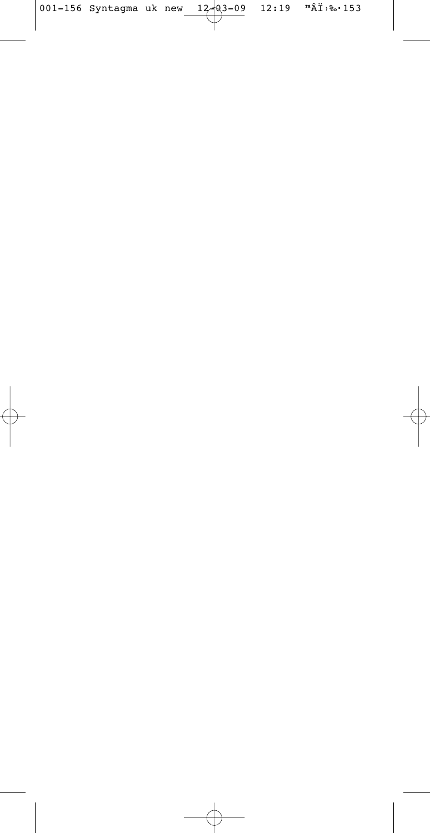001-156 Syntagma uk new 12-03-09 12:19  $\stackrel{\text{m}\hat{A} \text{''}}{\longrightarrow}$  13.19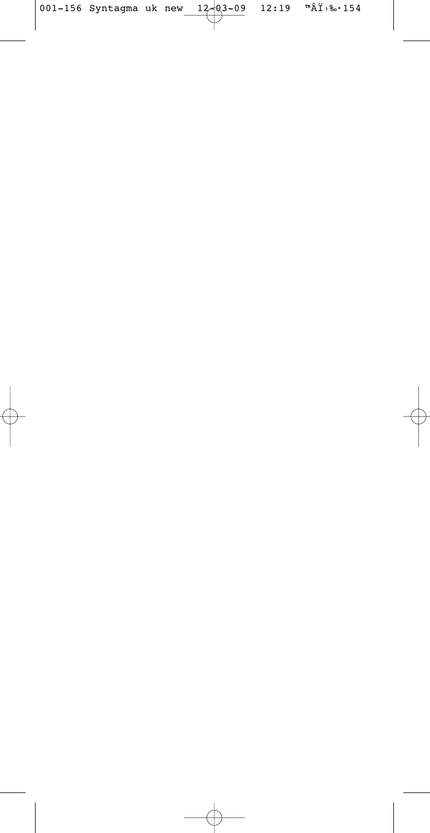001-156 Syntagma uk new 12-03-09 12:19 "ÂÏ, %:154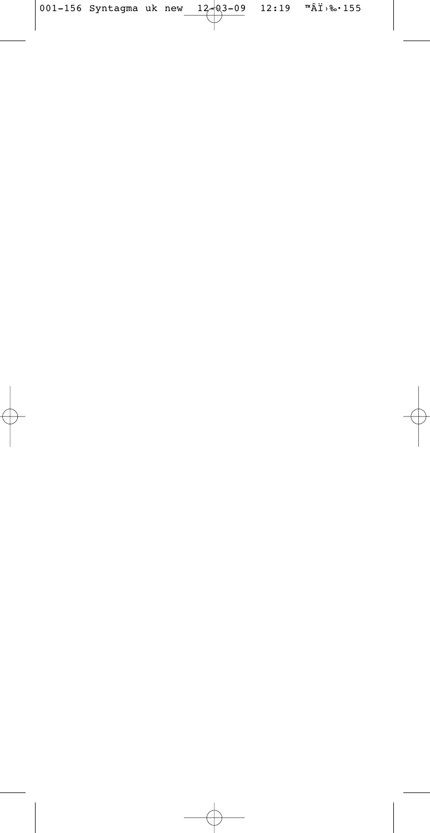001-156 Syntagma uk new 12-03-09 12:19 "ÂÏ, %:155